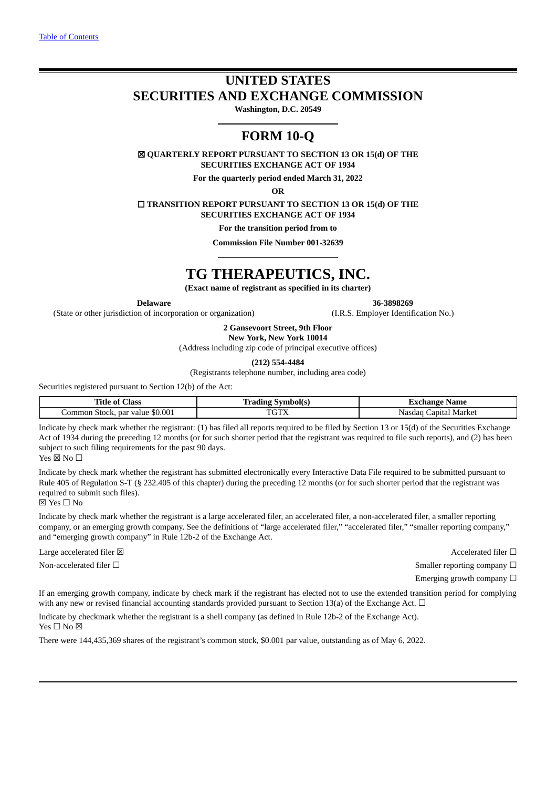# **UNITED STATES SECURITIES AND EXCHANGE COMMISSION**

**Washington, D.C. 20549**

# **FORM 10-Q**

☒ **QUARTERLY REPORT PURSUANT TO SECTION 13 OR 15(d) OF THE SECURITIES EXCHANGE ACT OF 1934**

**For the quarterly period ended March 31, 2022**

**OR**

☐ **TRANSITION REPORT PURSUANT TO SECTION 13 OR 15(d) OF THE SECURITIES EXCHANGE ACT OF 1934**

**For the transition period from to**

**Commission File Number 001-32639**

# **TG THERAPEUTICS, INC.**

**(Exact name of registrant as specified in its charter)**

(State or other jurisdiction of incorporation or organization) (I.R.S. Employer Identification No.)

**Delaware 36-3898269**

**2 Gansevoort Street, 9th Floor**

**New York, New York 10014**

(Address including zip code of principal executive offices)

**(212) 554-4484**

(Registrants telephone number, including area code)

Securities registered pursuant to Section 12(b) of the Act:

| Title of                                | , илл.                      | Name                          |
|-----------------------------------------|-----------------------------|-------------------------------|
| Class                                   | Symbol(s)                   | .exchange                     |
| ____                                    |                             |                               |
| par value \$0.001<br>Stock.<br>Jommon ' | $T$ $T$ $T$ $T$ $T$<br>LUIA | . Market<br>apıtal:<br>Nasdac |

Indicate by check mark whether the registrant: (1) has filed all reports required to be filed by Section 13 or 15(d) of the Securities Exchange Act of 1934 during the preceding 12 months (or for such shorter period that the registrant was required to file such reports), and (2) has been subject to such filing requirements for the past 90 days. Yes  $\boxtimes$  No  $\square$ 

Indicate by check mark whether the registrant has submitted electronically every Interactive Data File required to be submitted pursuant to Rule 405 of Regulation S-T (§ 232.405 of this chapter) during the preceding 12 months (or for such shorter period that the registrant was required to submit such files).

☒ Yes ☐ No

Indicate by check mark whether the registrant is a large accelerated filer, an accelerated filer, a non-accelerated filer, a smaller reporting company, or an emerging growth company. See the definitions of "large accelerated filer," "accelerated filer," "smaller reporting company," and "emerging growth company" in Rule 12b-2 of the Exchange Act.

Large accelerated filer ⊠ and  $\Box$  Accelerated filer  $\Box$ 

Non-accelerated filer □ state state of the state of the state of the state of the Smaller reporting company □

Emerging growth company  $\Box$ 

If an emerging growth company, indicate by check mark if the registrant has elected not to use the extended transition period for complying with any new or revised financial accounting standards provided pursuant to Section 13(a) of the Exchange Act.  $\Box$ 

Indicate by checkmark whether the registrant is a shell company (as defined in Rule 12b-2 of the Exchange Act).

 $Y_{PS} \Box N_0 \boxtimes$ 

There were 144,435,369 shares of the registrant's common stock, \$0.001 par value, outstanding as of May 6, 2022.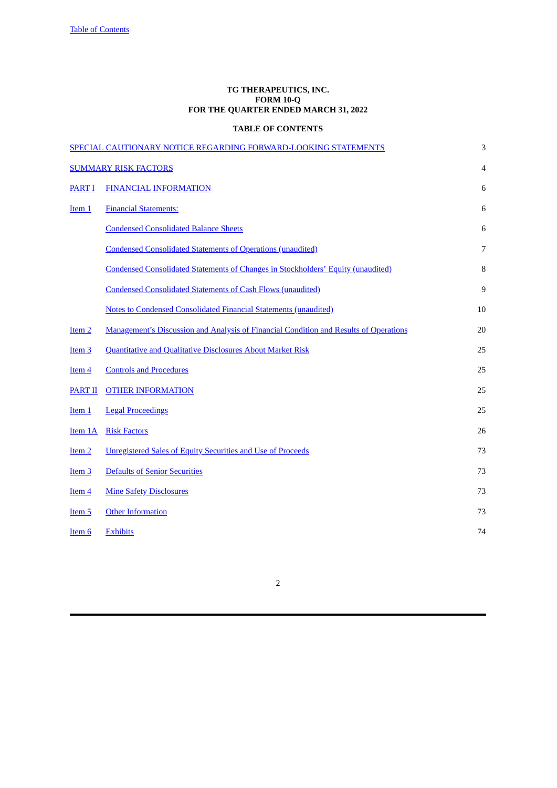# **TG THERAPEUTICS, INC. FORM 10-Q FOR THE QUARTER ENDED MARCH 31, 2022**

# **TABLE OF CONTENTS**

<span id="page-1-0"></span>

|                   | SPECIAL CAUTIONARY NOTICE REGARDING FORWARD-LOOKING STATEMENTS                          | $\mathsf 3$    |
|-------------------|-----------------------------------------------------------------------------------------|----------------|
|                   | <b>SUMMARY RISK FACTORS</b>                                                             | $\overline{4}$ |
| <b>PART I</b>     | <b>FINANCIAL INFORMATION</b>                                                            | 6              |
| Item 1            | <b>Financial Statements:</b>                                                            | 6              |
|                   | <b>Condensed Consolidated Balance Sheets</b>                                            | 6              |
|                   | <b>Condensed Consolidated Statements of Operations (unaudited)</b>                      | 7              |
|                   | <b>Condensed Consolidated Statements of Changes in Stockholders' Equity (unaudited)</b> | 8              |
|                   | <b>Condensed Consolidated Statements of Cash Flows (unaudited)</b>                      | 9              |
|                   | <b>Notes to Condensed Consolidated Financial Statements (unaudited)</b>                 | 10             |
| Item 2            | Management's Discussion and Analysis of Financial Condition and Results of Operations   | 20             |
| Item <sub>3</sub> | <b>Quantitative and Qualitative Disclosures About Market Risk</b>                       | 25             |
| Item 4            | <b>Controls and Procedures</b>                                                          | 25             |
| <b>PART II</b>    | <b>OTHER INFORMATION</b>                                                                | 25             |
| Item 1            | <b>Legal Proceedings</b>                                                                | 25             |
| Item 1A           | <b>Risk Factors</b>                                                                     | 26             |
| Item 2            | <b>Unregistered Sales of Equity Securities and Use of Proceeds</b>                      | 73             |
| Item <sub>3</sub> | <b>Defaults of Senior Securities</b>                                                    | 73             |
| Item 4            | <b>Mine Safety Disclosures</b>                                                          | 73             |
| Item 5            | <b>Other Information</b>                                                                | 73             |
| Item 6            | <b>Exhibits</b>                                                                         | 74             |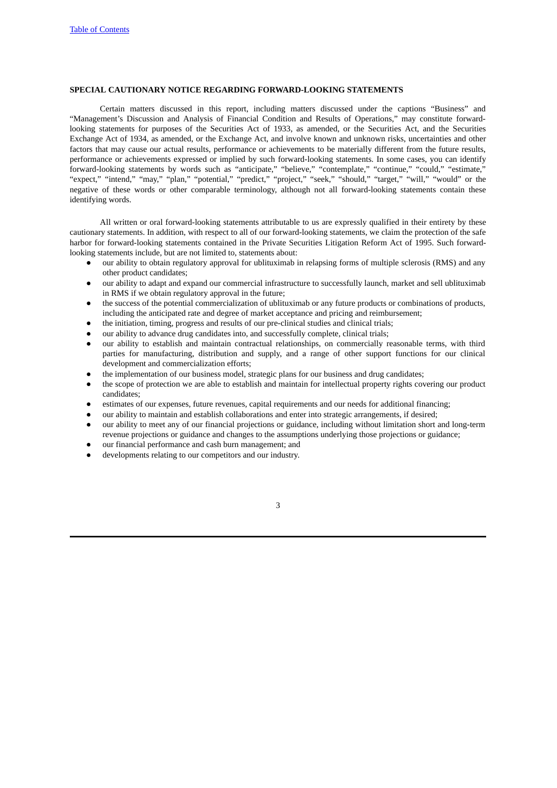# <span id="page-2-0"></span>**SPECIAL CAUTIONARY NOTICE REGARDING FORWARD-LOOKING STATEMENTS**

Certain matters discussed in this report, including matters discussed under the captions "Business" and "Management's Discussion and Analysis of Financial Condition and Results of Operations," may constitute forwardlooking statements for purposes of the Securities Act of 1933, as amended, or the Securities Act, and the Securities Exchange Act of 1934, as amended, or the Exchange Act, and involve known and unknown risks, uncertainties and other factors that may cause our actual results, performance or achievements to be materially different from the future results, performance or achievements expressed or implied by such forward-looking statements. In some cases, you can identify forward-looking statements by words such as "anticipate," "believe," "contemplate," "continue," "could," "estimate," "expect," "intend," "may," "plan," "potential," "predict," "project," "seek," "should," "target," "will," "would" or the negative of these words or other comparable terminology, although not all forward-looking statements contain these identifying words.

All written or oral forward-looking statements attributable to us are expressly qualified in their entirety by these cautionary statements. In addition, with respect to all of our forward-looking statements, we claim the protection of the safe harbor for forward-looking statements contained in the Private Securities Litigation Reform Act of 1995. Such forwardlooking statements include, but are not limited to, statements about:

- our ability to obtain regulatory approval for ublituximab in relapsing forms of multiple sclerosis (RMS) and any other product candidates;
- our ability to adapt and expand our commercial infrastructure to successfully launch, market and sell ublituximab in RMS if we obtain regulatory approval in the future;
- the success of the potential commercialization of ublituximab or any future products or combinations of products, including the anticipated rate and degree of market acceptance and pricing and reimbursement;
- the initiation, timing, progress and results of our pre-clinical studies and clinical trials;
- our ability to advance drug candidates into, and successfully complete, clinical trials;
- our ability to establish and maintain contractual relationships, on commercially reasonable terms, with third parties for manufacturing, distribution and supply, and a range of other support functions for our clinical development and commercialization efforts;
- the implementation of our business model, strategic plans for our business and drug candidates;
- the scope of protection we are able to establish and maintain for intellectual property rights covering our product candidates;
- estimates of our expenses, future revenues, capital requirements and our needs for additional financing;
- our ability to maintain and establish collaborations and enter into strategic arrangements, if desired;
- our ability to meet any of our financial projections or guidance, including without limitation short and long-term revenue projections or guidance and changes to the assumptions underlying those projections or guidance;
- our financial performance and cash burn management; and
- developments relating to our competitors and our industry.
	- 3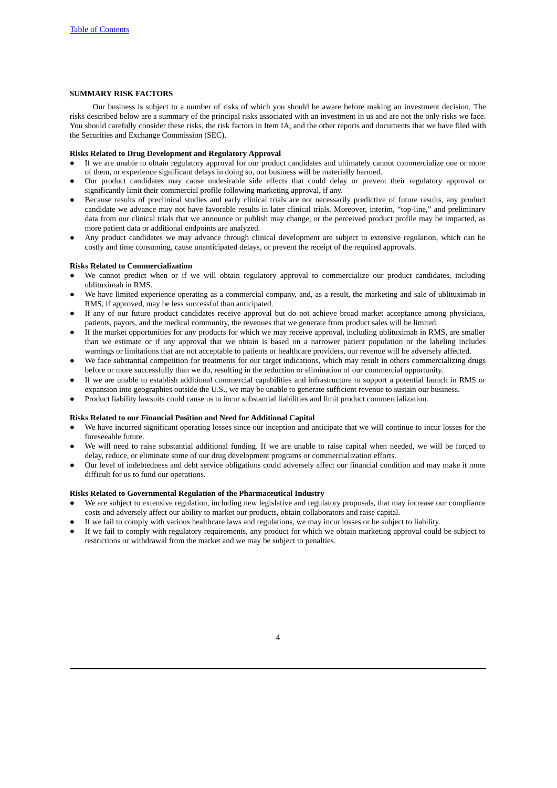# <span id="page-3-0"></span>**SUMMARY RISK FACTORS**

Our business is subject to a number of risks of which you should be aware before making an investment decision. The risks described below are a summary of the principal risks associated with an investment in us and are not the only risks we face. You should carefully consider these risks, the risk factors in Item IA, and the other reports and documents that we have filed with the Securities and Exchange Commission (SEC).

## **Risks Related to Drug Development and Regulatory Approval**

- If we are unable to obtain regulatory approval for our product candidates and ultimately cannot commercialize one or more of them, or experience significant delays in doing so, our business will be materially harmed.
- Our product candidates may cause undesirable side effects that could delay or prevent their regulatory approval or significantly limit their commercial profile following marketing approval, if any.
- Because results of preclinical studies and early clinical trials are not necessarily predictive of future results, any product candidate we advance may not have favorable results in later clinical trials. Moreover, interim, "top-line," and preliminary data from our clinical trials that we announce or publish may change, or the perceived product profile may be impacted, as more patient data or additional endpoints are analyzed.
- Any product candidates we may advance through clinical development are subject to extensive regulation, which can be costly and time consuming, cause unanticipated delays, or prevent the receipt of the required approvals.

## **Risks Related to Commercialization**

- We cannot predict when or if we will obtain regulatory approval to commercialize our product candidates, including ublituximab in RMS.
- We have limited experience operating as a commercial company, and, as a result, the marketing and sale of ublituximab in RMS, if approved, may be less successful than anticipated.
- If any of our future product candidates receive approval but do not achieve broad market acceptance among physicians, patients, payors, and the medical community, the revenues that we generate from product sales will be limited.
- If the market opportunities for any products for which we may receive approval, including ublituximab in RMS, are smaller than we estimate or if any approval that we obtain is based on a narrower patient population or the labeling includes warnings or limitations that are not acceptable to patients or healthcare providers, our revenue will be adversely affected.
- We face substantial competition for treatments for our target indications, which may result in others commercializing drugs before or more successfully than we do, resulting in the reduction or elimination of our commercial opportunity.
- If we are unable to establish additional commercial capabilities and infrastructure to support a potential launch in RMS or expansion into geographies outside the U.S., we may be unable to generate sufficient revenue to sustain our business.
- Product liability lawsuits could cause us to incur substantial liabilities and limit product commercialization.

## **Risks Related to our Financial Position and Need for Additional Capital**

- We have incurred significant operating losses since our inception and anticipate that we will continue to incur losses for the foreseeable future.
- We will need to raise substantial additional funding. If we are unable to raise capital when needed, we will be forced to delay, reduce, or eliminate some of our drug development programs or commercialization efforts.
- Our level of indebtedness and debt service obligations could adversely affect our financial condition and may make it more difficult for us to fund our operations.

## **Risks Related to Governmental Regulation of the Pharmaceutical Industry**

- We are subject to extensive regulation, including new legislative and regulatory proposals, that may increase our compliance costs and adversely affect our ability to market our products, obtain collaborators and raise capital.
- If we fail to comply with various healthcare laws and regulations, we may incur losses or be subject to liability.
- If we fail to comply with regulatory requirements, any product for which we obtain marketing approval could be subject to restrictions or withdrawal from the market and we may be subject to penalties.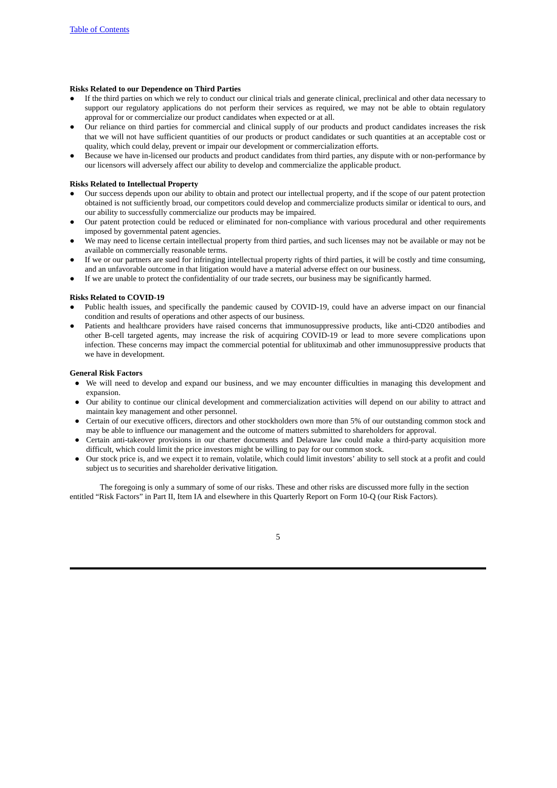# **Risks Related to our Dependence on Third Parties**

- If the third parties on which we rely to conduct our clinical trials and generate clinical, preclinical and other data necessary to support our regulatory applications do not perform their services as required, we may not be able to obtain regulatory approval for or commercialize our product candidates when expected or at all.
- Our reliance on third parties for commercial and clinical supply of our products and product candidates increases the risk that we will not have sufficient quantities of our products or product candidates or such quantities at an acceptable cost or quality, which could delay, prevent or impair our development or commercialization efforts.
- Because we have in-licensed our products and product candidates from third parties, any dispute with or non-performance by our licensors will adversely affect our ability to develop and commercialize the applicable product.

# **Risks Related to Intellectual Property**

- Our success depends upon our ability to obtain and protect our intellectual property, and if the scope of our patent protection obtained is not sufficiently broad, our competitors could develop and commercialize products similar or identical to ours, and our ability to successfully commercialize our products may be impaired.
- Our patent protection could be reduced or eliminated for non-compliance with various procedural and other requirements imposed by governmental patent agencies.
- We may need to license certain intellectual property from third parties, and such licenses may not be available or may not be available on commercially reasonable terms.
- If we or our partners are sued for infringing intellectual property rights of third parties, it will be costly and time consuming, and an unfavorable outcome in that litigation would have a material adverse effect on our business.
- If we are unable to protect the confidentiality of our trade secrets, our business may be significantly harmed.

## **Risks Related to COVID-19**

- Public health issues, and specifically the pandemic caused by COVID-19, could have an adverse impact on our financial condition and results of operations and other aspects of our business.
- Patients and healthcare providers have raised concerns that immunosuppressive products, like anti-CD20 antibodies and other B-cell targeted agents, may increase the risk of acquiring COVID-19 or lead to more severe complications upon infection. These concerns may impact the commercial potential for ublituximab and other immunosuppressive products that we have in development.

# **General Risk Factors**

- We will need to develop and expand our business, and we may encounter difficulties in managing this development and expansion.
- Our ability to continue our clinical development and commercialization activities will depend on our ability to attract and maintain key management and other personnel.
- Certain of our executive officers, directors and other stockholders own more than 5% of our outstanding common stock and may be able to influence our management and the outcome of matters submitted to shareholders for approval.
- Certain anti-takeover provisions in our charter documents and Delaware law could make a third-party acquisition more difficult, which could limit the price investors might be willing to pay for our common stock.
- Our stock price is, and we expect it to remain, volatile, which could limit investors' ability to sell stock at a profit and could subject us to securities and shareholder derivative litigation.

The foregoing is only a summary of some of our risks. These and other risks are discussed more fully in the section entitled "Risk Factors" in Part II, Item IA and elsewhere in this Quarterly Report on Form 10-Q (our Risk Factors).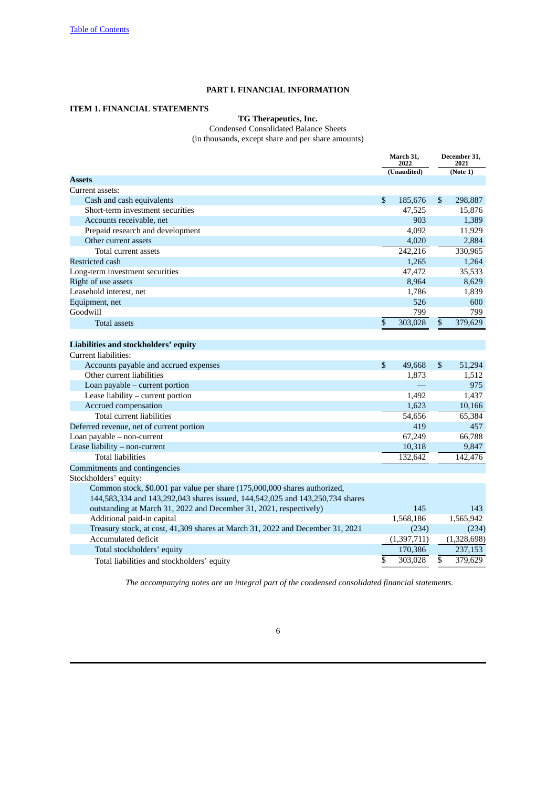# **PART I. FINANCIAL INFORMATION**

# <span id="page-5-2"></span><span id="page-5-1"></span><span id="page-5-0"></span>**ITEM 1. FINANCIAL STATEMENTS**

# **TG Therapeutics, Inc.**

Condensed Consolidated Balance Sheets

(in thousands, except share and per share amounts)

|                                                                                | March 31,<br>2022<br>(Unaudited) |             | December 31,<br>2021<br>(Note 1) |
|--------------------------------------------------------------------------------|----------------------------------|-------------|----------------------------------|
| <b>Assets</b>                                                                  |                                  |             |                                  |
| Current assets:                                                                |                                  |             |                                  |
| Cash and cash equivalents                                                      | \$                               | 185,676     | \$<br>298,887                    |
| Short-term investment securities                                               |                                  | 47,525      | 15,876                           |
| Accounts receivable, net                                                       |                                  | 903         | 1,389                            |
| Prepaid research and development                                               |                                  | 4,092       | 11,929                           |
| Other current assets                                                           |                                  | 4,020       | 2,884                            |
| Total current assets                                                           |                                  | 242,216     | 330,965                          |
| Restricted cash                                                                |                                  | 1,265       | 1,264                            |
| Long-term investment securities                                                |                                  | 47,472      | 35,533                           |
| Right of use assets                                                            |                                  | 8,964       | 8,629                            |
| Leasehold interest, net                                                        |                                  | 1,786       | 1,839                            |
| Equipment, net                                                                 |                                  | 526         | 600                              |
| Goodwill                                                                       |                                  | 799         | 799                              |
| <b>Total assets</b>                                                            | \$                               | 303,028     | \$<br>379,629                    |
| Liabilities and stockholders' equity                                           |                                  |             |                                  |
| Current liabilities:                                                           |                                  |             |                                  |
|                                                                                | \$                               | 49,668      | \$<br>51,294                     |
| Accounts payable and accrued expenses<br>Other current liabilities             |                                  | 1.873       | 1,512                            |
| Loan payable - current portion                                                 |                                  |             | 975                              |
| Lease liability - current portion                                              |                                  | 1,492       | 1,437                            |
| Accrued compensation                                                           |                                  | 1,623       | 10,166                           |
| Total current liabilities                                                      |                                  | 54,656      | 65,384                           |
| Deferred revenue, net of current portion                                       |                                  | 419         | 457                              |
| Loan payable - non-current                                                     |                                  | 67,249      | 66,788                           |
| Lease liability - non-current                                                  |                                  | 10,318      | 9,847                            |
| <b>Total liabilities</b>                                                       |                                  | 132,642     | 142,476                          |
| Commitments and contingencies                                                  |                                  |             |                                  |
| Stockholders' equity:                                                          |                                  |             |                                  |
| Common stock, \$0.001 par value per share (175,000,000 shares authorized,      |                                  |             |                                  |
| 144,583,334 and 143,292,043 shares issued, 144,542,025 and 143,250,734 shares  |                                  |             |                                  |
| outstanding at March 31, 2022 and December 31, 2021, respectively)             |                                  | 145         | 143                              |
| Additional paid-in capital                                                     |                                  | 1,568,186   | 1,565,942                        |
| Treasury stock, at cost, 41,309 shares at March 31, 2022 and December 31, 2021 |                                  | (234)       | (234)                            |
| Accumulated deficit                                                            |                                  | (1,397,711) | (1,328,698)                      |
| Total stockholders' equity                                                     |                                  | 170,386     | 237,153                          |
| Total liabilities and stockholders' equity                                     | \$                               | 303,028     | \$<br>379,629                    |
|                                                                                |                                  |             |                                  |

*The accompanying notes are an integral part of the condensed consolidated financial statements.*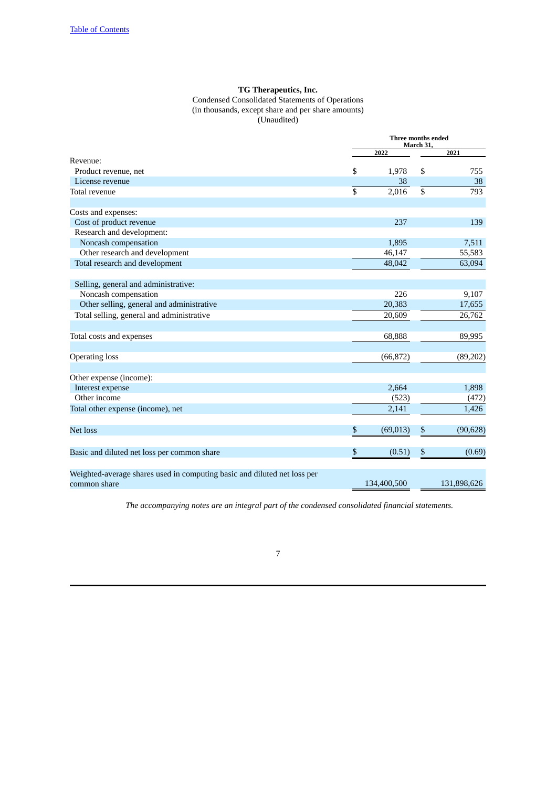## **TG Therapeutics, Inc.**

# Condensed Consolidated Statements of Operations (in thousands, except share and per share amounts) (Unaudited)

<span id="page-6-0"></span>

|                                                                          | Three months ended<br>March 31, |             |    |             |
|--------------------------------------------------------------------------|---------------------------------|-------------|----|-------------|
|                                                                          |                                 | 2022        |    | 2021        |
| Revenue:                                                                 |                                 |             |    |             |
| Product revenue, net                                                     | \$                              | 1,978       | \$ | 755         |
| License revenue                                                          |                                 | 38          |    | 38          |
| Total revenue                                                            | $\overline{\mathbb{S}}$         | 2,016       | \$ | 793         |
| Costs and expenses:                                                      |                                 |             |    |             |
| Cost of product revenue                                                  |                                 | 237         |    | 139         |
| Research and development:                                                |                                 |             |    |             |
| Noncash compensation                                                     |                                 | 1,895       |    | 7,511       |
| Other research and development                                           |                                 | 46,147      |    | 55,583      |
| Total research and development                                           |                                 | 48,042      |    | 63,094      |
| Selling, general and administrative:                                     |                                 |             |    |             |
| Noncash compensation                                                     |                                 | 226         |    | 9,107       |
| Other selling, general and administrative                                |                                 | 20,383      |    | 17,655      |
| Total selling, general and administrative                                |                                 | 20,609      |    | 26,762      |
|                                                                          |                                 |             |    |             |
| Total costs and expenses                                                 |                                 | 68,888      |    | 89,995      |
|                                                                          |                                 |             |    |             |
| <b>Operating loss</b>                                                    |                                 | (66, 872)   |    | (89,202)    |
| Other expense (income):                                                  |                                 |             |    |             |
| Interest expense                                                         |                                 | 2,664       |    | 1,898       |
| Other income                                                             |                                 | (523)       |    | (472)       |
| Total other expense (income), net                                        |                                 | 2,141       |    | 1,426       |
|                                                                          |                                 | (69, 013)   |    | (90, 628)   |
| <b>Net loss</b>                                                          | \$                              |             | \$ |             |
| Basic and diluted net loss per common share                              | \$                              | (0.51)      | \$ | (0.69)      |
| Weighted-average shares used in computing basic and diluted net loss per |                                 |             |    |             |
| common share                                                             |                                 | 134,400,500 |    | 131,898,626 |

*The accompanying notes are an integral part of the condensed consolidated financial statements.*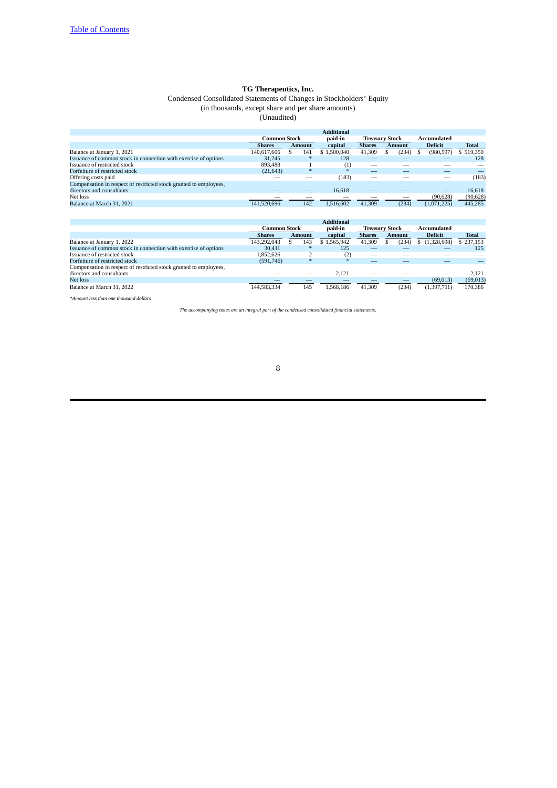#### **TG Therapeutics, Inc.**

# Condensed Consolidated Statements of Changes in Stockholders' Equity (in thousands, except share and per share amounts)

(Unaudited)

<span id="page-7-0"></span>

|                                                                   |               |               | <b>Additional</b> |                                |  |       |                |                          |              |
|-------------------------------------------------------------------|---------------|---------------|-------------------|--------------------------------|--|-------|----------------|--------------------------|--------------|
|                                                                   | Common Stock  |               | paid-in           | <b>Treasury Stock</b>          |  |       |                | Accumulated              |              |
|                                                                   | <b>Shares</b> | <b>Amount</b> | capital           | <b>Shares</b><br><b>Amount</b> |  |       | <b>Deficit</b> |                          | <b>Total</b> |
| Balance at January 1, 2021                                        | 140.617.606   | 141           | \$1.500,040       | 41.309                         |  | (234) |                | (980, 597)               | \$519,350    |
| Issuance of common stock in connection with exercise of options   | 31.245        | 宋             | 128               | $\overline{\phantom{a}}$       |  | _     |                |                          | 128          |
| Issuance of restricted stock                                      | 893.488       |               | (1)               | _                              |  |       |                |                          |              |
| Forfeiture of restricted stock                                    | (21, 643)     | 宋             |                   | $\overline{\phantom{a}}$       |  |       |                |                          |              |
| Offering costs paid                                               |               |               | (183)             | _                              |  |       |                | _                        | (183)        |
| Compensation in respect of restricted stock granted to employees, |               |               |                   |                                |  |       |                |                          |              |
| directors and consultants                                         |               |               | 16.618            |                                |  |       |                | $\overline{\phantom{a}}$ | 16,618       |
| Net loss                                                          |               |               |                   |                                |  |       |                | (90, 628)                | (90, 628)    |
| Balance at March 31, 2021                                         | 141,520,696   | 142           | 1.516.602         | 41,309                         |  | (234) |                | (1,071,225)              | 445,285      |
|                                                                   |               |               |                   |                                |  |       |                |                          |              |

|                                                                   |                         |  |                       | <b>Additional</b> |               |               |       |             |           |  |  |  |  |                |              |
|-------------------------------------------------------------------|-------------------------|--|-----------------------|-------------------|---------------|---------------|-------|-------------|-----------|--|--|--|--|----------------|--------------|
|                                                                   | paid-in<br>Common Stock |  | <b>Treasury Stock</b> |                   |               | Accumulated   |       |             |           |  |  |  |  |                |              |
|                                                                   | <b>Shares</b>           |  | <b>Amount</b>         | capital           | <b>Shares</b> | <b>Amount</b> |       |             |           |  |  |  |  | <b>Deficit</b> | <b>Total</b> |
| Balance at January 1, 2022                                        | 143.292.043             |  | 143                   | \$1.565,942       | 41.309        |               | (234) | (1,328,698) | \$237,153 |  |  |  |  |                |              |
| Issuance of common stock in connection with exercise of options   | 30,411                  |  | 宋                     | 125               | _             |               |       |             | 125       |  |  |  |  |                |              |
| Issuance of restricted stock                                      | 1.852.626               |  |                       | (2)               | _             |               |       |             |           |  |  |  |  |                |              |
| Forfeiture of restricted stock                                    | (591,746)               |  | *                     |                   | _             |               |       |             |           |  |  |  |  |                |              |
| Compensation in respect of restricted stock granted to employees, |                         |  |                       |                   |               |               |       |             |           |  |  |  |  |                |              |
| directors and consultants                                         |                         |  |                       | 2.121             | __            |               |       |             | 2.121     |  |  |  |  |                |              |
| Net loss                                                          |                         |  |                       |                   |               |               |       | (69, 013)   | (69, 013) |  |  |  |  |                |              |
| Balance at March 31, 2022                                         | 144,583,334             |  | 145                   | 1.568.186         | 41.309        |               | (234) | (1,397,711) | 170.386   |  |  |  |  |                |              |

*\*Amount less than one thousand dollars*

*The accompanying notes are an integral part of the condensed consolidated financial statements.*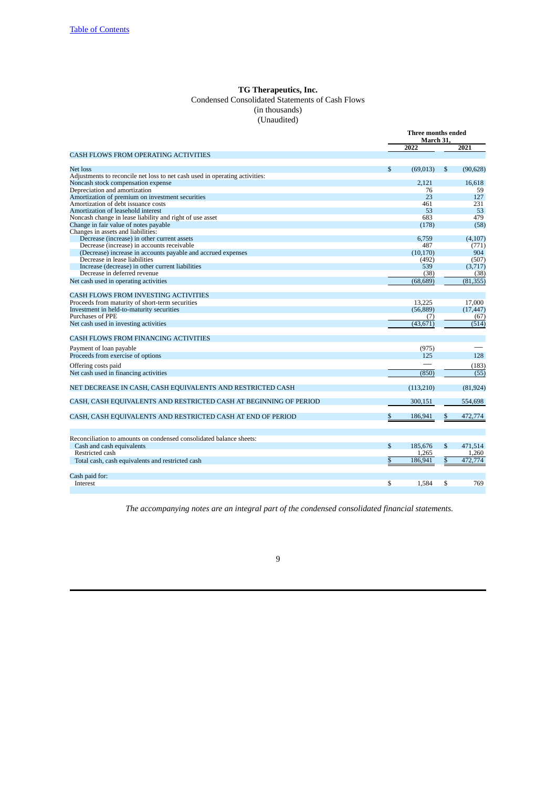# **TG Therapeutics, Inc.** Condensed Consolidated Statements of Cash Flows (in thousands) (Unaudited)

<span id="page-8-0"></span>

|                                                                             | Three months ended<br>March 31. |    |           |
|-----------------------------------------------------------------------------|---------------------------------|----|-----------|
|                                                                             | 2022                            |    | 2021      |
| <b>CASH FLOWS FROM OPERATING ACTIVITIES</b>                                 |                                 |    |           |
| Net loss                                                                    | \$<br>(69, 013)                 | \$ | (90, 628) |
| Adjustments to reconcile net loss to net cash used in operating activities: |                                 |    |           |
| Noncash stock compensation expense                                          | 2.121                           |    | 16.618    |
| Depreciation and amortization                                               | 76                              |    | 59        |
| Amortization of premium on investment securities                            | 23                              |    | 127       |
| Amortization of debt issuance costs                                         | 461                             |    | 231       |
| Amortization of leasehold interest                                          | 53                              |    | 53        |
| Noncash change in lease liability and right of use asset                    | 683                             |    | 479       |
| Change in fair value of notes payable                                       | (178)                           |    | (58)      |
| Changes in assets and liabilities:                                          |                                 |    |           |
| Decrease (increase) in other current assets                                 | 6.759                           |    | (4,107)   |
| Decrease (increase) in accounts receivable                                  | 487                             |    | (771)     |
| (Decrease) increase in accounts payable and accrued expenses                | (10, 170)                       |    | 904       |
| Decrease in lease liabilities                                               | (492)                           |    | (507)     |
| Increase (decrease) in other current liabilities                            | 539                             |    | (3,717)   |
| Decrease in deferred revenue                                                | (38)                            |    | (38)      |
| Net cash used in operating activities                                       | (68.689)                        |    | (81, 355) |
| <b>CASH FLOWS FROM INVESTING ACTIVITIES</b>                                 |                                 |    |           |
| Proceeds from maturity of short-term securities                             | 13.225                          |    | 17,000    |
| Investment in held-to-maturity securities                                   | (56, 889)                       |    | (17, 447) |
| Purchases of PPE                                                            | (7)                             |    | (67)      |
| Net cash used in investing activities                                       | (43.671)                        |    | (514)     |
| <b>CASH FLOWS FROM FINANCING ACTIVITIES</b>                                 |                                 |    |           |
| Payment of loan payable                                                     | (975)                           |    |           |
| Proceeds from exercise of options                                           | 125                             |    | 128       |
|                                                                             |                                 |    |           |
| Offering costs paid                                                         |                                 |    | (183)     |
| Net cash used in financing activities                                       | (850)                           |    | (55)      |
| NET DECREASE IN CASH, CASH EQUIVALENTS AND RESTRICTED CASH                  | (113, 210)                      |    | (81, 924) |
| CASH, CASH EQUIVALENTS AND RESTRICTED CASH AT BEGINNING OF PERIOD           | 300,151                         |    | 554,698   |
| CASH, CASH EQUIVALENTS AND RESTRICTED CASH AT END OF PERIOD                 | 186,941                         |    | 472,774   |
|                                                                             |                                 |    |           |
| Reconciliation to amounts on condensed consolidated balance sheets:         |                                 |    |           |
| Cash and cash equivalents                                                   | \$<br>185,676                   | \$ | 471.514   |
| Restricted cash                                                             | 1,265                           |    | 1,260     |
| Total cash, cash equivalents and restricted cash                            | \$<br>186,941                   | \$ | 472,774   |
|                                                                             |                                 |    |           |
| Cash paid for:                                                              |                                 |    |           |
| Interest                                                                    | \$<br>1,584                     | \$ | 769       |

*The accompanying notes are an integral part of the condensed consolidated financial statements.*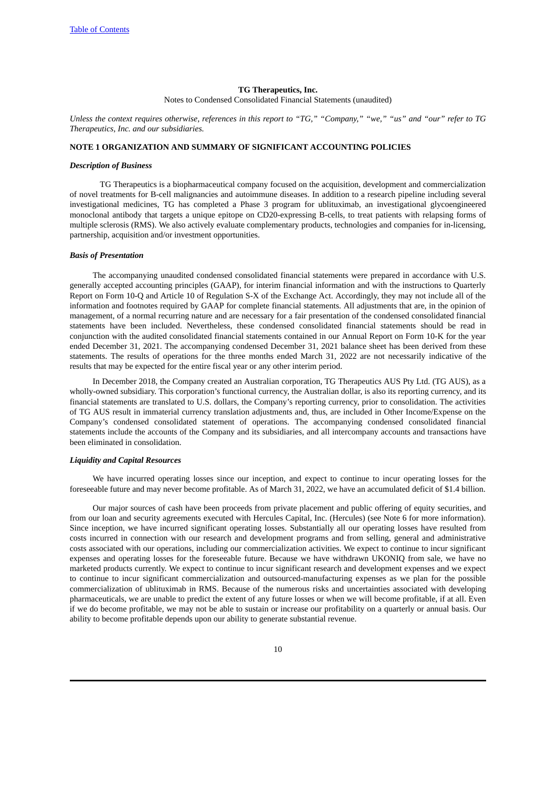# **TG Therapeutics, Inc.** Notes to Condensed Consolidated Financial Statements (unaudited)

<span id="page-9-0"></span>Unless the context requires otherwise, references in this report to "TG," "Company," "we," "us" and "our" refer to TG *Therapeutics, Inc. and our subsidiaries.*

#### **NOTE 1 ORGANIZATION AND SUMMARY OF SIGNIFICANT ACCOUNTING POLICIES**

#### *Description of Business*

TG Therapeutics is a biopharmaceutical company focused on the acquisition, development and commercialization of novel treatments for B-cell malignancies and autoimmune diseases. In addition to a research pipeline including several investigational medicines, TG has completed a Phase 3 program for ublituximab, an investigational glycoengineered monoclonal antibody that targets a unique epitope on CD20-expressing B-cells, to treat patients with relapsing forms of multiple sclerosis (RMS). We also actively evaluate complementary products, technologies and companies for in-licensing, partnership, acquisition and/or investment opportunities.

#### *Basis of Presentation*

The accompanying unaudited condensed consolidated financial statements were prepared in accordance with U.S. generally accepted accounting principles (GAAP), for interim financial information and with the instructions to Quarterly Report on Form 10-Q and Article 10 of Regulation S-X of the Exchange Act. Accordingly, they may not include all of the information and footnotes required by GAAP for complete financial statements. All adjustments that are, in the opinion of management, of a normal recurring nature and are necessary for a fair presentation of the condensed consolidated financial statements have been included. Nevertheless, these condensed consolidated financial statements should be read in conjunction with the audited consolidated financial statements contained in our Annual Report on Form 10-K for the year ended December 31, 2021. The accompanying condensed December 31, 2021 balance sheet has been derived from these statements. The results of operations for the three months ended March 31, 2022 are not necessarily indicative of the results that may be expected for the entire fiscal year or any other interim period.

In December 2018, the Company created an Australian corporation, TG Therapeutics AUS Pty Ltd. (TG AUS), as a wholly-owned subsidiary. This corporation's functional currency, the Australian dollar, is also its reporting currency, and its financial statements are translated to U.S. dollars, the Company's reporting currency, prior to consolidation. The activities of TG AUS result in immaterial currency translation adjustments and, thus, are included in Other Income/Expense on the Company's condensed consolidated statement of operations. The accompanying condensed consolidated financial statements include the accounts of the Company and its subsidiaries, and all intercompany accounts and transactions have been eliminated in consolidation.

#### *Liquidity and Capital Resources*

We have incurred operating losses since our inception, and expect to continue to incur operating losses for the foreseeable future and may never become profitable. As of March 31, 2022, we have an accumulated deficit of \$1.4 billion.

Our major sources of cash have been proceeds from private placement and public offering of equity securities, and from our loan and security agreements executed with Hercules Capital, Inc. (Hercules) (see Note 6 for more information). Since inception, we have incurred significant operating losses. Substantially all our operating losses have resulted from costs incurred in connection with our research and development programs and from selling, general and administrative costs associated with our operations, including our commercialization activities. We expect to continue to incur significant expenses and operating losses for the foreseeable future. Because we have withdrawn UKONIQ from sale, we have no marketed products currently. We expect to continue to incur significant research and development expenses and we expect to continue to incur significant commercialization and outsourced-manufacturing expenses as we plan for the possible commercialization of ublituximab in RMS. Because of the numerous risks and uncertainties associated with developing pharmaceuticals, we are unable to predict the extent of any future losses or when we will become profitable, if at all. Even if we do become profitable, we may not be able to sustain or increase our profitability on a quarterly or annual basis. Our ability to become profitable depends upon our ability to generate substantial revenue.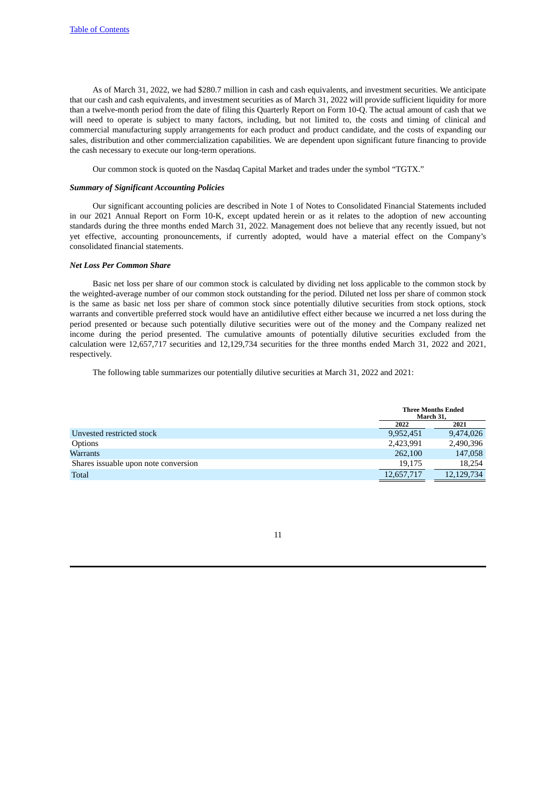As of March 31, 2022, we had \$280.7 million in cash and cash equivalents, and investment securities. We anticipate that our cash and cash equivalents, and investment securities as of March 31, 2022 will provide sufficient liquidity for more than a twelve-month period from the date of filing this Quarterly Report on Form 10-Q. The actual amount of cash that we will need to operate is subject to many factors, including, but not limited to, the costs and timing of clinical and commercial manufacturing supply arrangements for each product and product candidate, and the costs of expanding our sales, distribution and other commercialization capabilities. We are dependent upon significant future financing to provide the cash necessary to execute our long-term operations.

Our common stock is quoted on the Nasdaq Capital Market and trades under the symbol "TGTX."

#### *Summary of Significant Accounting Policies*

Our significant accounting policies are described in Note 1 of Notes to Consolidated Financial Statements included in our 2021 Annual Report on Form 10-K, except updated herein or as it relates to the adoption of new accounting standards during the three months ended March 31, 2022. Management does not believe that any recently issued, but not yet effective, accounting pronouncements, if currently adopted, would have a material effect on the Company's consolidated financial statements.

# *Net Loss Per Common Share*

Basic net loss per share of our common stock is calculated by dividing net loss applicable to the common stock by the weighted-average number of our common stock outstanding for the period. Diluted net loss per share of common stock is the same as basic net loss per share of common stock since potentially dilutive securities from stock options, stock warrants and convertible preferred stock would have an antidilutive effect either because we incurred a net loss during the period presented or because such potentially dilutive securities were out of the money and the Company realized net income during the period presented. The cumulative amounts of potentially dilutive securities excluded from the calculation were 12,657,717 securities and 12,129,734 securities for the three months ended March 31, 2022 and 2021, respectively.

The following table summarizes our potentially dilutive securities at March 31, 2022 and 2021:

|                                      |            | <b>Three Months Ended</b><br>March 31. |
|--------------------------------------|------------|----------------------------------------|
|                                      | 2022       | 2021                                   |
| Unvested restricted stock            | 9,952,451  | 9,474,026                              |
| Options                              | 2,423,991  | 2,490,396                              |
| <b>Warrants</b>                      | 262,100    | 147,058                                |
| Shares issuable upon note conversion | 19.175     | 18,254                                 |
| <b>Total</b>                         | 12,657,717 | 12,129,734                             |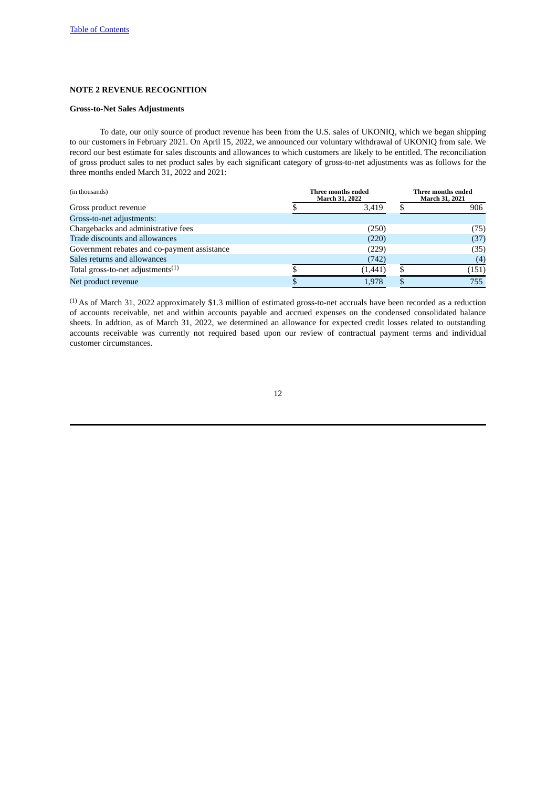# **NOTE 2 REVENUE RECOGNITION**

# **Gross-to-Net Sales Adjustments**

To date, our only source of product revenue has been from the U.S. sales of UKONIQ, which we began shipping to our customers in February 2021. On April 15, 2022, we announced our voluntary withdrawal of UKONIQ from sale. We record our best estimate for sales discounts and allowances to which customers are likely to be entitled. The reconciliation of gross product sales to net product sales by each significant category of gross-to-net adjustments was as follows for the three months ended March 31, 2022 and 2021:

| (in thousands)                               | Three months ended<br><b>March 31, 2022</b> |  | Three months ended<br>March 31, 2021 |
|----------------------------------------------|---------------------------------------------|--|--------------------------------------|
| Gross product revenue                        | 3.419                                       |  | 906                                  |
| Gross-to-net adjustments:                    |                                             |  |                                      |
| Chargebacks and administrative fees          | (250)                                       |  | (75)                                 |
| Trade discounts and allowances               | (220)                                       |  | (37)                                 |
| Government rebates and co-payment assistance | (229)                                       |  | (35)                                 |
| Sales returns and allowances                 | (742)                                       |  | (4)                                  |
| Total gross-to-net adjustments $(1)$         | (1, 441)                                    |  | (151)                                |
| Net product revenue                          | 1,978                                       |  | 755                                  |

(1) As of March 31, 2022 approximately \$1.3 million of estimated gross-to-net accruals have been recorded as a reduction of accounts receivable, net and within accounts payable and accrued expenses on the condensed consolidated balance sheets. In addtion, as of March 31, 2022, we determined an allowance for expected credit losses related to outstanding accounts receivable was currently not required based upon our review of contractual payment terms and individual customer circumstances.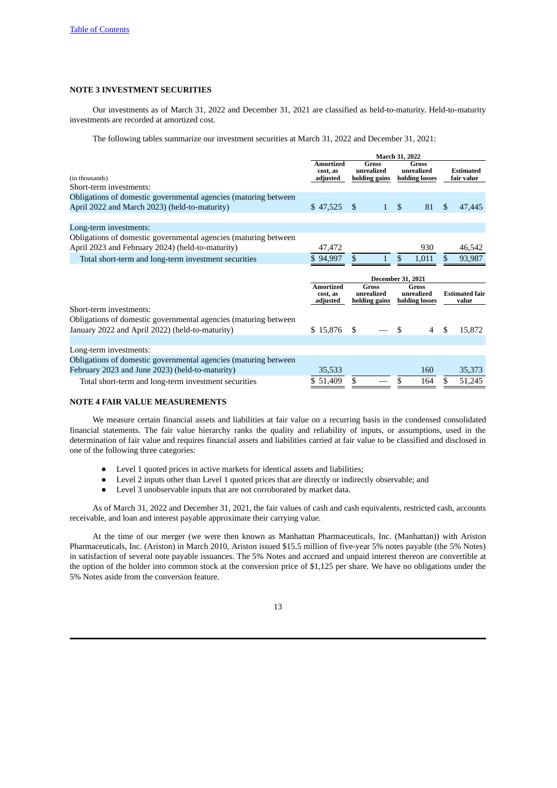# **NOTE 3 INVESTMENT SECURITIES**

Our investments as of March 31, 2022 and December 31, 2021 are classified as held-to-maturity. Held-to-maturity investments are recorded at amortized cost.

The following tables summarize our investment securities at March 31, 2022 and December 31, 2021:

|                                                                 | March 31, 2022                           |                                             |                                       |       |    |                                |
|-----------------------------------------------------------------|------------------------------------------|---------------------------------------------|---------------------------------------|-------|----|--------------------------------|
| (in thousands)                                                  | Amortized<br>cost, as<br>adjusted        | <b>Gross</b><br>unrealized<br>holding gains | Gross<br>unrealized<br>holding losses |       |    | <b>Estimated</b><br>fair value |
| Short-term investments:                                         |                                          |                                             |                                       |       |    |                                |
| Obligations of domestic governmental agencies (maturing between |                                          |                                             |                                       |       |    |                                |
| April 2022 and March 2023) (held-to-maturity)                   | \$47,525                                 | $1 \quad$ \$<br>\$                          |                                       | 81    | \$ | 47,445                         |
|                                                                 |                                          |                                             |                                       |       |    |                                |
| Long-term investments:                                          |                                          |                                             |                                       |       |    |                                |
| Obligations of domestic governmental agencies (maturing between |                                          |                                             |                                       |       |    |                                |
| April 2023 and February 2024) (held-to-maturity)                | 47,472                                   |                                             |                                       | 930   |    | 46,542                         |
| Total short-term and long-term investment securities            | \$94,997                                 | \$                                          | \$                                    | 1,011 | \$ | 93,987                         |
|                                                                 |                                          |                                             |                                       |       |    |                                |
|                                                                 |                                          |                                             |                                       |       |    |                                |
|                                                                 |                                          |                                             | <b>December 31, 2021</b>              |       |    |                                |
|                                                                 | <b>Amortized</b><br>cost, as<br>adjusted | Gross<br>unrealized<br>holding gains        | Gross<br>unrealized<br>holding losses |       |    | <b>Estimated fair</b><br>value |
| Short-term investments:                                         |                                          |                                             |                                       |       |    |                                |
| Obligations of domestic governmental agencies (maturing between |                                          |                                             |                                       |       |    |                                |
| January 2022 and April 2022) (held-to-maturity)                 | \$15,876                                 | S.                                          | - \$                                  | 4     | \$ | 15,872                         |
|                                                                 |                                          |                                             |                                       |       |    |                                |
| Long-term investments:                                          |                                          |                                             |                                       |       |    |                                |
| Obligations of domestic governmental agencies (maturing between |                                          |                                             |                                       |       |    |                                |
| February 2023 and June 2023) (held-to-maturity)                 | 35,533                                   |                                             |                                       | 160   |    | 35,373                         |

# **NOTE 4 FAIR VALUE MEASUREMENTS**

We measure certain financial assets and liabilities at fair value on a recurring basis in the condensed consolidated financial statements. The fair value hierarchy ranks the quality and reliability of inputs, or assumptions, used in the determination of fair value and requires financial assets and liabilities carried at fair value to be classified and disclosed in one of the following three categories:

- Level 1 quoted prices in active markets for identical assets and liabilities;
- Level 2 inputs other than Level 1 quoted prices that are directly or indirectly observable; and
- Level 3 unobservable inputs that are not corroborated by market data.

As of March 31, 2022 and December 31, 2021, the fair values of cash and cash equivalents, restricted cash, accounts receivable, and loan and interest payable approximate their carrying value.

At the time of our merger (we were then known as Manhattan Pharmaceuticals, Inc. (Manhattan)) with Ariston Pharmaceuticals, Inc. (Ariston) in March 2010, Ariston issued \$15.5 million of five-year 5% notes payable (the 5% Notes) in satisfaction of several note payable issuances. The 5% Notes and accrued and unpaid interest thereon are convertible at the option of the holder into common stock at the conversion price of \$1,125 per share. We have no obligations under the 5% Notes aside from the conversion feature.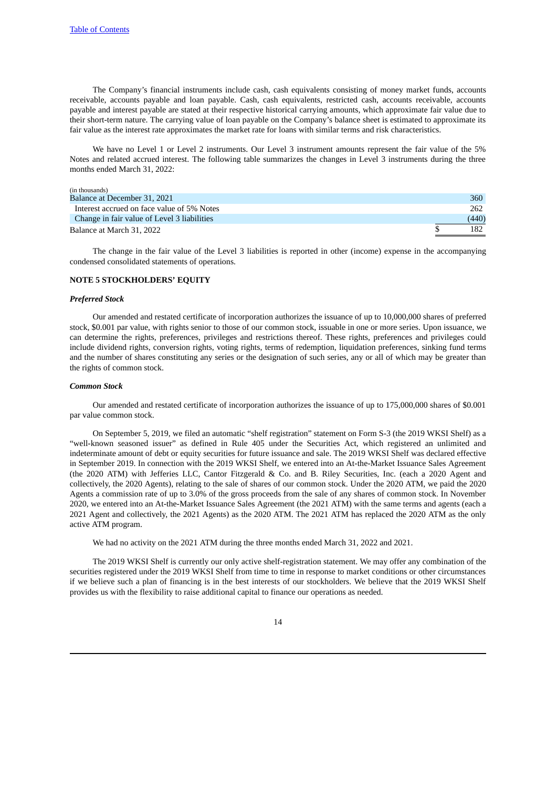The Company's financial instruments include cash, cash equivalents consisting of money market funds, accounts receivable, accounts payable and loan payable. Cash, cash equivalents, restricted cash, accounts receivable, accounts payable and interest payable are stated at their respective historical carrying amounts, which approximate fair value due to their short-term nature. The carrying value of loan payable on the Company's balance sheet is estimated to approximate its fair value as the interest rate approximates the market rate for loans with similar terms and risk characteristics.

We have no Level 1 or Level 2 instruments. Our Level 3 instrument amounts represent the fair value of the 5% Notes and related accrued interest. The following table summarizes the changes in Level 3 instruments during the three months ended March 31, 2022:

(in thousands)

| Balance at December 31, 2021                | 360   |
|---------------------------------------------|-------|
| Interest accrued on face value of 5% Notes  | 262   |
| Change in fair value of Level 3 liabilities | (440) |
| Balance at March 31, 2022                   | 182.  |

The change in the fair value of the Level 3 liabilities is reported in other (income) expense in the accompanying condensed consolidated statements of operations.

## **NOTE 5 STOCKHOLDERS' EQUITY**

#### *Preferred Stock*

Our amended and restated certificate of incorporation authorizes the issuance of up to 10,000,000 shares of preferred stock, \$0.001 par value, with rights senior to those of our common stock, issuable in one or more series. Upon issuance, we can determine the rights, preferences, privileges and restrictions thereof. These rights, preferences and privileges could include dividend rights, conversion rights, voting rights, terms of redemption, liquidation preferences, sinking fund terms and the number of shares constituting any series or the designation of such series, any or all of which may be greater than the rights of common stock.

# *Common Stock*

Our amended and restated certificate of incorporation authorizes the issuance of up to 175,000,000 shares of \$0.001 par value common stock.

On September 5, 2019, we filed an automatic "shelf registration" statement on Form S-3 (the 2019 WKSI Shelf) as a "well-known seasoned issuer" as defined in Rule 405 under the Securities Act, which registered an unlimited and indeterminate amount of debt or equity securities for future issuance and sale. The 2019 WKSI Shelf was declared effective in September 2019. In connection with the 2019 WKSI Shelf, we entered into an At-the-Market Issuance Sales Agreement (the 2020 ATM) with Jefferies LLC, Cantor Fitzgerald & Co. and B. Riley Securities, Inc. (each a 2020 Agent and collectively, the 2020 Agents), relating to the sale of shares of our common stock. Under the 2020 ATM, we paid the 2020 Agents a commission rate of up to 3.0% of the gross proceeds from the sale of any shares of common stock. In November 2020, we entered into an At-the-Market Issuance Sales Agreement (the 2021 ATM) with the same terms and agents (each a 2021 Agent and collectively, the 2021 Agents) as the 2020 ATM. The 2021 ATM has replaced the 2020 ATM as the only active ATM program.

We had no activity on the 2021 ATM during the three months ended March 31, 2022 and 2021.

The 2019 WKSI Shelf is currently our only active shelf-registration statement. We may offer any combination of the securities registered under the 2019 WKSI Shelf from time to time in response to market conditions or other circumstances if we believe such a plan of financing is in the best interests of our stockholders. We believe that the 2019 WKSI Shelf provides us with the flexibility to raise additional capital to finance our operations as needed.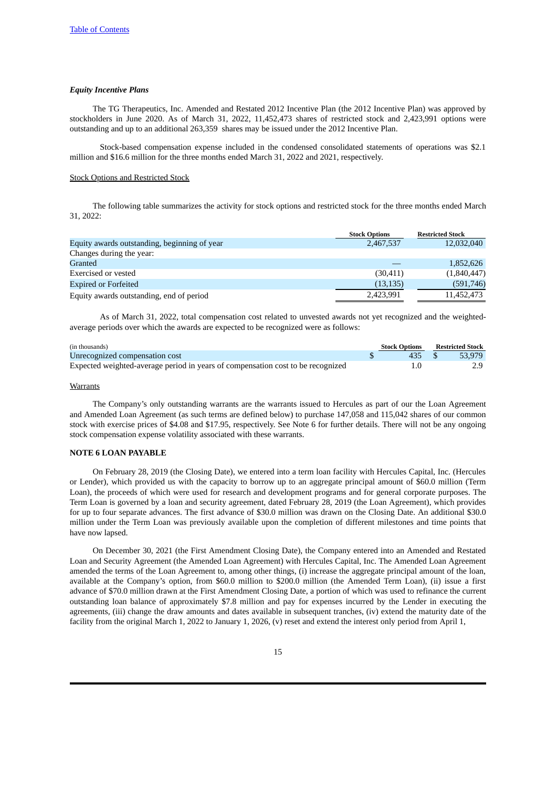# *Equity Incentive Plans*

The TG Therapeutics, Inc. Amended and Restated 2012 Incentive Plan (the 2012 Incentive Plan) was approved by stockholders in June 2020. As of March 31, 2022, 11,452,473 shares of restricted stock and 2,423,991 options were outstanding and up to an additional 263,359 shares may be issued under the 2012 Incentive Plan.

Stock-based compensation expense included in the condensed consolidated statements of operations was \$2.1 million and \$16.6 million for the three months ended March 31, 2022 and 2021, respectively.

## Stock Options and Restricted Stock

The following table summarizes the activity for stock options and restricted stock for the three months ended March 31, 2022:

| <b>Stock Options</b> | <b>Restricted Stock</b> |
|----------------------|-------------------------|
| 2,467,537            | 12,032,040              |
|                      |                         |
|                      | 1,852,626               |
| (30, 411)            | (1,840,447)             |
| (13, 135)            | (591,746)               |
| 2,423,991            | 11,452,473              |
|                      |                         |

As of March 31, 2022, total compensation cost related to unvested awards not yet recognized and the weightedaverage periods over which the awards are expected to be recognized were as follows:

| (in thousands)                                                                  | <b>Stock Options</b> Restricted Stock |        |
|---------------------------------------------------------------------------------|---------------------------------------|--------|
| Unrecognized compensation cost                                                  | 435 S                                 | 53.979 |
| Expected weighted-average period in years of compensation cost to be recognized |                                       | 2.9    |

# Warrants

The Company's only outstanding warrants are the warrants issued to Hercules as part of our the Loan Agreement and Amended Loan Agreement (as such terms are defined below) to purchase 147,058 and 115,042 shares of our common stock with exercise prices of \$4.08 and \$17.95, respectively. See Note 6 for further details. There will not be any ongoing stock compensation expense volatility associated with these warrants.

# **NOTE 6 LOAN PAYABLE**

On February 28, 2019 (the Closing Date), we entered into a term loan facility with Hercules Capital, Inc. (Hercules or Lender), which provided us with the capacity to borrow up to an aggregate principal amount of \$60.0 million (Term Loan), the proceeds of which were used for research and development programs and for general corporate purposes. The Term Loan is governed by a loan and security agreement, dated February 28, 2019 (the Loan Agreement), which provides for up to four separate advances. The first advance of \$30.0 million was drawn on the Closing Date. An additional \$30.0 million under the Term Loan was previously available upon the completion of different milestones and time points that have now lapsed.

On December 30, 2021 (the First Amendment Closing Date), the Company entered into an Amended and Restated Loan and Security Agreement (the Amended Loan Agreement) with Hercules Capital, Inc. The Amended Loan Agreement amended the terms of the Loan Agreement to, among other things, (i) increase the aggregate principal amount of the loan, available at the Company's option, from \$60.0 million to \$200.0 million (the Amended Term Loan), (ii) issue a first advance of \$70.0 million drawn at the First Amendment Closing Date, a portion of which was used to refinance the current outstanding loan balance of approximately \$7.8 million and pay for expenses incurred by the Lender in executing the agreements, (iii) change the draw amounts and dates available in subsequent tranches, (iv) extend the maturity date of the facility from the original March 1, 2022 to January 1, 2026, (v) reset and extend the interest only period from April 1,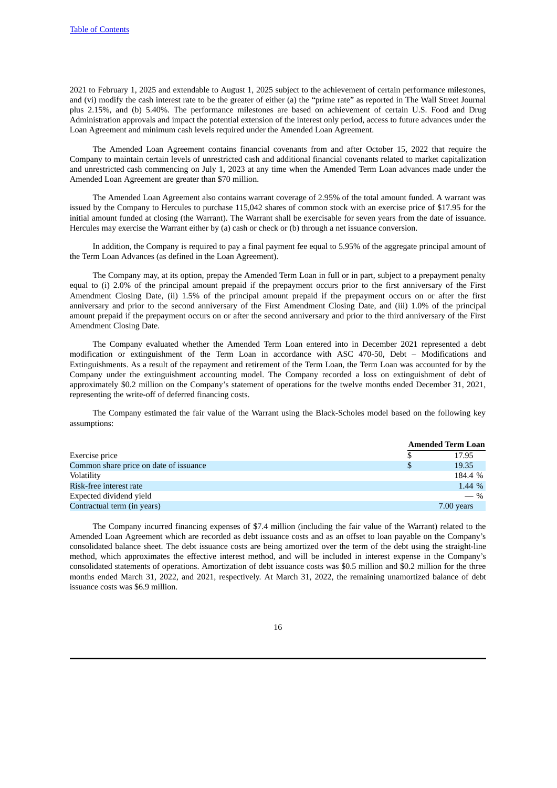2021 to February 1, 2025 and extendable to August 1, 2025 subject to the achievement of certain performance milestones, and (vi) modify the cash interest rate to be the greater of either (a) the "prime rate" as reported in The Wall Street Journal plus 2.15%, and (b) 5.40%. The performance milestones are based on achievement of certain U.S. Food and Drug Administration approvals and impact the potential extension of the interest only period, access to future advances under the Loan Agreement and minimum cash levels required under the Amended Loan Agreement.

The Amended Loan Agreement contains financial covenants from and after October 15, 2022 that require the Company to maintain certain levels of unrestricted cash and additional financial covenants related to market capitalization and unrestricted cash commencing on July 1, 2023 at any time when the Amended Term Loan advances made under the Amended Loan Agreement are greater than \$70 million.

The Amended Loan Agreement also contains warrant coverage of 2.95% of the total amount funded. A warrant was issued by the Company to Hercules to purchase 115,042 shares of common stock with an exercise price of \$17.95 for the initial amount funded at closing (the Warrant). The Warrant shall be exercisable for seven years from the date of issuance. Hercules may exercise the Warrant either by (a) cash or check or (b) through a net issuance conversion.

In addition, the Company is required to pay a final payment fee equal to 5.95% of the aggregate principal amount of the Term Loan Advances (as defined in the Loan Agreement).

The Company may, at its option, prepay the Amended Term Loan in full or in part, subject to a prepayment penalty equal to (i) 2.0% of the principal amount prepaid if the prepayment occurs prior to the first anniversary of the First Amendment Closing Date, (ii) 1.5% of the principal amount prepaid if the prepayment occurs on or after the first anniversary and prior to the second anniversary of the First Amendment Closing Date, and (iii) 1.0% of the principal amount prepaid if the prepayment occurs on or after the second anniversary and prior to the third anniversary of the First Amendment Closing Date.

The Company evaluated whether the Amended Term Loan entered into in December 2021 represented a debt modification or extinguishment of the Term Loan in accordance with ASC 470-50, Debt – Modifications and Extinguishments. As a result of the repayment and retirement of the Term Loan, the Term Loan was accounted for by the Company under the extinguishment accounting model. The Company recorded a loss on extinguishment of debt of approximately \$0.2 million on the Company's statement of operations for the twelve months ended December 31, 2021, representing the write-off of deferred financing costs.

The Company estimated the fair value of the Warrant using the Black-Scholes model based on the following key assumptions:

|                                        | <b>Amended Term Loan</b> |  |  |
|----------------------------------------|--------------------------|--|--|
| Exercise price                         | 17.95                    |  |  |
| Common share price on date of issuance | 19.35                    |  |  |
| Volatility                             | 184.4 %                  |  |  |
| Risk-free interest rate                | 1.44 %                   |  |  |
| Expected dividend yield                | $-$ %                    |  |  |
| Contractual term (in years)            | 7.00 years               |  |  |

The Company incurred financing expenses of \$7.4 million (including the fair value of the Warrant) related to the Amended Loan Agreement which are recorded as debt issuance costs and as an offset to loan payable on the Company's consolidated balance sheet. The debt issuance costs are being amortized over the term of the debt using the straight-line method, which approximates the effective interest method, and will be included in interest expense in the Company's consolidated statements of operations. Amortization of debt issuance costs was \$0.5 million and \$0.2 million for the three months ended March 31, 2022, and 2021, respectively. At March 31, 2022, the remaining unamortized balance of debt issuance costs was \$6.9 million.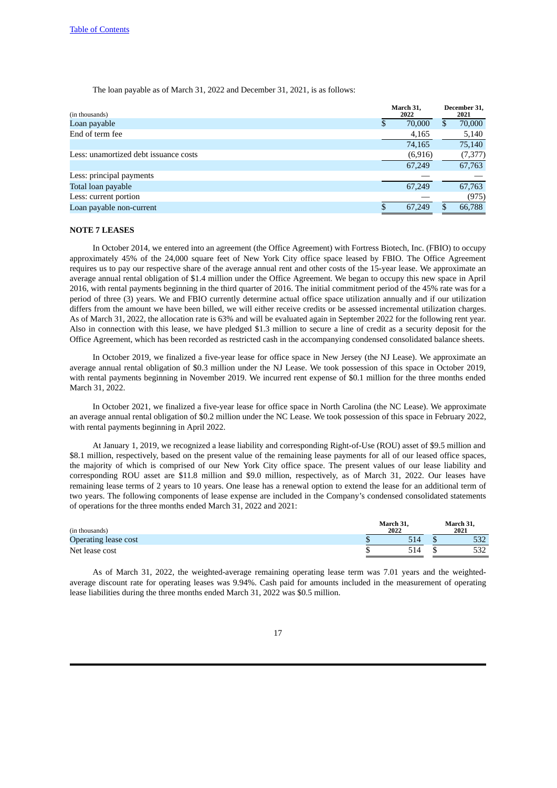The loan payable as of March 31, 2022 and December 31, 2021, is as follows:

| (in thousands)                        |   | March 31,<br>2022 |   | December 31,<br>2021 |
|---------------------------------------|---|-------------------|---|----------------------|
| Loan payable                          | S | 70,000            | S | 70,000               |
| End of term fee                       |   | 4,165             |   | 5,140                |
|                                       |   | 74,165            |   | 75,140               |
| Less: unamortized debt issuance costs |   | (6, 916)          |   | (7, 377)             |
|                                       |   | 67,249            |   | 67,763               |
| Less: principal payments              |   |                   |   |                      |
| Total loan payable                    |   | 67,249            |   | 67,763               |
| Less: current portion                 |   |                   |   | (975)                |
| Loan payable non-current              |   | 67.249            |   | 66,788               |

# **NOTE 7 LEASES**

In October 2014, we entered into an agreement (the Office Agreement) with Fortress Biotech, Inc. (FBIO) to occupy approximately 45% of the 24,000 square feet of New York City office space leased by FBIO. The Office Agreement requires us to pay our respective share of the average annual rent and other costs of the 15-year lease. We approximate an average annual rental obligation of \$1.4 million under the Office Agreement. We began to occupy this new space in April 2016, with rental payments beginning in the third quarter of 2016. The initial commitment period of the 45% rate was for a period of three (3) years. We and FBIO currently determine actual office space utilization annually and if our utilization differs from the amount we have been billed, we will either receive credits or be assessed incremental utilization charges. As of March 31, 2022, the allocation rate is 63% and will be evaluated again in September 2022 for the following rent year. Also in connection with this lease, we have pledged \$1.3 million to secure a line of credit as a security deposit for the Office Agreement, which has been recorded as restricted cash in the accompanying condensed consolidated balance sheets.

In October 2019, we finalized a five-year lease for office space in New Jersey (the NJ Lease). We approximate an average annual rental obligation of \$0.3 million under the NJ Lease. We took possession of this space in October 2019, with rental payments beginning in November 2019. We incurred rent expense of \$0.1 million for the three months ended March 31, 2022.

In October 2021, we finalized a five-year lease for office space in North Carolina (the NC Lease). We approximate an average annual rental obligation of \$0.2 million under the NC Lease. We took possession of this space in February 2022, with rental payments beginning in April 2022.

At January 1, 2019, we recognized a lease liability and corresponding Right-of-Use (ROU) asset of \$9.5 million and \$8.1 million, respectively, based on the present value of the remaining lease payments for all of our leased office spaces, the majority of which is comprised of our New York City office space. The present values of our lease liability and corresponding ROU asset are \$11.8 million and \$9.0 million, respectively, as of March 31, 2022. Our leases have remaining lease terms of 2 years to 10 years. One lease has a renewal option to extend the lease for an additional term of two years. The following components of lease expense are included in the Company's condensed consolidated statements of operations for the three months ended March 31, 2022 and 2021:

| (in thousands)       | March 31, |     | March 31,<br>2021 |     |
|----------------------|-----------|-----|-------------------|-----|
| Operating lease cost |           | 514 | ٠D                | 532 |
| Net lease cost       |           |     |                   | 532 |

As of March 31, 2022, the weighted-average remaining operating lease term was 7.01 years and the weightedaverage discount rate for operating leases was 9.94%. Cash paid for amounts included in the measurement of operating lease liabilities during the three months ended March 31, 2022 was \$0.5 million.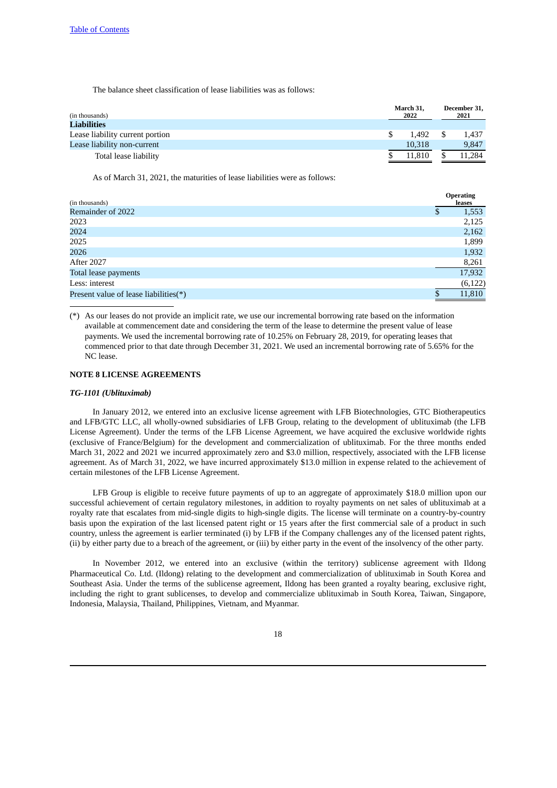The balance sheet classification of lease liabilities was as follows:

| (in thousands)                  | March 31,<br>2022 |        | December 31,<br>2021 |        |
|---------------------------------|-------------------|--------|----------------------|--------|
| <b>Liabilities</b>              |                   |        |                      |        |
| Lease liability current portion |                   | 1.492  |                      | 1.437  |
| Lease liability non-current     |                   | 10.318 |                      | 9,847  |
| Total lease liability           |                   | 11.810 |                      | 11.284 |

As of March 31, 2021, the maturities of lease liabilities were as follows:

| (in thousands)                        |    | <b>Operating</b><br>leases |
|---------------------------------------|----|----------------------------|
| Remainder of 2022                     | Φ  | 1,553                      |
| 2023                                  |    | 2,125                      |
| 2024                                  |    | 2,162                      |
| 2025                                  |    | 1,899                      |
| 2026                                  |    | 1,932                      |
| After 2027                            |    | 8,261                      |
| Total lease payments                  |    | 17,932                     |
| Less: interest                        |    | (6, 122)                   |
| Present value of lease liabilities(*) | \$ | 11,810                     |

(\*) As our leases do not provide an implicit rate, we use our incremental borrowing rate based on the information available at commencement date and considering the term of the lease to determine the present value of lease payments. We used the incremental borrowing rate of 10.25% on February 28, 2019, for operating leases that commenced prior to that date through December 31, 2021. We used an incremental borrowing rate of 5.65% for the NC lease.

# **NOTE 8 LICENSE AGREEMENTS**

#### *TG-1101 (Ublituximab)*

In January 2012, we entered into an exclusive license agreement with LFB Biotechnologies, GTC Biotherapeutics and LFB/GTC LLC, all wholly-owned subsidiaries of LFB Group, relating to the development of ublituximab (the LFB License Agreement). Under the terms of the LFB License Agreement, we have acquired the exclusive worldwide rights (exclusive of France/Belgium) for the development and commercialization of ublituximab. For the three months ended March 31, 2022 and 2021 we incurred approximately zero and \$3.0 million, respectively, associated with the LFB license agreement. As of March 31, 2022, we have incurred approximately \$13.0 million in expense related to the achievement of certain milestones of the LFB License Agreement.

LFB Group is eligible to receive future payments of up to an aggregate of approximately \$18.0 million upon our successful achievement of certain regulatory milestones, in addition to royalty payments on net sales of ublituximab at a royalty rate that escalates from mid-single digits to high-single digits. The license will terminate on a country-by-country basis upon the expiration of the last licensed patent right or 15 years after the first commercial sale of a product in such country, unless the agreement is earlier terminated (i) by LFB if the Company challenges any of the licensed patent rights, (ii) by either party due to a breach of the agreement, or (iii) by either party in the event of the insolvency of the other party.

In November 2012, we entered into an exclusive (within the territory) sublicense agreement with Ildong Pharmaceutical Co. Ltd. (Ildong) relating to the development and commercialization of ublituximab in South Korea and Southeast Asia. Under the terms of the sublicense agreement, Ildong has been granted a royalty bearing, exclusive right, including the right to grant sublicenses, to develop and commercialize ublituximab in South Korea, Taiwan, Singapore, Indonesia, Malaysia, Thailand, Philippines, Vietnam, and Myanmar.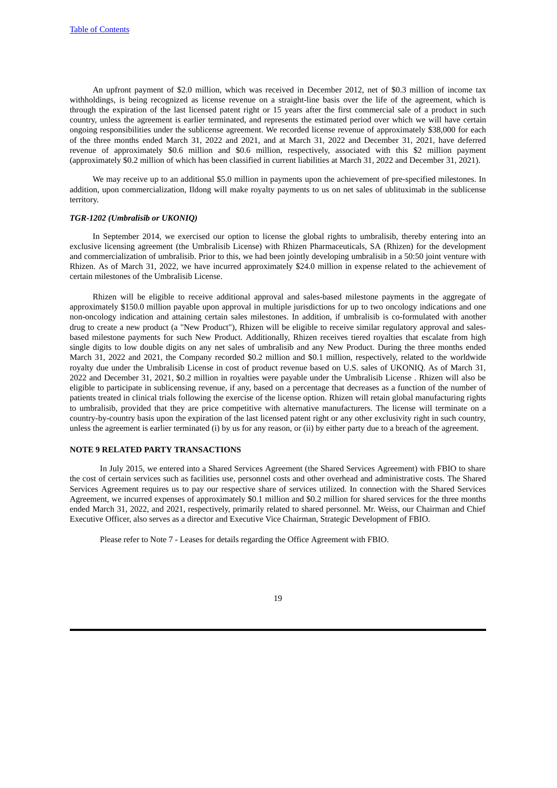An upfront payment of \$2.0 million, which was received in December 2012, net of \$0.3 million of income tax withholdings, is being recognized as license revenue on a straight-line basis over the life of the agreement, which is through the expiration of the last licensed patent right or 15 years after the first commercial sale of a product in such country, unless the agreement is earlier terminated, and represents the estimated period over which we will have certain ongoing responsibilities under the sublicense agreement. We recorded license revenue of approximately \$38,000 for each of the three months ended March 31, 2022 and 2021, and at March 31, 2022 and December 31, 2021, have deferred revenue of approximately \$0.6 million and \$0.6 million, respectively, associated with this \$2 million payment (approximately \$0.2 million of which has been classified in current liabilities at March 31, 2022 and December 31, 2021).

We may receive up to an additional \$5.0 million in payments upon the achievement of pre-specified milestones. In addition, upon commercialization, Ildong will make royalty payments to us on net sales of ublituximab in the sublicense territory.

# *TGR-1202 (Umbralisib or UKONIQ)*

In September 2014, we exercised our option to license the global rights to umbralisib, thereby entering into an exclusive licensing agreement (the Umbralisib License) with Rhizen Pharmaceuticals, SA (Rhizen) for the development and commercialization of umbralisib. Prior to this, we had been jointly developing umbralisib in a 50:50 joint venture with Rhizen. As of March 31, 2022, we have incurred approximately \$24.0 million in expense related to the achievement of certain milestones of the Umbralisib License.

Rhizen will be eligible to receive additional approval and sales-based milestone payments in the aggregate of approximately \$150.0 million payable upon approval in multiple jurisdictions for up to two oncology indications and one non-oncology indication and attaining certain sales milestones. In addition, if umbralisib is co-formulated with another drug to create a new product (a "New Product"), Rhizen will be eligible to receive similar regulatory approval and salesbased milestone payments for such New Product. Additionally, Rhizen receives tiered royalties that escalate from high single digits to low double digits on any net sales of umbralisib and any New Product. During the three months ended March 31, 2022 and 2021, the Company recorded \$0.2 million and \$0.1 million, respectively, related to the worldwide royalty due under the Umbralisib License in cost of product revenue based on U.S. sales of UKONIQ. As of March 31, 2022 and December 31, 2021, \$0.2 million in royalties were payable under the Umbralisib License . Rhizen will also be eligible to participate in sublicensing revenue, if any, based on a percentage that decreases as a function of the number of patients treated in clinical trials following the exercise of the license option. Rhizen will retain global manufacturing rights to umbralisib, provided that they are price competitive with alternative manufacturers. The license will terminate on a country-by-country basis upon the expiration of the last licensed patent right or any other exclusivity right in such country, unless the agreement is earlier terminated (i) by us for any reason, or (ii) by either party due to a breach of the agreement.

# **NOTE 9 RELATED PARTY TRANSACTIONS**

In July 2015, we entered into a Shared Services Agreement (the Shared Services Agreement) with FBIO to share the cost of certain services such as facilities use, personnel costs and other overhead and administrative costs. The Shared Services Agreement requires us to pay our respective share of services utilized. In connection with the Shared Services Agreement, we incurred expenses of approximately \$0.1 million and \$0.2 million for shared services for the three months ended March 31, 2022, and 2021, respectively, primarily related to shared personnel. Mr. Weiss, our Chairman and Chief Executive Officer, also serves as a director and Executive Vice Chairman, Strategic Development of FBIO.

Please refer to Note 7 - Leases for details regarding the Office Agreement with FBIO.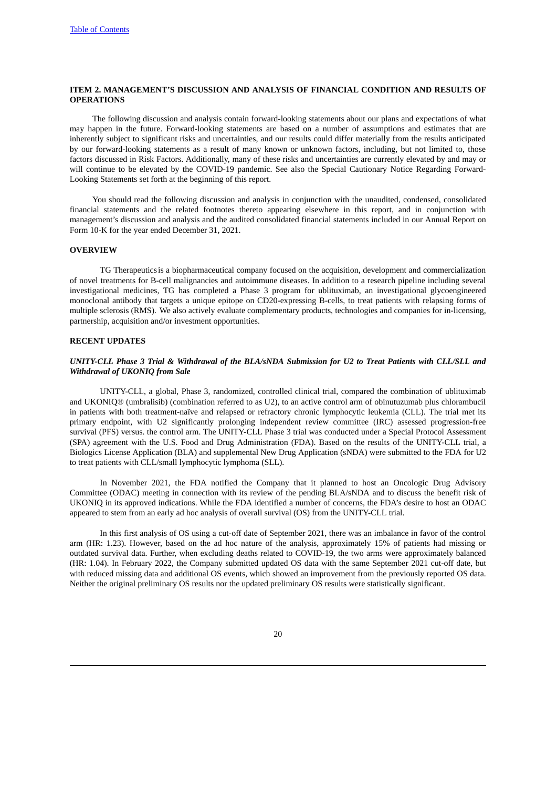# <span id="page-19-0"></span>**ITEM 2. MANAGEMENT'S DISCUSSION AND ANALYSIS OF FINANCIAL CONDITION AND RESULTS OF OPERATIONS**

The following discussion and analysis contain forward-looking statements about our plans and expectations of what may happen in the future. Forward-looking statements are based on a number of assumptions and estimates that are inherently subject to significant risks and uncertainties, and our results could differ materially from the results anticipated by our forward-looking statements as a result of many known or unknown factors, including, but not limited to, those factors discussed in Risk Factors. Additionally, many of these risks and uncertainties are currently elevated by and may or will continue to be elevated by the COVID-19 pandemic. See also the Special Cautionary Notice Regarding Forward-Looking Statements set forth at the beginning of this report.

You should read the following discussion and analysis in conjunction with the unaudited, condensed, consolidated financial statements and the related footnotes thereto appearing elsewhere in this report, and in conjunction with management's discussion and analysis and the audited consolidated financial statements included in our Annual Report on Form 10-K for the year ended December 31, 2021.

# **OVERVIEW**

TG Therapeuticsis a biopharmaceutical company focused on the acquisition, development and commercialization of novel treatments for B-cell malignancies and autoimmune diseases. In addition to a research pipeline including several investigational medicines, TG has completed a Phase 3 program for ublituximab, an investigational glycoengineered monoclonal antibody that targets a unique epitope on CD20-expressing B-cells, to treat patients with relapsing forms of multiple sclerosis (RMS). We also actively evaluate complementary products, technologies and companies for in-licensing, partnership, acquisition and/or investment opportunities.

#### **RECENT UPDATES**

# UNITY-CLL Phase 3 Trial & Withdrawal of the BLA/sNDA Submission for U2 to Treat Patients with CLL/SLL and *Withdrawal of UKONIQ from Sale*

UNITY-CLL, a global, Phase 3, randomized, controlled clinical trial, compared the combination of ublituximab and UKONIQ® (umbralisib) (combination referred to as U2), to an active control arm of obinutuzumab plus chlorambucil in patients with both treatment-naïve and relapsed or refractory chronic lymphocytic leukemia (CLL). The trial met its primary endpoint, with U2 significantly prolonging independent review committee (IRC) assessed progression-free survival (PFS) versus. the control arm. The UNITY-CLL Phase 3 trial was conducted under a Special Protocol Assessment (SPA) agreement with the U.S. Food and Drug Administration (FDA). Based on the results of the UNITY-CLL trial, a Biologics License Application (BLA) and supplemental New Drug Application (sNDA) were submitted to the FDA for U2 to treat patients with CLL/small lymphocytic lymphoma (SLL).

In November 2021, the FDA notified the Company that it planned to host an Oncologic Drug Advisory Committee (ODAC) meeting in connection with its review of the pending BLA/sNDA and to discuss the benefit risk of UKONIQ in its approved indications. While the FDA identified a number of concerns, the FDA's desire to host an ODAC appeared to stem from an early ad hoc analysis of overall survival (OS) from the UNITY-CLL trial.

In this first analysis of OS using a cut-off date of September 2021, there was an imbalance in favor of the control arm (HR: 1.23). However, based on the ad hoc nature of the analysis, approximately 15% of patients had missing or outdated survival data. Further, when excluding deaths related to COVID-19, the two arms were approximately balanced (HR: 1.04). In February 2022, the Company submitted updated OS data with the same September 2021 cut-off date, but with reduced missing data and additional OS events, which showed an improvement from the previously reported OS data. Neither the original preliminary OS results nor the updated preliminary OS results were statistically significant.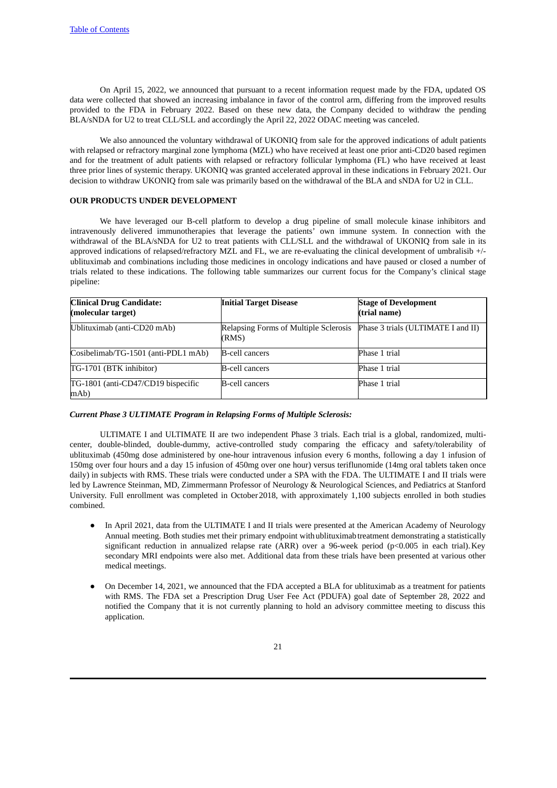On April 15, 2022, we announced that pursuant to a recent information request made by the FDA, updated OS data were collected that showed an increasing imbalance in favor of the control arm, differing from the improved results provided to the FDA in February 2022. Based on these new data, the Company decided to withdraw the pending BLA/sNDA for U2 to treat CLL/SLL and accordingly the April 22, 2022 ODAC meeting was canceled.

We also announced the voluntary withdrawal of UKONIQ from sale for the approved indications of adult patients with relapsed or refractory marginal zone lymphoma (MZL) who have received at least one prior anti-CD20 based regimen and for the treatment of adult patients with relapsed or refractory follicular lymphoma (FL) who have received at least three prior lines of systemic therapy. UKONIQ was granted accelerated approval in these indications in February 2021. Our decision to withdraw UKONIQ from sale was primarily based on the withdrawal of the BLA and sNDA for U2 in CLL.

# **OUR PRODUCTS UNDER DEVELOPMENT**

We have leveraged our B-cell platform to develop a drug pipeline of small molecule kinase inhibitors and intravenously delivered immunotherapies that leverage the patients' own immune system. In connection with the withdrawal of the BLA/sNDA for U2 to treat patients with CLL/SLL and the withdrawal of UKONIQ from sale in its approved indications of relapsed/refractory MZL and FL, we are re-evaluating the clinical development of umbralisib +/ ublituximab and combinations including those medicines in oncology indications and have paused or closed a number of trials related to these indications. The following table summarizes our current focus for the Company's clinical stage pipeline:

| <b>Clinical Drug Candidate:</b><br>(molecular target) | <b>Initial Target Disease</b>                  | <b>Stage of Development</b><br>(trial name) |
|-------------------------------------------------------|------------------------------------------------|---------------------------------------------|
| Ublituximab (anti-CD20 mAb)                           | Relapsing Forms of Multiple Sclerosis<br>(RMS) | Phase 3 trials (ULTIMATE I and II)          |
| Cosibelimab/TG-1501 (anti-PDL1 mAb)                   | B-cell cancers                                 | Phase 1 trial                               |
| TG-1701 (BTK inhibitor)                               | <b>B-cell cancers</b>                          | Phase 1 trial                               |
| TG-1801 (anti-CD47/CD19 bispecific<br>mAb)            | <b>B-cell cancers</b>                          | Phase 1 trial                               |

# *Current Phase 3 ULTIMATE Program in Relapsing Forms of Multiple Sclerosis:*

ULTIMATE I and ULTIMATE II are two independent Phase 3 trials. Each trial is a global, randomized, multicenter, double-blinded, double-dummy, active-controlled study comparing the efficacy and safety/tolerability of ublituximab (450mg dose administered by one-hour intravenous infusion every 6 months, following a day 1 infusion of 150mg over four hours and a day 15 infusion of 450mg over one hour) versus teriflunomide (14mg oral tablets taken once daily) in subjects with RMS. These trials were conducted under a SPA with the FDA. The ULTIMATE I and II trials were led by Lawrence Steinman, MD, Zimmermann Professor of Neurology & Neurological Sciences, and Pediatrics at Stanford University. Full enrollment was completed in October2018, with approximately 1,100 subjects enrolled in both studies combined.

- In April 2021, data from the ULTIMATE I and II trials were presented at the American Academy of Neurology Annual meeting. Both studies met their primary endpoint withublituximabtreatment demonstrating a statistically significant reduction in annualized relapse rate (ARR) over a 96-week period (p<0.005 in each trial). Key secondary MRI endpoints were also met. Additional data from these trials have been presented at various other medical meetings.
- On December 14, 2021, we announced that the FDA accepted a BLA for ublituximab as a treatment for patients with RMS. The FDA set a Prescription Drug User Fee Act (PDUFA) goal date of September 28, 2022 and notified the Company that it is not currently planning to hold an advisory committee meeting to discuss this application.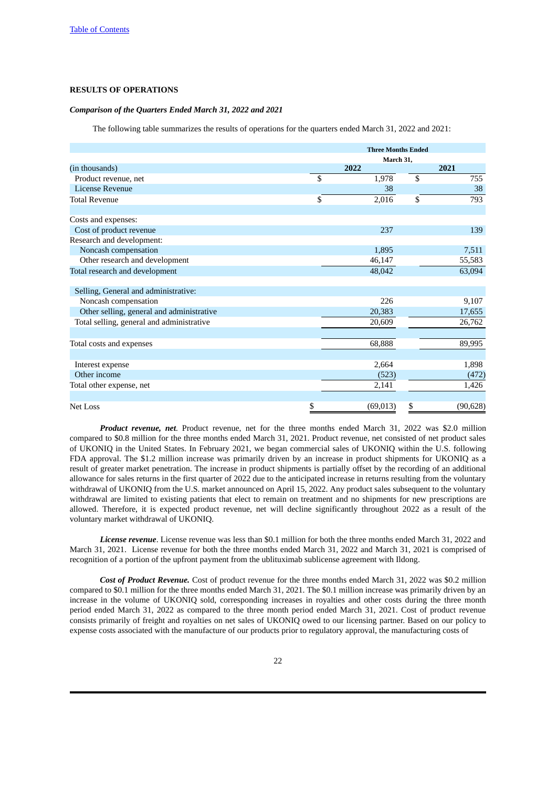# **RESULTS OF OPERATIONS**

# *Comparison of the Quarters Ended March 31, 2022 and 2021*

The following table summarizes the results of operations for the quarters ended March 31, 2022 and 2021:

|                                           | <b>Three Months Ended</b> |                          |           |  |
|-------------------------------------------|---------------------------|--------------------------|-----------|--|
|                                           | March 31,                 |                          |           |  |
| (in thousands)                            | 2022                      |                          | 2021      |  |
| Product revenue, net                      | \$<br>1,978               | $\overline{\mathcal{S}}$ | 755       |  |
| License Revenue                           | 38                        |                          | 38        |  |
| <b>Total Revenue</b>                      | \$<br>2,016               | \$                       | 793       |  |
| Costs and expenses:                       |                           |                          |           |  |
| Cost of product revenue                   | 237                       |                          | 139       |  |
| Research and development:                 |                           |                          |           |  |
| Noncash compensation                      | 1,895                     |                          | 7,511     |  |
| Other research and development            | 46,147                    |                          | 55,583    |  |
| Total research and development            | 48,042                    |                          | 63,094    |  |
|                                           |                           |                          |           |  |
| Selling, General and administrative:      | 226                       |                          |           |  |
| Noncash compensation                      |                           |                          | 9,107     |  |
| Other selling, general and administrative | 20,383                    |                          | 17,655    |  |
| Total selling, general and administrative | 20,609                    |                          | 26,762    |  |
| Total costs and expenses                  | 68,888                    |                          | 89,995    |  |
|                                           |                           |                          |           |  |
| Interest expense                          | 2,664                     |                          | 1,898     |  |
| Other income                              | (523)                     |                          | (472)     |  |
| Total other expense, net                  | 2,141                     |                          | 1,426     |  |
|                                           |                           |                          |           |  |
| <b>Net Loss</b>                           | \$<br>(69, 013)           | \$                       | (90, 628) |  |

*Product revenue, net.* Product revenue, net for the three months ended March 31, 2022 was \$2.0 million compared to \$0.8 million for the three months ended March 31, 2021. Product revenue, net consisted of net product sales of UKONIQ in the United States. In February 2021, we began commercial sales of UKONIQ within the U.S. following FDA approval. The \$1.2 million increase was primarily driven by an increase in product shipments for UKONIQ as a result of greater market penetration. The increase in product shipments is partially offset by the recording of an additional allowance for sales returns in the first quarter of 2022 due to the anticipated increase in returns resulting from the voluntary withdrawal of UKONIQ from the U.S. market announced on April 15, 2022. Any product sales subsequent to the voluntary withdrawal are limited to existing patients that elect to remain on treatment and no shipments for new prescriptions are allowed. Therefore, it is expected product revenue, net will decline significantly throughout 2022 as a result of the voluntary market withdrawal of UKONIQ.

*License revenue*. License revenue was less than \$0.1 million for both the three months ended March 31, 2022 and March 31, 2021. License revenue for both the three months ended March 31, 2022 and March 31, 2021 is comprised of recognition of a portion of the upfront payment from the ublituximab sublicense agreement with Ildong.

*Cost of Product Revenue.* Cost of product revenue for the three months ended March 31, 2022 was \$0.2 million compared to \$0.1 million for the three months ended March 31, 2021. The \$0.1 million increase was primarily driven by an increase in the volume of UKONIQ sold, corresponding increases in royalties and other costs during the three month period ended March 31, 2022 as compared to the three month period ended March 31, 2021. Cost of product revenue consists primarily of freight and royalties on net sales of UKONIQ owed to our licensing partner. Based on our policy to expense costs associated with the manufacture of our products prior to regulatory approval, the manufacturing costs of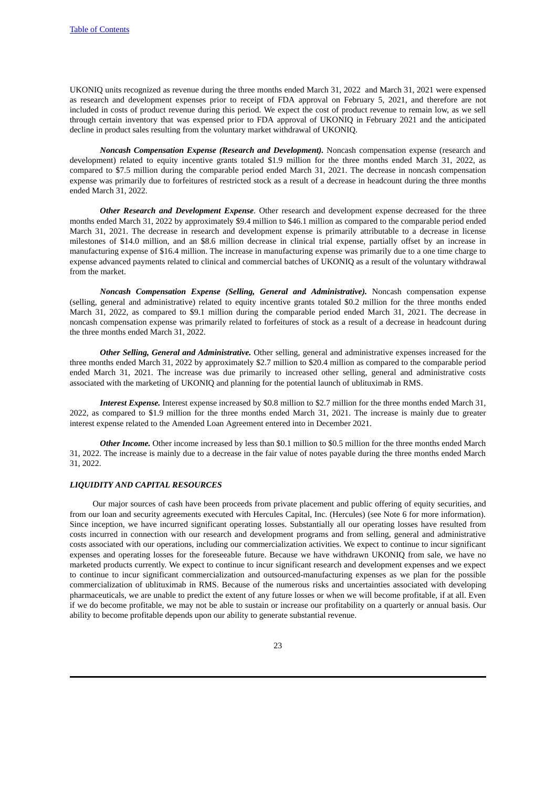UKONIQ units recognized as revenue during the three months ended March 31, 2022 and March 31, 2021 were expensed as research and development expenses prior to receipt of FDA approval on February 5, 2021, and therefore are not included in costs of product revenue during this period. We expect the cost of product revenue to remain low, as we sell through certain inventory that was expensed prior to FDA approval of UKONIQ in February 2021 and the anticipated decline in product sales resulting from the voluntary market withdrawal of UKONIQ.

*Noncash Compensation Expense (Research and Development).* Noncash compensation expense (research and development) related to equity incentive grants totaled \$1.9 million for the three months ended March 31, 2022, as compared to \$7.5 million during the comparable period ended March 31, 2021. The decrease in noncash compensation expense was primarily due to forfeitures of restricted stock as a result of a decrease in headcount during the three months ended March 31, 2022.

*Other Research and Development Expense.* Other research and development expense decreased for the three months ended March 31, 2022 by approximately \$9.4 million to \$46.1 million as compared to the comparable period ended March 31, 2021. The decrease in research and development expense is primarily attributable to a decrease in license milestones of \$14.0 million, and an \$8.6 million decrease in clinical trial expense, partially offset by an increase in manufacturing expense of \$16.4 million. The increase in manufacturing expense was primarily due to a one time charge to expense advanced payments related to clinical and commercial batches of UKONIQ as a result of the voluntary withdrawal from the market.

*Noncash Compensation Expense (Selling, General and Administrative).* Noncash compensation expense (selling, general and administrative) related to equity incentive grants totaled \$0.2 million for the three months ended March 31, 2022, as compared to \$9.1 million during the comparable period ended March 31, 2021. The decrease in noncash compensation expense was primarily related to forfeitures of stock as a result of a decrease in headcount during the three months ended March 31, 2022.

*Other Selling, General and Administrative.* Other selling, general and administrative expenses increased for the three months ended March 31, 2022 by approximately \$2.7 million to \$20.4 million as compared to the comparable period ended March 31, 2021. The increase was due primarily to increased other selling, general and administrative costs associated with the marketing of UKONIQ and planning for the potential launch of ublituximab in RMS.

*Interest Expense.* Interest expense increased by \$0.8 million to \$2.7 million for the three months ended March 31, 2022, as compared to \$1.9 million for the three months ended March 31, 2021. The increase is mainly due to greater interest expense related to the Amended Loan Agreement entered into in December 2021.

*Other Income.* Other income increased by less than \$0.1 million to \$0.5 million for the three months ended March 31, 2022. The increase is mainly due to a decrease in the fair value of notes payable during the three months ended March 31, 2022.

# *LIQUIDITY AND CAPITAL RESOURCES*

Our major sources of cash have been proceeds from private placement and public offering of equity securities, and from our loan and security agreements executed with Hercules Capital, Inc. (Hercules) (see Note 6 for more information). Since inception, we have incurred significant operating losses. Substantially all our operating losses have resulted from costs incurred in connection with our research and development programs and from selling, general and administrative costs associated with our operations, including our commercialization activities. We expect to continue to incur significant expenses and operating losses for the foreseeable future. Because we have withdrawn UKONIQ from sale, we have no marketed products currently. We expect to continue to incur significant research and development expenses and we expect to continue to incur significant commercialization and outsourced-manufacturing expenses as we plan for the possible commercialization of ublituximab in RMS. Because of the numerous risks and uncertainties associated with developing pharmaceuticals, we are unable to predict the extent of any future losses or when we will become profitable, if at all. Even if we do become profitable, we may not be able to sustain or increase our profitability on a quarterly or annual basis. Our ability to become profitable depends upon our ability to generate substantial revenue.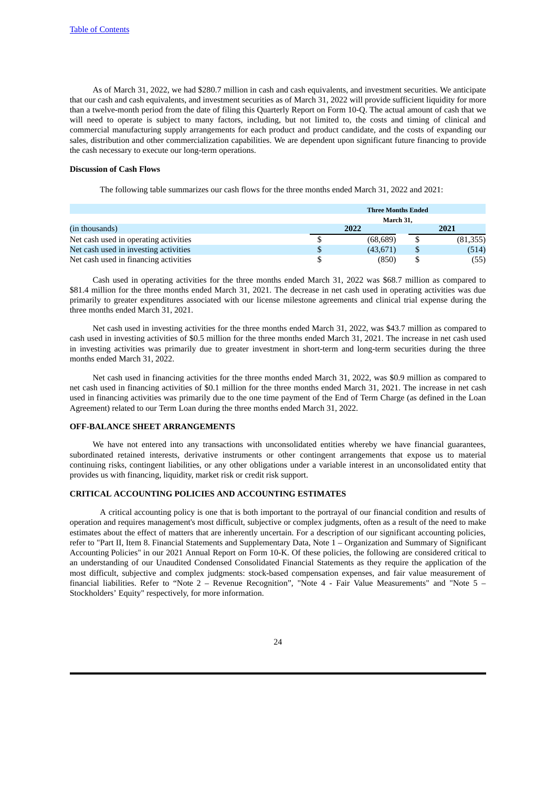As of March 31, 2022, we had \$280.7 million in cash and cash equivalents, and investment securities. We anticipate that our cash and cash equivalents, and investment securities as of March 31, 2022 will provide sufficient liquidity for more than a twelve-month period from the date of filing this Quarterly Report on Form 10-Q. The actual amount of cash that we will need to operate is subject to many factors, including, but not limited to, the costs and timing of clinical and commercial manufacturing supply arrangements for each product and product candidate, and the costs of expanding our sales, distribution and other commercialization capabilities. We are dependent upon significant future financing to provide the cash necessary to execute our long-term operations.

## **Discussion of Cash Flows**

The following table summarizes our cash flows for the three months ended March 31, 2022 and 2021:

|                                       | <b>Three Months Ended</b> |      |          |  |
|---------------------------------------|---------------------------|------|----------|--|
|                                       | March 31,                 |      |          |  |
| (in thousands)                        | 2022                      | 2021 |          |  |
| Net cash used in operating activities | (68, 689)                 |      | (81,355) |  |
| Net cash used in investing activities | (43,671)                  |      | (514)    |  |
| Net cash used in financing activities | (850)                     | \$   | (55)     |  |

Cash used in operating activities for the three months ended March 31, 2022 was \$68.7 million as compared to \$81.4 million for the three months ended March 31, 2021. The decrease in net cash used in operating activities was due primarily to greater expenditures associated with our license milestone agreements and clinical trial expense during the three months ended March 31, 2021.

Net cash used in investing activities for the three months ended March 31, 2022, was \$43.7 million as compared to cash used in investing activities of \$0.5 million for the three months ended March 31, 2021. The increase in net cash used in investing activities was primarily due to greater investment in short-term and long-term securities during the three months ended March 31, 2022.

Net cash used in financing activities for the three months ended March 31, 2022, was \$0.9 million as compared to net cash used in financing activities of \$0.1 million for the three months ended March 31, 2021. The increase in net cash used in financing activities was primarily due to the one time payment of the End of Term Charge (as defined in the Loan Agreement) related to our Term Loan during the three months ended March 31, 2022.

# **OFF-BALANCE SHEET ARRANGEMENTS**

We have not entered into any transactions with unconsolidated entities whereby we have financial guarantees, subordinated retained interests, derivative instruments or other contingent arrangements that expose us to material continuing risks, contingent liabilities, or any other obligations under a variable interest in an unconsolidated entity that provides us with financing, liquidity, market risk or credit risk support.

## **CRITICAL ACCOUNTING POLICIES AND ACCOUNTING ESTIMATES**

A critical accounting policy is one that is both important to the portrayal of our financial condition and results of operation and requires management's most difficult, subjective or complex judgments, often as a result of the need to make estimates about the effect of matters that are inherently uncertain. For a description of our significant accounting policies, refer to "Part II, Item 8. Financial Statements and Supplementary Data, Note 1 – Organization and Summary of Significant Accounting Policies" in our 2021 Annual Report on Form 10-K. Of these policies, the following are considered critical to an understanding of our Unaudited Condensed Consolidated Financial Statements as they require the application of the most difficult, subjective and complex judgments: stock-based compensation expenses, and fair value measurement of financial liabilities. Refer to "Note 2 – Revenue Recognition", "Note 4 - Fair Value Measurements" and "Note 5 – Stockholders' Equity" respectively, for more information.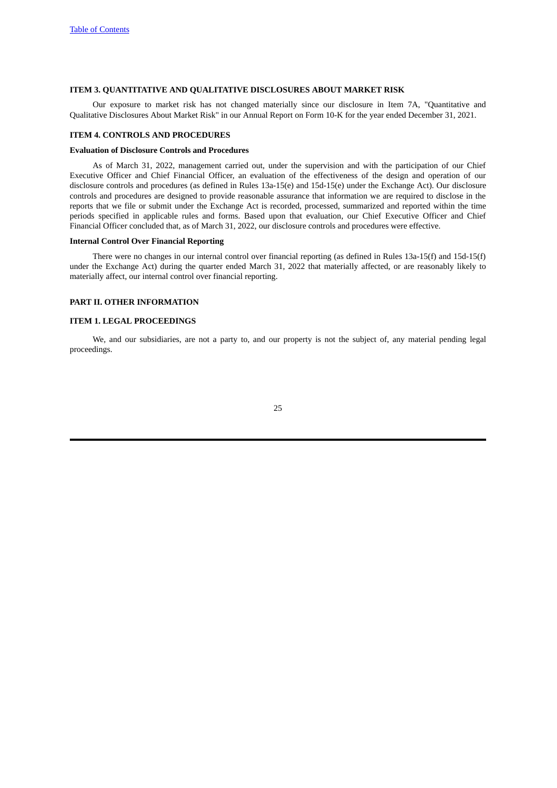# <span id="page-24-0"></span>**ITEM 3. QUANTITATIVE AND QUALITATIVE DISCLOSURES ABOUT MARKET RISK**

Our exposure to market risk has not changed materially since our disclosure in Item 7A, "Quantitative and Qualitative Disclosures About Market Risk" in our Annual Report on Form 10-K for the year ended December 31, 2021.

#### <span id="page-24-1"></span>**ITEM 4. CONTROLS AND PROCEDURES**

#### **Evaluation of Disclosure Controls and Procedures**

As of March 31, 2022, management carried out, under the supervision and with the participation of our Chief Executive Officer and Chief Financial Officer, an evaluation of the effectiveness of the design and operation of our disclosure controls and procedures (as defined in Rules 13a-15(e) and 15d-15(e) under the Exchange Act). Our disclosure controls and procedures are designed to provide reasonable assurance that information we are required to disclose in the reports that we file or submit under the Exchange Act is recorded, processed, summarized and reported within the time periods specified in applicable rules and forms. Based upon that evaluation, our Chief Executive Officer and Chief Financial Officer concluded that, as of March 31, 2022, our disclosure controls and procedures were effective.

## **Internal Control Over Financial Reporting**

There were no changes in our internal control over financial reporting (as defined in Rules 13a-15(f) and 15d-15(f) under the Exchange Act) during the quarter ended March 31, 2022 that materially affected, or are reasonably likely to materially affect, our internal control over financial reporting.

# <span id="page-24-2"></span>**PART II. OTHER INFORMATION**

#### <span id="page-24-3"></span>**ITEM 1. LEGAL PROCEEDINGS**

We, and our subsidiaries, are not a party to, and our property is not the subject of, any material pending legal proceedings.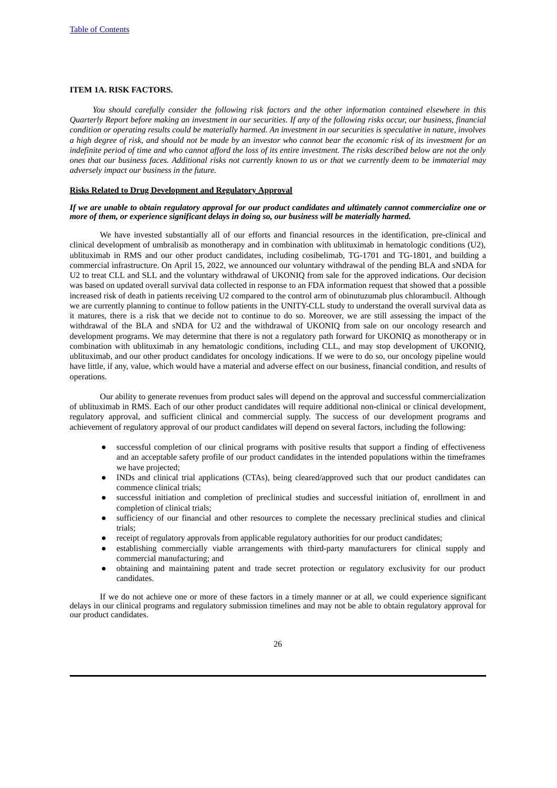# <span id="page-25-0"></span>**ITEM 1A. RISK FACTORS.**

*You should carefully consider the following risk factors and the other information contained elsewhere in this* Quarterly Report before making an investment in our securities. If any of the following risks occur, our business, financial condition or operating results could be materially harmed. An investment in our securities is speculative in nature, involves a high degree of risk, and should not be made by an investor who cannot bear the economic risk of its investment for an indefinite period of time and who cannot afford the loss of its entire investment. The risks described below are not the only ones that our business faces. Additional risks not currently known to us or that we currently deem to be immaterial may *adversely impact our business in the future.*

#### **Risks Related to Drug Development and Regulatory Approval**

#### If we are unable to obtain regulatory approval for our product candidates and ultimately cannot commercialize one or *more of them, or experience significant delays in doing so, our business will be materially harmed.*

We have invested substantially all of our efforts and financial resources in the identification, pre-clinical and clinical development of umbralisib as monotherapy and in combination with ublituximab in hematologic conditions (U2), ublituximab in RMS and our other product candidates, including cosibelimab, TG-1701 and TG-1801, and building a commercial infrastructure. On April 15, 2022, we announced our voluntary withdrawal of the pending BLA and sNDA for U2 to treat CLL and SLL and the voluntary withdrawal of UKONIQ from sale for the approved indications. Our decision was based on updated overall survival data collected in response to an FDA information request that showed that a possible increased risk of death in patients receiving U2 compared to the control arm of obinutuzumab plus chlorambucil. Although we are currently planning to continue to follow patients in the UNITY-CLL study to understand the overall survival data as it matures, there is a risk that we decide not to continue to do so. Moreover, we are still assessing the impact of the withdrawal of the BLA and sNDA for U2 and the withdrawal of UKONIO from sale on our oncology research and development programs. We may determine that there is not a regulatory path forward for UKONIQ as monotherapy or in combination with ublituximab in any hematologic conditions, including CLL, and may stop development of UKONIQ, ublituximab, and our other product candidates for oncology indications. If we were to do so, our oncology pipeline would have little, if any, value, which would have a material and adverse effect on our business, financial condition, and results of operations.

Our ability to generate revenues from product sales will depend on the approval and successful commercialization of ublituximab in RMS. Each of our other product candidates will require additional non-clinical or clinical development, regulatory approval, and sufficient clinical and commercial supply. The success of our development programs and achievement of regulatory approval of our product candidates will depend on several factors, including the following:

- successful completion of our clinical programs with positive results that support a finding of effectiveness and an acceptable safety profile of our product candidates in the intended populations within the timeframes we have projected;
- INDs and clinical trial applications (CTAs), being cleared/approved such that our product candidates can commence clinical trials;
- successful initiation and completion of preclinical studies and successful initiation of, enrollment in and completion of clinical trials;
- sufficiency of our financial and other resources to complete the necessary preclinical studies and clinical trials;
- receipt of regulatory approvals from applicable regulatory authorities for our product candidates;
- establishing commercially viable arrangements with third-party manufacturers for clinical supply and commercial manufacturing; and
- obtaining and maintaining patent and trade secret protection or regulatory exclusivity for our product candidates.

If we do not achieve one or more of these factors in a timely manner or at all, we could experience significant delays in our clinical programs and regulatory submission timelines and may not be able to obtain regulatory approval for our product candidates.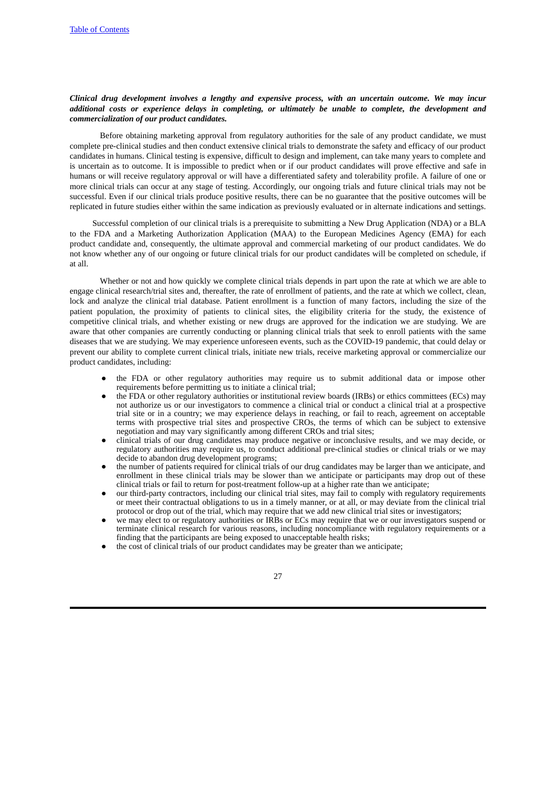# *Clinical drug development involves a lengthy and expensive process, with an uncertain outcome. We may incur additional costs or experience delays in completing, or ultimately be unable to complete, the development and commercialization of our product candidates.*

Before obtaining marketing approval from regulatory authorities for the sale of any product candidate, we must complete pre-clinical studies and then conduct extensive clinical trials to demonstrate the safety and efficacy of our product candidates in humans. Clinical testing is expensive, difficult to design and implement, can take many years to complete and is uncertain as to outcome. It is impossible to predict when or if our product candidates will prove effective and safe in humans or will receive regulatory approval or will have a differentiated safety and tolerability profile. A failure of one or more clinical trials can occur at any stage of testing. Accordingly, our ongoing trials and future clinical trials may not be successful. Even if our clinical trials produce positive results, there can be no guarantee that the positive outcomes will be replicated in future studies either within the same indication as previously evaluated or in alternate indications and settings.

Successful completion of our clinical trials is a prerequisite to submitting a New Drug Application (NDA) or a BLA to the FDA and a Marketing Authorization Application (MAA) to the European Medicines Agency (EMA) for each product candidate and, consequently, the ultimate approval and commercial marketing of our product candidates. We do not know whether any of our ongoing or future clinical trials for our product candidates will be completed on schedule, if at all.

Whether or not and how quickly we complete clinical trials depends in part upon the rate at which we are able to engage clinical research/trial sites and, thereafter, the rate of enrollment of patients, and the rate at which we collect, clean, lock and analyze the clinical trial database. Patient enrollment is a function of many factors, including the size of the patient population, the proximity of patients to clinical sites, the eligibility criteria for the study, the existence of competitive clinical trials, and whether existing or new drugs are approved for the indication we are studying. We are aware that other companies are currently conducting or planning clinical trials that seek to enroll patients with the same diseases that we are studying. We may experience unforeseen events, such as the COVID-19 pandemic, that could delay or prevent our ability to complete current clinical trials, initiate new trials, receive marketing approval or commercialize our product candidates, including:

- the FDA or other regulatory authorities may require us to submit additional data or impose other requirements before permitting us to initiate a clinical trial;
- the FDA or other regulatory authorities or institutional review boards (IRBs) or ethics committees (ECs) may not authorize us or our investigators to commence a clinical trial or conduct a clinical trial at a prospective trial site or in a country; we may experience delays in reaching, or fail to reach, agreement on acceptable terms with prospective trial sites and prospective CROs, the terms of which can be subject to extensive negotiation and may vary significantly among different CROs and trial sites;
- clinical trials of our drug candidates may produce negative or inconclusive results, and we may decide, or regulatory authorities may require us, to conduct additional pre-clinical studies or clinical trials or we may decide to abandon drug development programs;
- the number of patients required for clinical trials of our drug candidates may be larger than we anticipate, and enrollment in these clinical trials may be slower than we anticipate or participants may drop out of these clinical trials or fail to return for post-treatment follow-up at a higher rate than we anticipate;
- our third-party contractors, including our clinical trial sites, may fail to comply with regulatory requirements or meet their contractual obligations to us in a timely manner, or at all, or may deviate from the clinical trial protocol or drop out of the trial, which may require that we add new clinical trial sites or investigators;
- we may elect to or regulatory authorities or IRBs or ECs may require that we or our investigators suspend or terminate clinical research for various reasons, including noncompliance with regulatory requirements or a finding that the participants are being exposed to unacceptable health risks;
- the cost of clinical trials of our product candidates may be greater than we anticipate;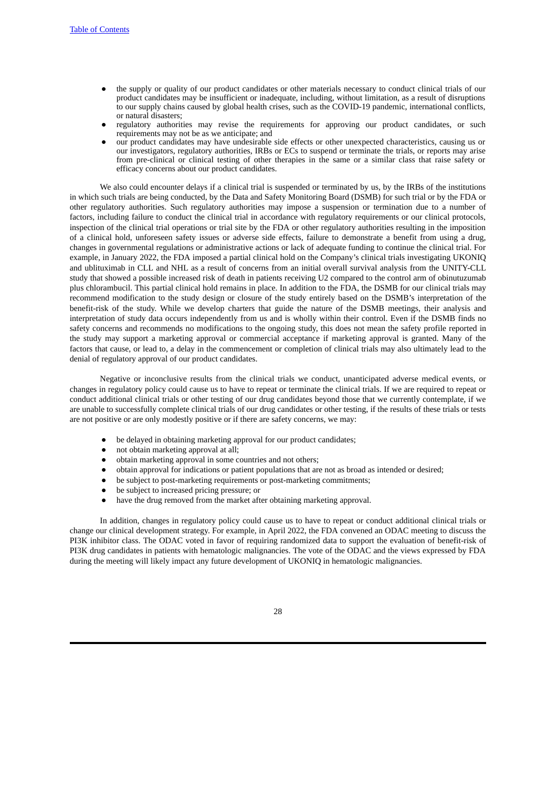- the supply or quality of our product candidates or other materials necessary to conduct clinical trials of our product candidates may be insufficient or inadequate, including, without limitation, as a result of disruptions to our supply chains caused by global health crises, such as the COVID-19 pandemic, international conflicts, or natural disasters;
- regulatory authorities may revise the requirements for approving our product candidates, or such requirements may not be as we anticipate; and
- our product candidates may have undesirable side effects or other unexpected characteristics, causing us or our investigators, regulatory authorities, IRBs or ECs to suspend or terminate the trials, or reports may arise from pre-clinical or clinical testing of other therapies in the same or a similar class that raise safety or efficacy concerns about our product candidates.

We also could encounter delays if a clinical trial is suspended or terminated by us, by the IRBs of the institutions in which such trials are being conducted, by the Data and Safety Monitoring Board (DSMB) for such trial or by the FDA or other regulatory authorities. Such regulatory authorities may impose a suspension or termination due to a number of factors, including failure to conduct the clinical trial in accordance with regulatory requirements or our clinical protocols, inspection of the clinical trial operations or trial site by the FDA or other regulatory authorities resulting in the imposition of a clinical hold, unforeseen safety issues or adverse side effects, failure to demonstrate a benefit from using a drug, changes in governmental regulations or administrative actions or lack of adequate funding to continue the clinical trial. For example, in January 2022, the FDA imposed a partial clinical hold on the Company's clinical trials investigating UKONIQ and ublituximab in CLL and NHL as a result of concerns from an initial overall survival analysis from the UNITY-CLL study that showed a possible increased risk of death in patients receiving U2 compared to the control arm of obinutuzumab plus chlorambucil. This partial clinical hold remains in place. In addition to the FDA, the DSMB for our clinical trials may recommend modification to the study design or closure of the study entirely based on the DSMB's interpretation of the benefit-risk of the study. While we develop charters that guide the nature of the DSMB meetings, their analysis and interpretation of study data occurs independently from us and is wholly within their control. Even if the DSMB finds no safety concerns and recommends no modifications to the ongoing study, this does not mean the safety profile reported in the study may support a marketing approval or commercial acceptance if marketing approval is granted. Many of the factors that cause, or lead to, a delay in the commencement or completion of clinical trials may also ultimately lead to the denial of regulatory approval of our product candidates.

Negative or inconclusive results from the clinical trials we conduct, unanticipated adverse medical events, or changes in regulatory policy could cause us to have to repeat or terminate the clinical trials. If we are required to repeat or conduct additional clinical trials or other testing of our drug candidates beyond those that we currently contemplate, if we are unable to successfully complete clinical trials of our drug candidates or other testing, if the results of these trials or tests are not positive or are only modestly positive or if there are safety concerns, we may:

- be delayed in obtaining marketing approval for our product candidates;
- not obtain marketing approval at all;
- obtain marketing approval in some countries and not others;
- obtain approval for indications or patient populations that are not as broad as intended or desired;
- be subject to post-marketing requirements or post-marketing commitments;
- be subject to increased pricing pressure; or
- have the drug removed from the market after obtaining marketing approval.

In addition, changes in regulatory policy could cause us to have to repeat or conduct additional clinical trials or change our clinical development strategy. For example, in April 2022, the FDA convened an ODAC meeting to discuss the PI3K inhibitor class. The ODAC voted in favor of requiring randomized data to support the evaluation of benefit-risk of PI3K drug candidates in patients with hematologic malignancies. The vote of the ODAC and the views expressed by FDA during the meeting will likely impact any future development of UKONIQ in hematologic malignancies.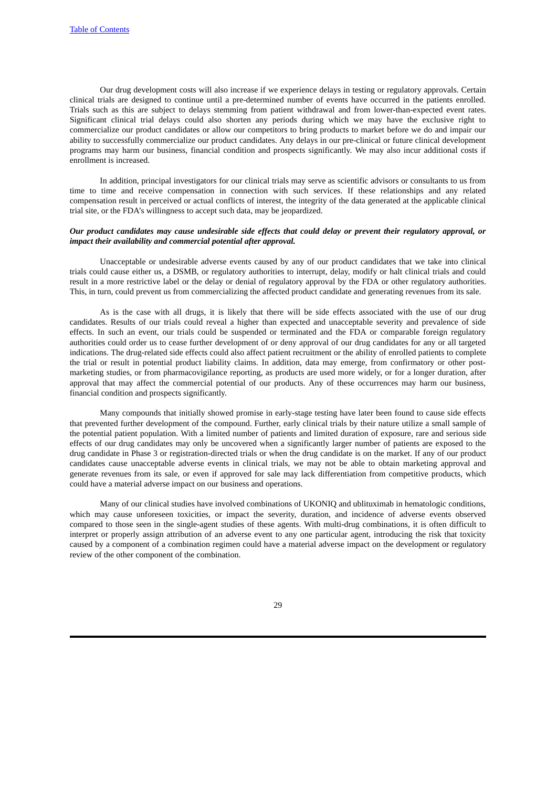Our drug development costs will also increase if we experience delays in testing or regulatory approvals. Certain clinical trials are designed to continue until a pre-determined number of events have occurred in the patients enrolled. Trials such as this are subject to delays stemming from patient withdrawal and from lower-than-expected event rates. Significant clinical trial delays could also shorten any periods during which we may have the exclusive right to commercialize our product candidates or allow our competitors to bring products to market before we do and impair our ability to successfully commercialize our product candidates. Any delays in our pre-clinical or future clinical development programs may harm our business, financial condition and prospects significantly. We may also incur additional costs if enrollment is increased.

In addition, principal investigators for our clinical trials may serve as scientific advisors or consultants to us from time to time and receive compensation in connection with such services. If these relationships and any related compensation result in perceived or actual conflicts of interest, the integrity of the data generated at the applicable clinical trial site, or the FDA's willingness to accept such data, may be jeopardized.

# Our product candidates may cause undesirable side effects that could delay or prevent their regulatory approval, or *impact their availability and commercial potential after approval.*

Unacceptable or undesirable adverse events caused by any of our product candidates that we take into clinical trials could cause either us, a DSMB, or regulatory authorities to interrupt, delay, modify or halt clinical trials and could result in a more restrictive label or the delay or denial of regulatory approval by the FDA or other regulatory authorities. This, in turn, could prevent us from commercializing the affected product candidate and generating revenues from its sale.

As is the case with all drugs, it is likely that there will be side effects associated with the use of our drug candidates. Results of our trials could reveal a higher than expected and unacceptable severity and prevalence of side effects. In such an event, our trials could be suspended or terminated and the FDA or comparable foreign regulatory authorities could order us to cease further development of or deny approval of our drug candidates for any or all targeted indications. The drug-related side effects could also affect patient recruitment or the ability of enrolled patients to complete the trial or result in potential product liability claims. In addition, data may emerge, from confirmatory or other postmarketing studies, or from pharmacovigilance reporting, as products are used more widely, or for a longer duration, after approval that may affect the commercial potential of our products. Any of these occurrences may harm our business, financial condition and prospects significantly.

Many compounds that initially showed promise in early-stage testing have later been found to cause side effects that prevented further development of the compound. Further, early clinical trials by their nature utilize a small sample of the potential patient population. With a limited number of patients and limited duration of exposure, rare and serious side effects of our drug candidates may only be uncovered when a significantly larger number of patients are exposed to the drug candidate in Phase 3 or registration-directed trials or when the drug candidate is on the market. If any of our product candidates cause unacceptable adverse events in clinical trials, we may not be able to obtain marketing approval and generate revenues from its sale, or even if approved for sale may lack differentiation from competitive products, which could have a material adverse impact on our business and operations.

Many of our clinical studies have involved combinations of UKONIQ and ublituximab in hematologic conditions, which may cause unforeseen toxicities, or impact the severity, duration, and incidence of adverse events observed compared to those seen in the single-agent studies of these agents. With multi-drug combinations, it is often difficult to interpret or properly assign attribution of an adverse event to any one particular agent, introducing the risk that toxicity caused by a component of a combination regimen could have a material adverse impact on the development or regulatory review of the other component of the combination.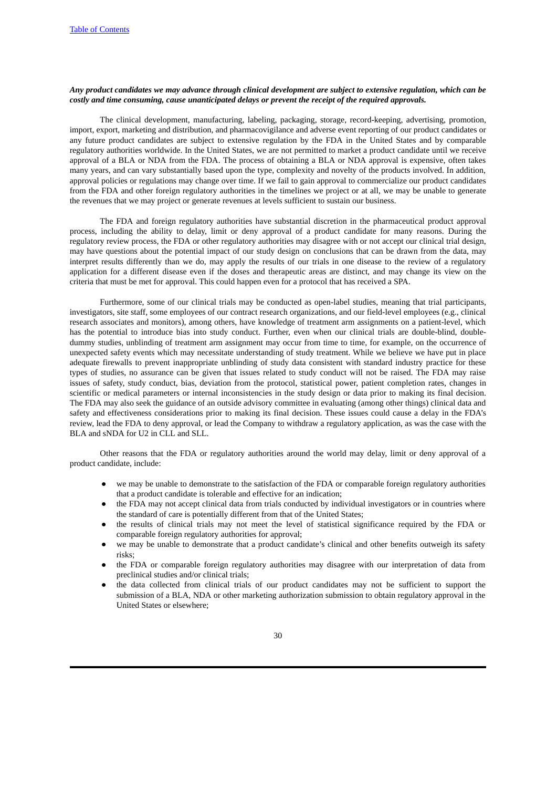# Any product candidates we may advance through clinical development are subject to extensive regulation, which can be *costly and time consuming, cause unanticipated delays or prevent the receipt of the required approvals.*

The clinical development, manufacturing, labeling, packaging, storage, record-keeping, advertising, promotion, import, export, marketing and distribution, and pharmacovigilance and adverse event reporting of our product candidates or any future product candidates are subject to extensive regulation by the FDA in the United States and by comparable regulatory authorities worldwide. In the United States, we are not permitted to market a product candidate until we receive approval of a BLA or NDA from the FDA. The process of obtaining a BLA or NDA approval is expensive, often takes many years, and can vary substantially based upon the type, complexity and novelty of the products involved. In addition, approval policies or regulations may change over time. If we fail to gain approval to commercialize our product candidates from the FDA and other foreign regulatory authorities in the timelines we project or at all, we may be unable to generate the revenues that we may project or generate revenues at levels sufficient to sustain our business.

The FDA and foreign regulatory authorities have substantial discretion in the pharmaceutical product approval process, including the ability to delay, limit or deny approval of a product candidate for many reasons. During the regulatory review process, the FDA or other regulatory authorities may disagree with or not accept our clinical trial design, may have questions about the potential impact of our study design on conclusions that can be drawn from the data, may interpret results differently than we do, may apply the results of our trials in one disease to the review of a regulatory application for a different disease even if the doses and therapeutic areas are distinct, and may change its view on the criteria that must be met for approval. This could happen even for a protocol that has received a SPA.

Furthermore, some of our clinical trials may be conducted as open-label studies, meaning that trial participants, investigators, site staff, some employees of our contract research organizations, and our field-level employees (e.g., clinical research associates and monitors), among others, have knowledge of treatment arm assignments on a patient-level, which has the potential to introduce bias into study conduct. Further, even when our clinical trials are double-blind, doubledummy studies, unblinding of treatment arm assignment may occur from time to time, for example, on the occurrence of unexpected safety events which may necessitate understanding of study treatment. While we believe we have put in place adequate firewalls to prevent inappropriate unblinding of study data consistent with standard industry practice for these types of studies, no assurance can be given that issues related to study conduct will not be raised. The FDA may raise issues of safety, study conduct, bias, deviation from the protocol, statistical power, patient completion rates, changes in scientific or medical parameters or internal inconsistencies in the study design or data prior to making its final decision. The FDA may also seek the guidance of an outside advisory committee in evaluating (among other things) clinical data and safety and effectiveness considerations prior to making its final decision. These issues could cause a delay in the FDA's review, lead the FDA to deny approval, or lead the Company to withdraw a regulatory application, as was the case with the BLA and sNDA for U2 in CLL and SLL.

Other reasons that the FDA or regulatory authorities around the world may delay, limit or deny approval of a product candidate, include:

- we may be unable to demonstrate to the satisfaction of the FDA or comparable foreign regulatory authorities that a product candidate is tolerable and effective for an indication;
- the FDA may not accept clinical data from trials conducted by individual investigators or in countries where the standard of care is potentially different from that of the United States;
- the results of clinical trials may not meet the level of statistical significance required by the FDA or comparable foreign regulatory authorities for approval;
- we may be unable to demonstrate that a product candidate's clinical and other benefits outweigh its safety risks;
- the FDA or comparable foreign regulatory authorities may disagree with our interpretation of data from preclinical studies and/or clinical trials;
- the data collected from clinical trials of our product candidates may not be sufficient to support the submission of a BLA, NDA or other marketing authorization submission to obtain regulatory approval in the United States or elsewhere;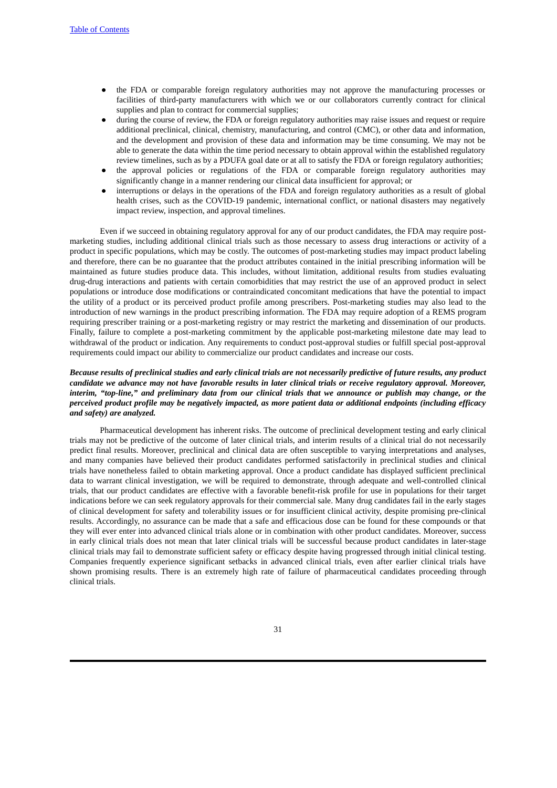- the FDA or comparable foreign regulatory authorities may not approve the manufacturing processes or facilities of third-party manufacturers with which we or our collaborators currently contract for clinical supplies and plan to contract for commercial supplies;
- during the course of review, the FDA or foreign regulatory authorities may raise issues and request or require additional preclinical, clinical, chemistry, manufacturing, and control (CMC), or other data and information, and the development and provision of these data and information may be time consuming. We may not be able to generate the data within the time period necessary to obtain approval within the established regulatory review timelines, such as by a PDUFA goal date or at all to satisfy the FDA or foreign regulatory authorities;
- the approval policies or regulations of the FDA or comparable foreign regulatory authorities may significantly change in a manner rendering our clinical data insufficient for approval; or
- interruptions or delays in the operations of the FDA and foreign regulatory authorities as a result of global health crises, such as the COVID-19 pandemic, international conflict, or national disasters may negatively impact review, inspection, and approval timelines.

Even if we succeed in obtaining regulatory approval for any of our product candidates, the FDA may require postmarketing studies, including additional clinical trials such as those necessary to assess drug interactions or activity of a product in specific populations, which may be costly. The outcomes of post-marketing studies may impact product labeling and therefore, there can be no guarantee that the product attributes contained in the initial prescribing information will be maintained as future studies produce data. This includes, without limitation, additional results from studies evaluating drug-drug interactions and patients with certain comorbidities that may restrict the use of an approved product in select populations or introduce dose modifications or contraindicated concomitant medications that have the potential to impact the utility of a product or its perceived product profile among prescribers. Post-marketing studies may also lead to the introduction of new warnings in the product prescribing information. The FDA may require adoption of a REMS program requiring prescriber training or a post-marketing registry or may restrict the marketing and dissemination of our products. Finally, failure to complete a post-marketing commitment by the applicable post-marketing milestone date may lead to withdrawal of the product or indication. Any requirements to conduct post-approval studies or fulfill special post-approval requirements could impact our ability to commercialize our product candidates and increase our costs.

# Because results of preclinical studies and early clinical trials are not necessarily predictive of future results, any product candidate we advance may not have favorable results in later clinical trials or receive regulatory approval. Moreover, interim, "top-line," and preliminary data from our clinical trials that we announce or publish may change, or the perceived product profile may be negatively impacted, as more patient data or additional endpoints (including efficacy *and safety) are analyzed.*

Pharmaceutical development has inherent risks. The outcome of preclinical development testing and early clinical trials may not be predictive of the outcome of later clinical trials, and interim results of a clinical trial do not necessarily predict final results. Moreover, preclinical and clinical data are often susceptible to varying interpretations and analyses, and many companies have believed their product candidates performed satisfactorily in preclinical studies and clinical trials have nonetheless failed to obtain marketing approval. Once a product candidate has displayed sufficient preclinical data to warrant clinical investigation, we will be required to demonstrate, through adequate and well-controlled clinical trials, that our product candidates are effective with a favorable benefit-risk profile for use in populations for their target indications before we can seek regulatory approvals for their commercial sale. Many drug candidates fail in the early stages of clinical development for safety and tolerability issues or for insufficient clinical activity, despite promising pre-clinical results. Accordingly, no assurance can be made that a safe and efficacious dose can be found for these compounds or that they will ever enter into advanced clinical trials alone or in combination with other product candidates. Moreover, success in early clinical trials does not mean that later clinical trials will be successful because product candidates in later-stage clinical trials may fail to demonstrate sufficient safety or efficacy despite having progressed through initial clinical testing. Companies frequently experience significant setbacks in advanced clinical trials, even after earlier clinical trials have shown promising results. There is an extremely high rate of failure of pharmaceutical candidates proceeding through clinical trials.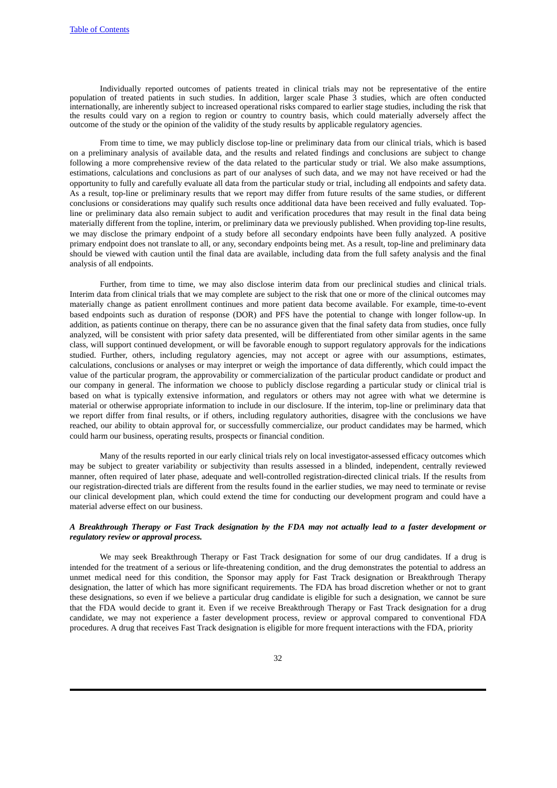Individually reported outcomes of patients treated in clinical trials may not be representative of the entire population of treated patients in such studies. In addition, larger scale Phase 3 studies, which are often conducted internationally, are inherently subject to increased operational risks compared to earlier stage studies, including the risk that the results could vary on a region to region or country to country basis, which could materially adversely affect the outcome of the study or the opinion of the validity of the study results by applicable regulatory agencies.

From time to time, we may publicly disclose top-line or preliminary data from our clinical trials, which is based on a preliminary analysis of available data, and the results and related findings and conclusions are subject to change following a more comprehensive review of the data related to the particular study or trial. We also make assumptions, estimations, calculations and conclusions as part of our analyses of such data, and we may not have received or had the opportunity to fully and carefully evaluate all data from the particular study or trial, including all endpoints and safety data. As a result, top-line or preliminary results that we report may differ from future results of the same studies, or different conclusions or considerations may qualify such results once additional data have been received and fully evaluated. Topline or preliminary data also remain subject to audit and verification procedures that may result in the final data being materially different from the topline, interim, or preliminary data we previously published. When providing top-line results, we may disclose the primary endpoint of a study before all secondary endpoints have been fully analyzed. A positive primary endpoint does not translate to all, or any, secondary endpoints being met. As a result, top-line and preliminary data should be viewed with caution until the final data are available, including data from the full safety analysis and the final analysis of all endpoints.

Further, from time to time, we may also disclose interim data from our preclinical studies and clinical trials. Interim data from clinical trials that we may complete are subject to the risk that one or more of the clinical outcomes may materially change as patient enrollment continues and more patient data become available. For example, time-to-event based endpoints such as duration of response (DOR) and PFS have the potential to change with longer follow-up. In addition, as patients continue on therapy, there can be no assurance given that the final safety data from studies, once fully analyzed, will be consistent with prior safety data presented, will be differentiated from other similar agents in the same class, will support continued development, or will be favorable enough to support regulatory approvals for the indications studied. Further, others, including regulatory agencies, may not accept or agree with our assumptions, estimates, calculations, conclusions or analyses or may interpret or weigh the importance of data differently, which could impact the value of the particular program, the approvability or commercialization of the particular product candidate or product and our company in general. The information we choose to publicly disclose regarding a particular study or clinical trial is based on what is typically extensive information, and regulators or others may not agree with what we determine is material or otherwise appropriate information to include in our disclosure. If the interim, top-line or preliminary data that we report differ from final results, or if others, including regulatory authorities, disagree with the conclusions we have reached, our ability to obtain approval for, or successfully commercialize, our product candidates may be harmed, which could harm our business, operating results, prospects or financial condition.

Many of the results reported in our early clinical trials rely on local investigator-assessed efficacy outcomes which may be subject to greater variability or subjectivity than results assessed in a blinded, independent, centrally reviewed manner, often required of later phase, adequate and well-controlled registration-directed clinical trials. If the results from our registration-directed trials are different from the results found in the earlier studies, we may need to terminate or revise our clinical development plan, which could extend the time for conducting our development program and could have a material adverse effect on our business.

# A Breakthrough Therapy or Fast Track designation by the FDA may not actually lead to a faster development or *regulatory review or approval process.*

We may seek Breakthrough Therapy or Fast Track designation for some of our drug candidates. If a drug is intended for the treatment of a serious or life-threatening condition, and the drug demonstrates the potential to address an unmet medical need for this condition, the Sponsor may apply for Fast Track designation or Breakthrough Therapy designation, the latter of which has more significant requirements. The FDA has broad discretion whether or not to grant these designations, so even if we believe a particular drug candidate is eligible for such a designation, we cannot be sure that the FDA would decide to grant it. Even if we receive Breakthrough Therapy or Fast Track designation for a drug candidate, we may not experience a faster development process, review or approval compared to conventional FDA procedures. A drug that receives Fast Track designation is eligible for more frequent interactions with the FDA, priority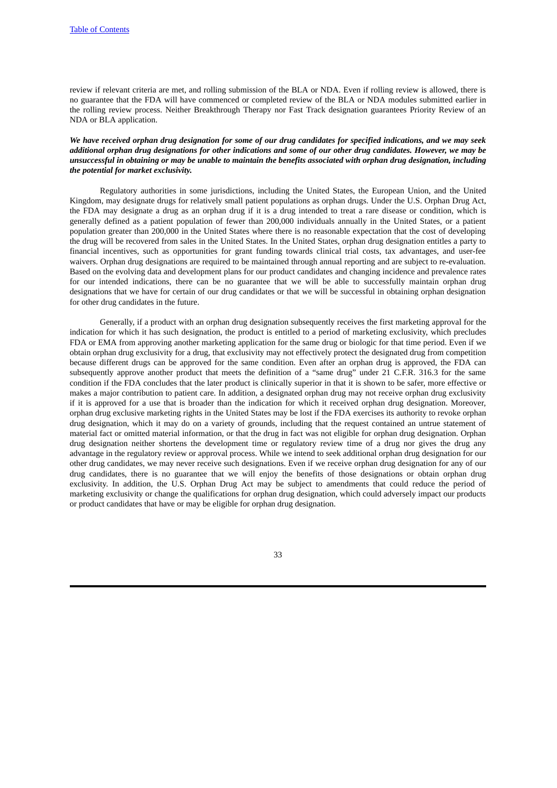review if relevant criteria are met, and rolling submission of the BLA or NDA. Even if rolling review is allowed, there is no guarantee that the FDA will have commenced or completed review of the BLA or NDA modules submitted earlier in the rolling review process. Neither Breakthrough Therapy nor Fast Track designation guarantees Priority Review of an NDA or BLA application.

# We have received orphan drug designation for some of our drug candidates for specified indications, and we may seek additional orphan drug designations for other indications and some of our other drug candidates. However, we may be unsuccessful in obtaining or may be unable to maintain the benefits associated with orphan drug designation, including *the potential for market exclusivity.*

Regulatory authorities in some jurisdictions, including the United States, the European Union, and the United Kingdom, may designate drugs for relatively small patient populations as orphan drugs. Under the U.S. Orphan Drug Act, the FDA may designate a drug as an orphan drug if it is a drug intended to treat a rare disease or condition, which is generally defined as a patient population of fewer than 200,000 individuals annually in the United States, or a patient population greater than 200,000 in the United States where there is no reasonable expectation that the cost of developing the drug will be recovered from sales in the United States. In the United States, orphan drug designation entitles a party to financial incentives, such as opportunities for grant funding towards clinical trial costs, tax advantages, and user-fee waivers. Orphan drug designations are required to be maintained through annual reporting and are subject to re-evaluation. Based on the evolving data and development plans for our product candidates and changing incidence and prevalence rates for our intended indications, there can be no guarantee that we will be able to successfully maintain orphan drug designations that we have for certain of our drug candidates or that we will be successful in obtaining orphan designation for other drug candidates in the future.

Generally, if a product with an orphan drug designation subsequently receives the first marketing approval for the indication for which it has such designation, the product is entitled to a period of marketing exclusivity, which precludes FDA or EMA from approving another marketing application for the same drug or biologic for that time period. Even if we obtain orphan drug exclusivity for a drug, that exclusivity may not effectively protect the designated drug from competition because different drugs can be approved for the same condition. Even after an orphan drug is approved, the FDA can subsequently approve another product that meets the definition of a "same drug" under 21 C.F.R. 316.3 for the same condition if the FDA concludes that the later product is clinically superior in that it is shown to be safer, more effective or makes a major contribution to patient care. In addition, a designated orphan drug may not receive orphan drug exclusivity if it is approved for a use that is broader than the indication for which it received orphan drug designation. Moreover, orphan drug exclusive marketing rights in the United States may be lost if the FDA exercises its authority to revoke orphan drug designation, which it may do on a variety of grounds, including that the request contained an untrue statement of material fact or omitted material information, or that the drug in fact was not eligible for orphan drug designation. Orphan drug designation neither shortens the development time or regulatory review time of a drug nor gives the drug any advantage in the regulatory review or approval process. While we intend to seek additional orphan drug designation for our other drug candidates, we may never receive such designations. Even if we receive orphan drug designation for any of our drug candidates, there is no guarantee that we will enjoy the benefits of those designations or obtain orphan drug exclusivity. In addition, the U.S. Orphan Drug Act may be subject to amendments that could reduce the period of marketing exclusivity or change the qualifications for orphan drug designation, which could adversely impact our products or product candidates that have or may be eligible for orphan drug designation.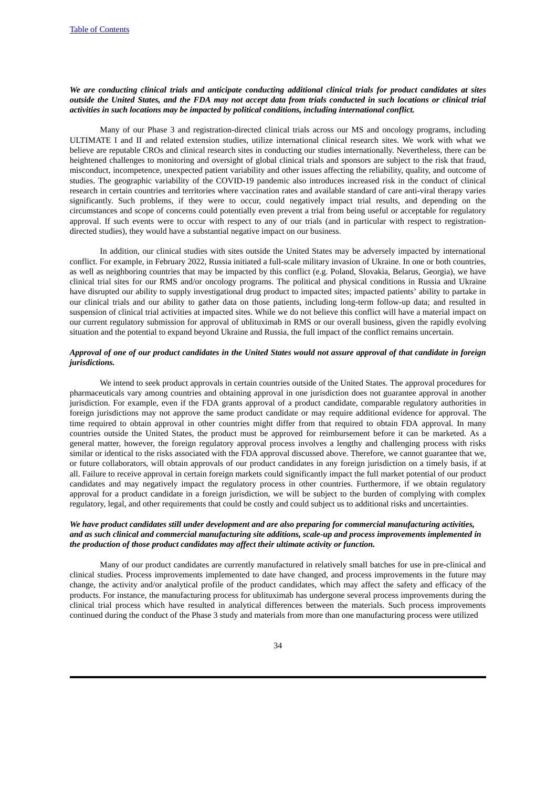# We are conducting clinical trials and anticipate conducting additional clinical trials for product candidates at sites outside the United States, and the FDA may not accept data from trials conducted in such locations or clinical trial *activities in such locations may be impacted by political conditions, including international conflict.*

Many of our Phase 3 and registration-directed clinical trials across our MS and oncology programs, including ULTIMATE I and II and related extension studies, utilize international clinical research sites. We work with what we believe are reputable CROs and clinical research sites in conducting our studies internationally. Nevertheless, there can be heightened challenges to monitoring and oversight of global clinical trials and sponsors are subject to the risk that fraud, misconduct, incompetence, unexpected patient variability and other issues affecting the reliability, quality, and outcome of studies. The geographic variability of the COVID-19 pandemic also introduces increased risk in the conduct of clinical research in certain countries and territories where vaccination rates and available standard of care anti-viral therapy varies significantly. Such problems, if they were to occur, could negatively impact trial results, and depending on the circumstances and scope of concerns could potentially even prevent a trial from being useful or acceptable for regulatory approval. If such events were to occur with respect to any of our trials (and in particular with respect to registrationdirected studies), they would have a substantial negative impact on our business.

In addition, our clinical studies with sites outside the United States may be adversely impacted by international conflict. For example, in February 2022, Russia initiated a full-scale military invasion of Ukraine. In one or both countries, as well as neighboring countries that may be impacted by this conflict (e.g. Poland, Slovakia, Belarus, Georgia), we have clinical trial sites for our RMS and/or oncology programs. The political and physical conditions in Russia and Ukraine have disrupted our ability to supply investigational drug product to impacted sites; impacted patients' ability to partake in our clinical trials and our ability to gather data on those patients, including long-term follow-up data; and resulted in suspension of clinical trial activities at impacted sites. While we do not believe this conflict will have a material impact on our current regulatory submission for approval of ublituximab in RMS or our overall business, given the rapidly evolving situation and the potential to expand beyond Ukraine and Russia, the full impact of the conflict remains uncertain.

# Approval of one of our product candidates in the United States would not assure approval of that candidate in foreign *jurisdictions.*

We intend to seek product approvals in certain countries outside of the United States. The approval procedures for pharmaceuticals vary among countries and obtaining approval in one jurisdiction does not guarantee approval in another jurisdiction. For example, even if the FDA grants approval of a product candidate, comparable regulatory authorities in foreign jurisdictions may not approve the same product candidate or may require additional evidence for approval. The time required to obtain approval in other countries might differ from that required to obtain FDA approval. In many countries outside the United States, the product must be approved for reimbursement before it can be marketed. As a general matter, however, the foreign regulatory approval process involves a lengthy and challenging process with risks similar or identical to the risks associated with the FDA approval discussed above. Therefore, we cannot guarantee that we, or future collaborators, will obtain approvals of our product candidates in any foreign jurisdiction on a timely basis, if at all. Failure to receive approval in certain foreign markets could significantly impact the full market potential of our product candidates and may negatively impact the regulatory process in other countries. Furthermore, if we obtain regulatory approval for a product candidate in a foreign jurisdiction, we will be subject to the burden of complying with complex regulatory, legal, and other requirements that could be costly and could subject us to additional risks and uncertainties.

# *We have product candidates still under development and are also preparing for commercial manufacturing activities, and as such clinical and commercial manufacturing site additions, scale-up and process improvements implemented in the production of those product candidates may affect their ultimate activity or function.*

Many of our product candidates are currently manufactured in relatively small batches for use in pre-clinical and clinical studies. Process improvements implemented to date have changed, and process improvements in the future may change, the activity and/or analytical profile of the product candidates, which may affect the safety and efficacy of the products. For instance, the manufacturing process for ublituximab has undergone several process improvements during the clinical trial process which have resulted in analytical differences between the materials. Such process improvements continued during the conduct of the Phase 3 study and materials from more than one manufacturing process were utilized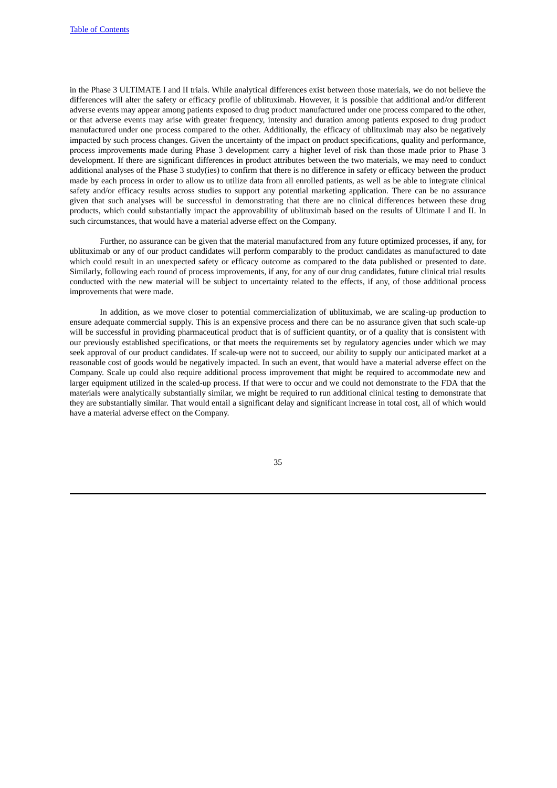in the Phase 3 ULTIMATE I and II trials. While analytical differences exist between those materials, we do not believe the differences will alter the safety or efficacy profile of ublituximab. However, it is possible that additional and/or different adverse events may appear among patients exposed to drug product manufactured under one process compared to the other, or that adverse events may arise with greater frequency, intensity and duration among patients exposed to drug product manufactured under one process compared to the other. Additionally, the efficacy of ublituximab may also be negatively impacted by such process changes. Given the uncertainty of the impact on product specifications, quality and performance, process improvements made during Phase 3 development carry a higher level of risk than those made prior to Phase 3 development. If there are significant differences in product attributes between the two materials, we may need to conduct additional analyses of the Phase 3 study(ies) to confirm that there is no difference in safety or efficacy between the product made by each process in order to allow us to utilize data from all enrolled patients, as well as be able to integrate clinical safety and/or efficacy results across studies to support any potential marketing application. There can be no assurance given that such analyses will be successful in demonstrating that there are no clinical differences between these drug products, which could substantially impact the approvability of ublituximab based on the results of Ultimate I and II. In such circumstances, that would have a material adverse effect on the Company.

Further, no assurance can be given that the material manufactured from any future optimized processes, if any, for ublituximab or any of our product candidates will perform comparably to the product candidates as manufactured to date which could result in an unexpected safety or efficacy outcome as compared to the data published or presented to date. Similarly, following each round of process improvements, if any, for any of our drug candidates, future clinical trial results conducted with the new material will be subject to uncertainty related to the effects, if any, of those additional process improvements that were made.

In addition, as we move closer to potential commercialization of ublituximab, we are scaling-up production to ensure adequate commercial supply. This is an expensive process and there can be no assurance given that such scale-up will be successful in providing pharmaceutical product that is of sufficient quantity, or of a quality that is consistent with our previously established specifications, or that meets the requirements set by regulatory agencies under which we may seek approval of our product candidates. If scale-up were not to succeed, our ability to supply our anticipated market at a reasonable cost of goods would be negatively impacted. In such an event, that would have a material adverse effect on the Company. Scale up could also require additional process improvement that might be required to accommodate new and larger equipment utilized in the scaled-up process. If that were to occur and we could not demonstrate to the FDA that the materials were analytically substantially similar, we might be required to run additional clinical testing to demonstrate that they are substantially similar. That would entail a significant delay and significant increase in total cost, all of which would have a material adverse effect on the Company.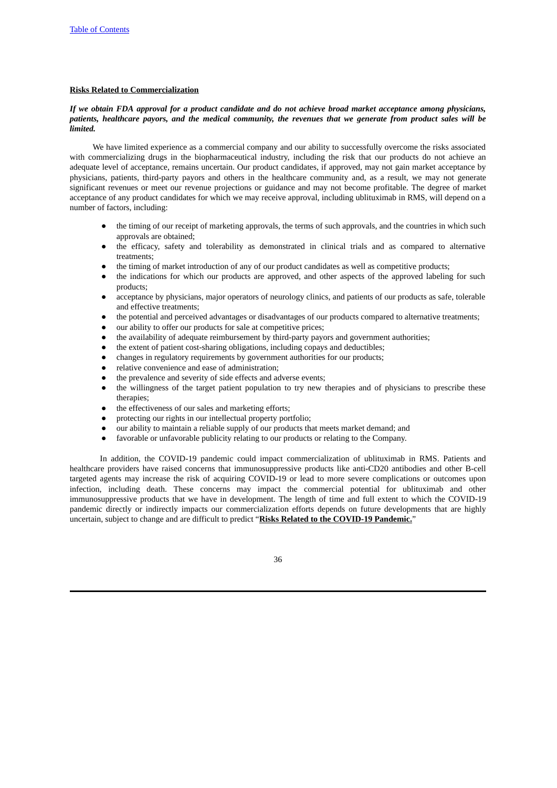# **Risks Related to Commercialization**

# If we obtain FDA approval for a product candidate and do not achieve broad market acceptance among physicians, patients, healthcare payors, and the medical community, the revenues that we generate from product sales will be *limited.*

We have limited experience as a commercial company and our ability to successfully overcome the risks associated with commercializing drugs in the biopharmaceutical industry, including the risk that our products do not achieve an adequate level of acceptance, remains uncertain. Our product candidates, if approved, may not gain market acceptance by physicians, patients, third-party payors and others in the healthcare community and, as a result, we may not generate significant revenues or meet our revenue projections or guidance and may not become profitable. The degree of market acceptance of any product candidates for which we may receive approval, including ublituximab in RMS, will depend on a number of factors, including:

- the timing of our receipt of marketing approvals, the terms of such approvals, and the countries in which such approvals are obtained;
- the efficacy, safety and tolerability as demonstrated in clinical trials and as compared to alternative treatments;
- the timing of market introduction of any of our product candidates as well as competitive products;
- the indications for which our products are approved, and other aspects of the approved labeling for such products;
- acceptance by physicians, major operators of neurology clinics, and patients of our products as safe, tolerable and effective treatments;
- the potential and perceived advantages or disadvantages of our products compared to alternative treatments;
- our ability to offer our products for sale at competitive prices;
- the availability of adequate reimbursement by third-party payors and government authorities;
- the extent of patient cost-sharing obligations, including copays and deductibles;
- changes in regulatory requirements by government authorities for our products;
- relative convenience and ease of administration;
- the prevalence and severity of side effects and adverse events;
- the willingness of the target patient population to try new therapies and of physicians to prescribe these therapies;
- the effectiveness of our sales and marketing efforts;
- protecting our rights in our intellectual property portfolio;
- our ability to maintain a reliable supply of our products that meets market demand; and
- favorable or unfavorable publicity relating to our products or relating to the Company.

In addition, the COVID-19 pandemic could impact commercialization of ublituximab in RMS. Patients and healthcare providers have raised concerns that immunosuppressive products like anti-CD20 antibodies and other B-cell targeted agents may increase the risk of acquiring COVID-19 or lead to more severe complications or outcomes upon infection, including death. These concerns may impact the commercial potential for ublituximab and other immunosuppressive products that we have in development. The length of time and full extent to which the COVID-19 pandemic directly or indirectly impacts our commercialization efforts depends on future developments that are highly uncertain, subject to change and are difficult to predict "**Risks Related to the COVID-19 Pandemic.**"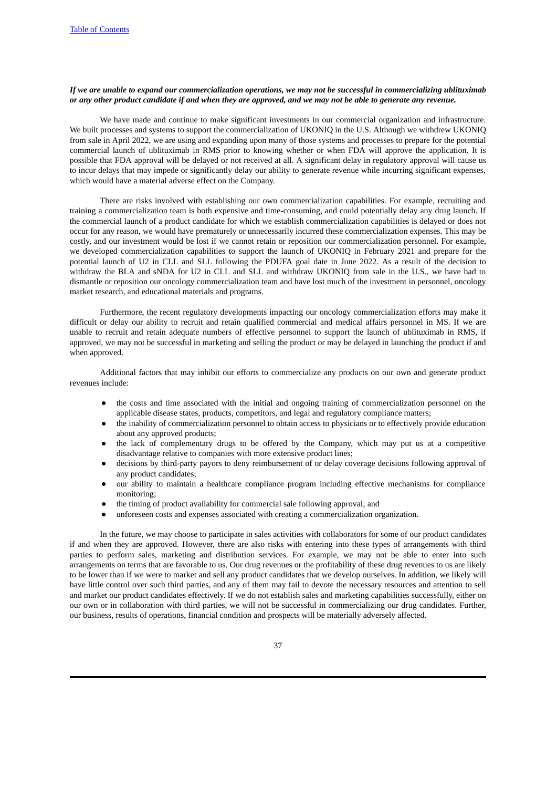# If we are unable to expand our commercialization operations, we may not be successful in commercializing ublituximab or any other product candidate if and when they are approved, and we may not be able to generate any revenue.

We have made and continue to make significant investments in our commercial organization and infrastructure. We built processes and systems to support the commercialization of UKONIQ in the U.S. Although we withdrew UKONIQ from sale in April 2022, we are using and expanding upon many of those systems and processes to prepare for the potential commercial launch of ublituximab in RMS prior to knowing whether or when FDA will approve the application. It is possible that FDA approval will be delayed or not received at all. A significant delay in regulatory approval will cause us to incur delays that may impede or significantly delay our ability to generate revenue while incurring significant expenses, which would have a material adverse effect on the Company.

There are risks involved with establishing our own commercialization capabilities. For example, recruiting and training a commercialization team is both expensive and time-consuming, and could potentially delay any drug launch. If the commercial launch of a product candidate for which we establish commercialization capabilities is delayed or does not occur for any reason, we would have prematurely or unnecessarily incurred these commercialization expenses. This may be costly, and our investment would be lost if we cannot retain or reposition our commercialization personnel. For example, we developed commercialization capabilities to support the launch of UKONIQ in February 2021 and prepare for the potential launch of U2 in CLL and SLL following the PDUFA goal date in June 2022. As a result of the decision to withdraw the BLA and sNDA for U2 in CLL and SLL and withdraw UKONIQ from sale in the U.S., we have had to dismantle or reposition our oncology commercialization team and have lost much of the investment in personnel, oncology market research, and educational materials and programs.

Furthermore, the recent regulatory developments impacting our oncology commercialization efforts may make it difficult or delay our ability to recruit and retain qualified commercial and medical affairs personnel in MS. If we are unable to recruit and retain adequate numbers of effective personnel to support the launch of ublituximab in RMS, if approved, we may not be successful in marketing and selling the product or may be delayed in launching the product if and when approved.

Additional factors that may inhibit our efforts to commercialize any products on our own and generate product revenues include:

- the costs and time associated with the initial and ongoing training of commercialization personnel on the applicable disease states, products, competitors, and legal and regulatory compliance matters;
- the inability of commercialization personnel to obtain access to physicians or to effectively provide education about any approved products;
- the lack of complementary drugs to be offered by the Company, which may put us at a competitive disadvantage relative to companies with more extensive product lines;
- decisions by third-party payors to deny reimbursement of or delay coverage decisions following approval of any product candidates;
- our ability to maintain a healthcare compliance program including effective mechanisms for compliance monitoring;
- the timing of product availability for commercial sale following approval; and
- unforeseen costs and expenses associated with creating a commercialization organization.

In the future, we may choose to participate in sales activities with collaborators for some of our product candidates if and when they are approved. However, there are also risks with entering into these types of arrangements with third parties to perform sales, marketing and distribution services. For example, we may not be able to enter into such arrangements on terms that are favorable to us. Our drug revenues or the profitability of these drug revenues to us are likely to be lower than if we were to market and sell any product candidates that we develop ourselves. In addition, we likely will have little control over such third parties, and any of them may fail to devote the necessary resources and attention to sell and market our product candidates effectively. If we do not establish sales and marketing capabilities successfully, either on our own or in collaboration with third parties, we will not be successful in commercializing our drug candidates. Further, our business, results of operations, financial condition and prospects will be materially adversely affected.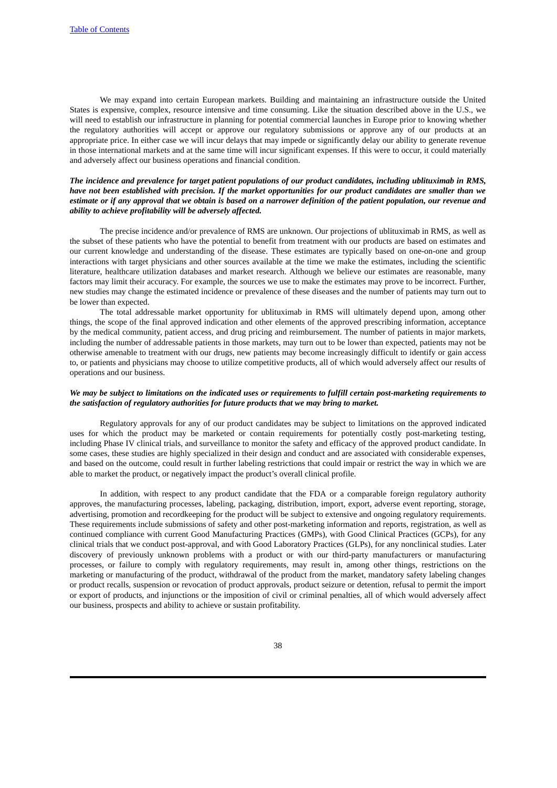We may expand into certain European markets. Building and maintaining an infrastructure outside the United States is expensive, complex, resource intensive and time consuming. Like the situation described above in the U.S., we will need to establish our infrastructure in planning for potential commercial launches in Europe prior to knowing whether the regulatory authorities will accept or approve our regulatory submissions or approve any of our products at an appropriate price. In either case we will incur delays that may impede or significantly delay our ability to generate revenue in those international markets and at the same time will incur significant expenses. If this were to occur, it could materially and adversely affect our business operations and financial condition.

# The incidence and prevalence for target patient populations of our product candidates, including ublituximab in RMS, have not been established with precision. If the market opportunities for our product candidates are smaller than we estimate or if any approval that we obtain is based on a narrower definition of the patient population, our revenue and *ability to achieve profitability will be adversely affected.*

The precise incidence and/or prevalence of RMS are unknown. Our projections of ublituximab in RMS, as well as the subset of these patients who have the potential to benefit from treatment with our products are based on estimates and our current knowledge and understanding of the disease. These estimates are typically based on one-on-one and group interactions with target physicians and other sources available at the time we make the estimates, including the scientific literature, healthcare utilization databases and market research. Although we believe our estimates are reasonable, many factors may limit their accuracy. For example, the sources we use to make the estimates may prove to be incorrect. Further, new studies may change the estimated incidence or prevalence of these diseases and the number of patients may turn out to be lower than expected.

The total addressable market opportunity for ublituximab in RMS will ultimately depend upon, among other things, the scope of the final approved indication and other elements of the approved prescribing information, acceptance by the medical community, patient access, and drug pricing and reimbursement. The number of patients in major markets, including the number of addressable patients in those markets, may turn out to be lower than expected, patients may not be otherwise amenable to treatment with our drugs, new patients may become increasingly difficult to identify or gain access to, or patients and physicians may choose to utilize competitive products, all of which would adversely affect our results of operations and our business.

### We may be subject to limitations on the indicated uses or requirements to fulfill certain post-marketing requirements to *the satisfaction of regulatory authorities for future products that we may bring to market.*

Regulatory approvals for any of our product candidates may be subject to limitations on the approved indicated uses for which the product may be marketed or contain requirements for potentially costly post-marketing testing, including Phase IV clinical trials, and surveillance to monitor the safety and efficacy of the approved product candidate. In some cases, these studies are highly specialized in their design and conduct and are associated with considerable expenses, and based on the outcome, could result in further labeling restrictions that could impair or restrict the way in which we are able to market the product, or negatively impact the product's overall clinical profile.

In addition, with respect to any product candidate that the FDA or a comparable foreign regulatory authority approves, the manufacturing processes, labeling, packaging, distribution, import, export, adverse event reporting, storage, advertising, promotion and recordkeeping for the product will be subject to extensive and ongoing regulatory requirements. These requirements include submissions of safety and other post-marketing information and reports, registration, as well as continued compliance with current Good Manufacturing Practices (GMPs), with Good Clinical Practices (GCPs), for any clinical trials that we conduct post-approval, and with Good Laboratory Practices (GLPs), for any nonclinical studies. Later discovery of previously unknown problems with a product or with our third-party manufacturers or manufacturing processes, or failure to comply with regulatory requirements, may result in, among other things, restrictions on the marketing or manufacturing of the product, withdrawal of the product from the market, mandatory safety labeling changes or product recalls, suspension or revocation of product approvals, product seizure or detention, refusal to permit the import or export of products, and injunctions or the imposition of civil or criminal penalties, all of which would adversely affect our business, prospects and ability to achieve or sustain profitability.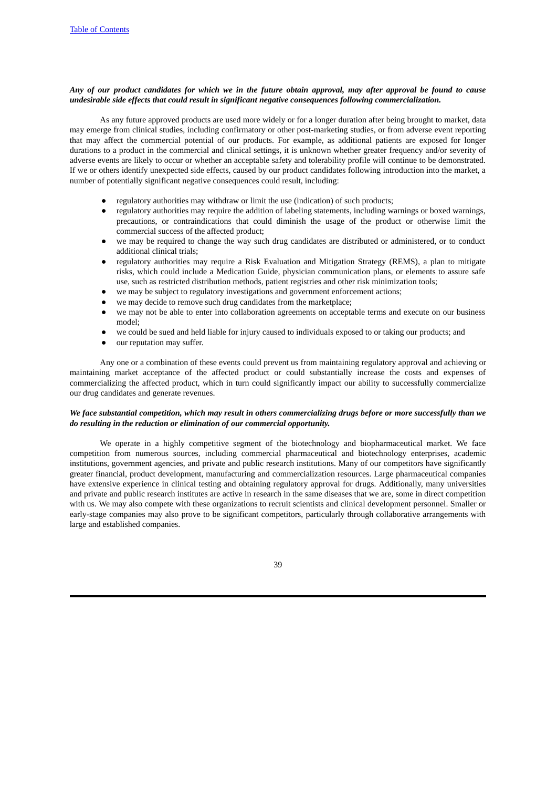# Any of our product candidates for which we in the future obtain approval, may after approval be found to cause *undesirable side effects that could result in significant negative consequences following commercialization.*

As any future approved products are used more widely or for a longer duration after being brought to market, data may emerge from clinical studies, including confirmatory or other post-marketing studies, or from adverse event reporting that may affect the commercial potential of our products. For example, as additional patients are exposed for longer durations to a product in the commercial and clinical settings, it is unknown whether greater frequency and/or severity of adverse events are likely to occur or whether an acceptable safety and tolerability profile will continue to be demonstrated. If we or others identify unexpected side effects, caused by our product candidates following introduction into the market, a number of potentially significant negative consequences could result, including:

- regulatory authorities may withdraw or limit the use (indication) of such products;
- regulatory authorities may require the addition of labeling statements, including warnings or boxed warnings, precautions, or contraindications that could diminish the usage of the product or otherwise limit the commercial success of the affected product;
- we may be required to change the way such drug candidates are distributed or administered, or to conduct additional clinical trials;
- regulatory authorities may require a Risk Evaluation and Mitigation Strategy (REMS), a plan to mitigate risks, which could include a Medication Guide, physician communication plans, or elements to assure safe use, such as restricted distribution methods, patient registries and other risk minimization tools;
- we may be subject to regulatory investigations and government enforcement actions;
- we may decide to remove such drug candidates from the marketplace;
- we may not be able to enter into collaboration agreements on acceptable terms and execute on our business model;
- we could be sued and held liable for injury caused to individuals exposed to or taking our products; and
- our reputation may suffer.

Any one or a combination of these events could prevent us from maintaining regulatory approval and achieving or maintaining market acceptance of the affected product or could substantially increase the costs and expenses of commercializing the affected product, which in turn could significantly impact our ability to successfully commercialize our drug candidates and generate revenues.

### We face substantial competition, which may result in others commercializing drugs before or more successfully than we *do resulting in the reduction or elimination of our commercial opportunity.*

We operate in a highly competitive segment of the biotechnology and biopharmaceutical market. We face competition from numerous sources, including commercial pharmaceutical and biotechnology enterprises, academic institutions, government agencies, and private and public research institutions. Many of our competitors have significantly greater financial, product development, manufacturing and commercialization resources. Large pharmaceutical companies have extensive experience in clinical testing and obtaining regulatory approval for drugs. Additionally, many universities and private and public research institutes are active in research in the same diseases that we are, some in direct competition with us. We may also compete with these organizations to recruit scientists and clinical development personnel. Smaller or early-stage companies may also prove to be significant competitors, particularly through collaborative arrangements with large and established companies.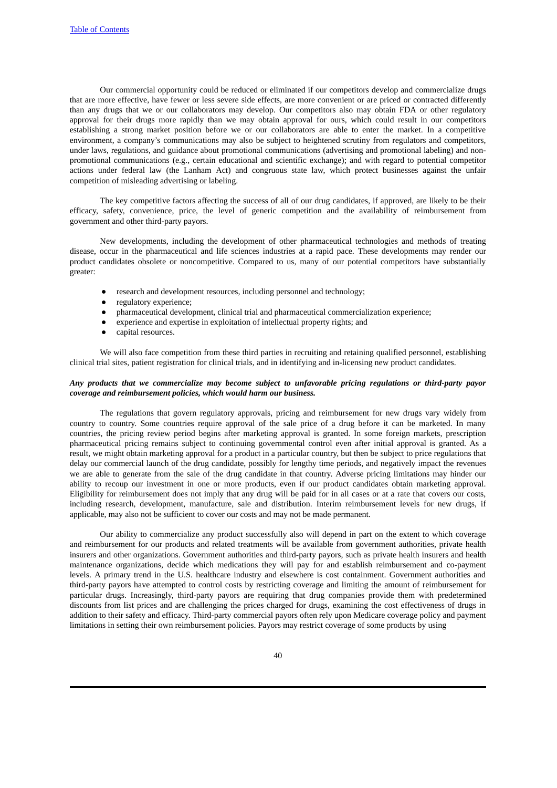Our commercial opportunity could be reduced or eliminated if our competitors develop and commercialize drugs that are more effective, have fewer or less severe side effects, are more convenient or are priced or contracted differently than any drugs that we or our collaborators may develop. Our competitors also may obtain FDA or other regulatory approval for their drugs more rapidly than we may obtain approval for ours, which could result in our competitors establishing a strong market position before we or our collaborators are able to enter the market. In a competitive environment, a company's communications may also be subject to heightened scrutiny from regulators and competitors, under laws, regulations, and guidance about promotional communications (advertising and promotional labeling) and nonpromotional communications (e.g., certain educational and scientific exchange); and with regard to potential competitor actions under federal law (the Lanham Act) and congruous state law, which protect businesses against the unfair competition of misleading advertising or labeling.

The key competitive factors affecting the success of all of our drug candidates, if approved, are likely to be their efficacy, safety, convenience, price, the level of generic competition and the availability of reimbursement from government and other third-party payors.

New developments, including the development of other pharmaceutical technologies and methods of treating disease, occur in the pharmaceutical and life sciences industries at a rapid pace. These developments may render our product candidates obsolete or noncompetitive. Compared to us, many of our potential competitors have substantially greater:

- research and development resources, including personnel and technology;
- regulatory experience;
- pharmaceutical development, clinical trial and pharmaceutical commercialization experience;
- experience and expertise in exploitation of intellectual property rights; and
- capital resources.

We will also face competition from these third parties in recruiting and retaining qualified personnel, establishing clinical trial sites, patient registration for clinical trials, and in identifying and in-licensing new product candidates.

# *Any products that we commercialize may become subject to unfavorable pricing regulations or third-party payor coverage and reimbursement policies, which would harm our business.*

The regulations that govern regulatory approvals, pricing and reimbursement for new drugs vary widely from country to country. Some countries require approval of the sale price of a drug before it can be marketed. In many countries, the pricing review period begins after marketing approval is granted. In some foreign markets, prescription pharmaceutical pricing remains subject to continuing governmental control even after initial approval is granted. As a result, we might obtain marketing approval for a product in a particular country, but then be subject to price regulations that delay our commercial launch of the drug candidate, possibly for lengthy time periods, and negatively impact the revenues we are able to generate from the sale of the drug candidate in that country. Adverse pricing limitations may hinder our ability to recoup our investment in one or more products, even if our product candidates obtain marketing approval. Eligibility for reimbursement does not imply that any drug will be paid for in all cases or at a rate that covers our costs, including research, development, manufacture, sale and distribution. Interim reimbursement levels for new drugs, if applicable, may also not be sufficient to cover our costs and may not be made permanent.

Our ability to commercialize any product successfully also will depend in part on the extent to which coverage and reimbursement for our products and related treatments will be available from government authorities, private health insurers and other organizations. Government authorities and third-party payors, such as private health insurers and health maintenance organizations, decide which medications they will pay for and establish reimbursement and co-payment levels. A primary trend in the U.S. healthcare industry and elsewhere is cost containment. Government authorities and third-party payors have attempted to control costs by restricting coverage and limiting the amount of reimbursement for particular drugs. Increasingly, third-party payors are requiring that drug companies provide them with predetermined discounts from list prices and are challenging the prices charged for drugs, examining the cost effectiveness of drugs in addition to their safety and efficacy. Third-party commercial payors often rely upon Medicare coverage policy and payment limitations in setting their own reimbursement policies. Payors may restrict coverage of some products by using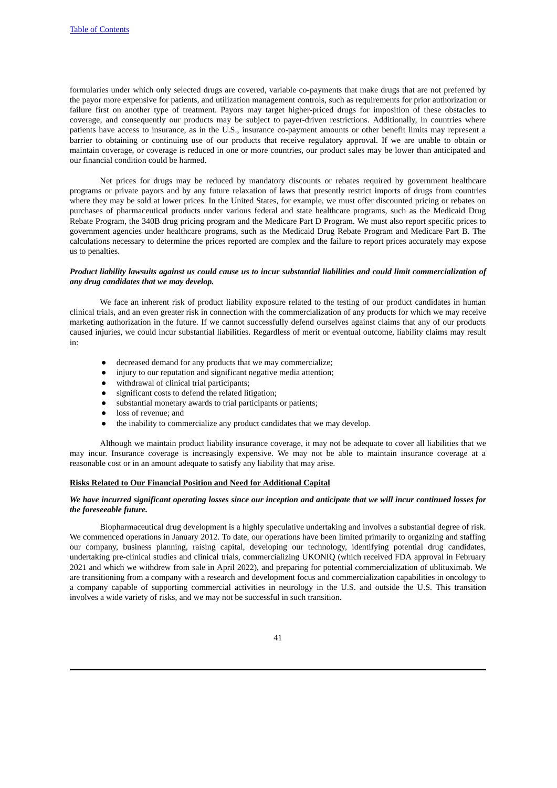formularies under which only selected drugs are covered, variable co-payments that make drugs that are not preferred by the payor more expensive for patients, and utilization management controls, such as requirements for prior authorization or failure first on another type of treatment. Payors may target higher-priced drugs for imposition of these obstacles to coverage, and consequently our products may be subject to payer-driven restrictions. Additionally, in countries where patients have access to insurance, as in the U.S., insurance co-payment amounts or other benefit limits may represent a barrier to obtaining or continuing use of our products that receive regulatory approval. If we are unable to obtain or maintain coverage, or coverage is reduced in one or more countries, our product sales may be lower than anticipated and our financial condition could be harmed.

Net prices for drugs may be reduced by mandatory discounts or rebates required by government healthcare programs or private payors and by any future relaxation of laws that presently restrict imports of drugs from countries where they may be sold at lower prices. In the United States, for example, we must offer discounted pricing or rebates on purchases of pharmaceutical products under various federal and state healthcare programs, such as the Medicaid Drug Rebate Program, the 340B drug pricing program and the Medicare Part D Program. We must also report specific prices to government agencies under healthcare programs, such as the Medicaid Drug Rebate Program and Medicare Part B. The calculations necessary to determine the prices reported are complex and the failure to report prices accurately may expose us to penalties.

## Product liability lawsuits against us could cause us to incur substantial liabilities and could limit commercialization of *any drug candidates that we may develop.*

We face an inherent risk of product liability exposure related to the testing of our product candidates in human clinical trials, and an even greater risk in connection with the commercialization of any products for which we may receive marketing authorization in the future. If we cannot successfully defend ourselves against claims that any of our products caused injuries, we could incur substantial liabilities. Regardless of merit or eventual outcome, liability claims may result in:

- decreased demand for any products that we may commercialize;
- injury to our reputation and significant negative media attention;
- withdrawal of clinical trial participants;
- significant costs to defend the related litigation;
- substantial monetary awards to trial participants or patients;
- loss of revenue; and
- the inability to commercialize any product candidates that we may develop.

Although we maintain product liability insurance coverage, it may not be adequate to cover all liabilities that we may incur. Insurance coverage is increasingly expensive. We may not be able to maintain insurance coverage at a reasonable cost or in an amount adequate to satisfy any liability that may arise.

### **Risks Related to Our Financial Position and Need for Additional Capital**

# We have incurred significant operating losses since our inception and anticipate that we will incur continued losses for *the foreseeable future.*

Biopharmaceutical drug development is a highly speculative undertaking and involves a substantial degree of risk. We commenced operations in January 2012. To date, our operations have been limited primarily to organizing and staffing our company, business planning, raising capital, developing our technology, identifying potential drug candidates, undertaking pre-clinical studies and clinical trials, commercializing UKONIQ (which received FDA approval in February 2021 and which we withdrew from sale in April 2022), and preparing for potential commercialization of ublituximab. We are transitioning from a company with a research and development focus and commercialization capabilities in oncology to a company capable of supporting commercial activities in neurology in the U.S. and outside the U.S. This transition involves a wide variety of risks, and we may not be successful in such transition.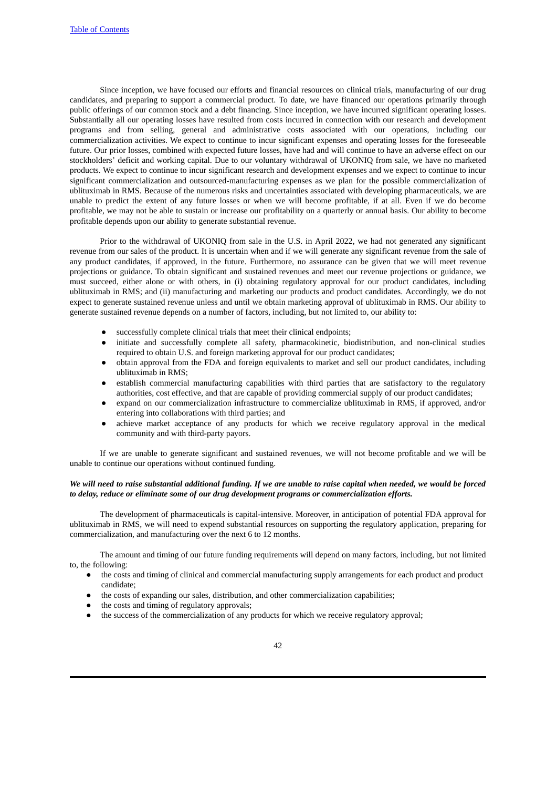Since inception, we have focused our efforts and financial resources on clinical trials, manufacturing of our drug candidates, and preparing to support a commercial product. To date, we have financed our operations primarily through public offerings of our common stock and a debt financing. Since inception, we have incurred significant operating losses. Substantially all our operating losses have resulted from costs incurred in connection with our research and development programs and from selling, general and administrative costs associated with our operations, including our commercialization activities. We expect to continue to incur significant expenses and operating losses for the foreseeable future. Our prior losses, combined with expected future losses, have had and will continue to have an adverse effect on our stockholders' deficit and working capital. Due to our voluntary withdrawal of UKONIQ from sale, we have no marketed products. We expect to continue to incur significant research and development expenses and we expect to continue to incur significant commercialization and outsourced-manufacturing expenses as we plan for the possible commercialization of ublituximab in RMS. Because of the numerous risks and uncertainties associated with developing pharmaceuticals, we are unable to predict the extent of any future losses or when we will become profitable, if at all. Even if we do become profitable, we may not be able to sustain or increase our profitability on a quarterly or annual basis. Our ability to become profitable depends upon our ability to generate substantial revenue.

Prior to the withdrawal of UKONIQ from sale in the U.S. in April 2022, we had not generated any significant revenue from our sales of the product. It is uncertain when and if we will generate any significant revenue from the sale of any product candidates, if approved, in the future. Furthermore, no assurance can be given that we will meet revenue projections or guidance. To obtain significant and sustained revenues and meet our revenue projections or guidance, we must succeed, either alone or with others, in (i) obtaining regulatory approval for our product candidates, including ublituximab in RMS; and (ii) manufacturing and marketing our products and product candidates. Accordingly, we do not expect to generate sustained revenue unless and until we obtain marketing approval of ublituximab in RMS. Our ability to generate sustained revenue depends on a number of factors, including, but not limited to, our ability to:

- successfully complete clinical trials that meet their clinical endpoints;
- initiate and successfully complete all safety, pharmacokinetic, biodistribution, and non-clinical studies required to obtain U.S. and foreign marketing approval for our product candidates;
- obtain approval from the FDA and foreign equivalents to market and sell our product candidates, including ublituximab in RMS;
- establish commercial manufacturing capabilities with third parties that are satisfactory to the regulatory authorities, cost effective, and that are capable of providing commercial supply of our product candidates;
- expand on our commercialization infrastructure to commercialize ublituximab in RMS, if approved, and/or entering into collaborations with third parties; and
- achieve market acceptance of any products for which we receive regulatory approval in the medical community and with third-party payors.

If we are unable to generate significant and sustained revenues, we will not become profitable and we will be unable to continue our operations without continued funding.

# We will need to raise substantial additional funding. If we are unable to raise capital when needed, we would be forced *to delay, reduce or eliminate some of our drug development programs or commercialization efforts.*

The development of pharmaceuticals is capital-intensive. Moreover, in anticipation of potential FDA approval for ublituximab in RMS, we will need to expend substantial resources on supporting the regulatory application, preparing for commercialization, and manufacturing over the next 6 to 12 months.

The amount and timing of our future funding requirements will depend on many factors, including, but not limited to, the following:

- the costs and timing of clinical and commercial manufacturing supply arrangements for each product and product candidate;
- the costs of expanding our sales, distribution, and other commercialization capabilities;
- the costs and timing of regulatory approvals;
- the success of the commercialization of any products for which we receive regulatory approval;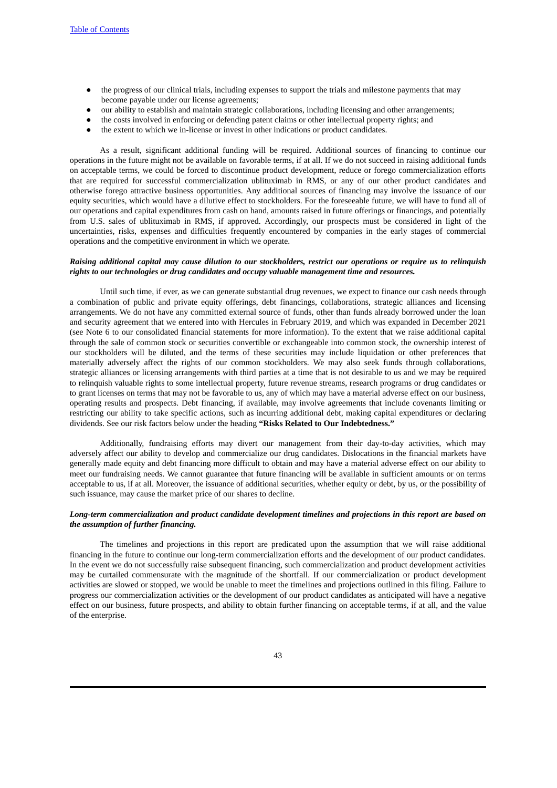- the progress of our clinical trials, including expenses to support the trials and milestone payments that may become payable under our license agreements;
- our ability to establish and maintain strategic collaborations, including licensing and other arrangements;
- the costs involved in enforcing or defending patent claims or other intellectual property rights; and
- the extent to which we in-license or invest in other indications or product candidates.

As a result, significant additional funding will be required. Additional sources of financing to continue our operations in the future might not be available on favorable terms, if at all. If we do not succeed in raising additional funds on acceptable terms, we could be forced to discontinue product development, reduce or forego commercialization efforts that are required for successful commercialization ublituximab in RMS, or any of our other product candidates and otherwise forego attractive business opportunities. Any additional sources of financing may involve the issuance of our equity securities, which would have a dilutive effect to stockholders. For the foreseeable future, we will have to fund all of our operations and capital expenditures from cash on hand, amounts raised in future offerings or financings, and potentially from U.S. sales of ublituximab in RMS, if approved. Accordingly, our prospects must be considered in light of the uncertainties, risks, expenses and difficulties frequently encountered by companies in the early stages of commercial operations and the competitive environment in which we operate.

# Raising additional capital may cause dilution to our stockholders, restrict our operations or require us to relinquish *rights to our technologies or drug candidates and occupy valuable management time and resources.*

Until such time, if ever, as we can generate substantial drug revenues, we expect to finance our cash needs through a combination of public and private equity offerings, debt financings, collaborations, strategic alliances and licensing arrangements. We do not have any committed external source of funds, other than funds already borrowed under the loan and security agreement that we entered into with Hercules in February 2019, and which was expanded in December 2021 (see Note 6 to our consolidated financial statements for more information). To the extent that we raise additional capital through the sale of common stock or securities convertible or exchangeable into common stock, the ownership interest of our stockholders will be diluted, and the terms of these securities may include liquidation or other preferences that materially adversely affect the rights of our common stockholders. We may also seek funds through collaborations, strategic alliances or licensing arrangements with third parties at a time that is not desirable to us and we may be required to relinquish valuable rights to some intellectual property, future revenue streams, research programs or drug candidates or to grant licenses on terms that may not be favorable to us, any of which may have a material adverse effect on our business, operating results and prospects. Debt financing, if available, may involve agreements that include covenants limiting or restricting our ability to take specific actions, such as incurring additional debt, making capital expenditures or declaring dividends. See our risk factors below under the heading **"Risks Related to Our Indebtedness."**

Additionally, fundraising efforts may divert our management from their day-to-day activities, which may adversely affect our ability to develop and commercialize our drug candidates. Dislocations in the financial markets have generally made equity and debt financing more difficult to obtain and may have a material adverse effect on our ability to meet our fundraising needs. We cannot guarantee that future financing will be available in sufficient amounts or on terms acceptable to us, if at all. Moreover, the issuance of additional securities, whether equity or debt, by us, or the possibility of such issuance, may cause the market price of our shares to decline.

### *Long-term commercialization and product candidate development timelines and projections in this report are based on the assumption of further financing.*

The timelines and projections in this report are predicated upon the assumption that we will raise additional financing in the future to continue our long-term commercialization efforts and the development of our product candidates. In the event we do not successfully raise subsequent financing, such commercialization and product development activities may be curtailed commensurate with the magnitude of the shortfall. If our commercialization or product development activities are slowed or stopped, we would be unable to meet the timelines and projections outlined in this filing. Failure to progress our commercialization activities or the development of our product candidates as anticipated will have a negative effect on our business, future prospects, and ability to obtain further financing on acceptable terms, if at all, and the value of the enterprise.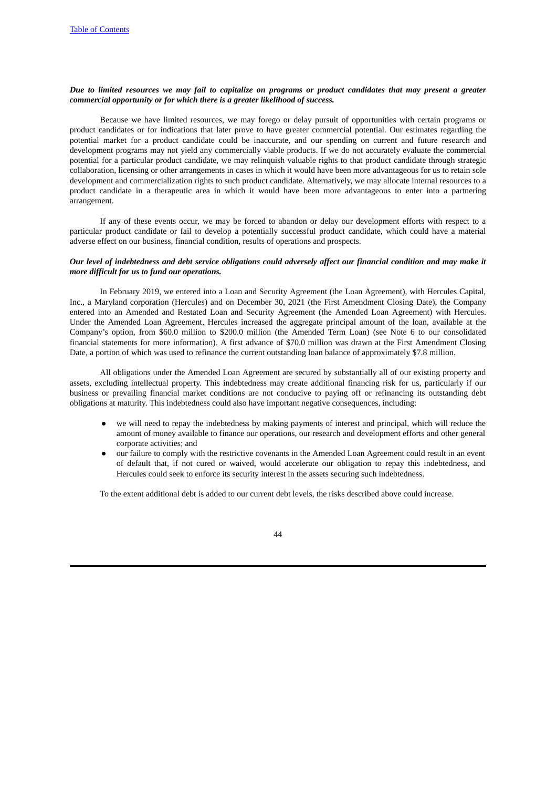# Due to limited resources we may fail to capitalize on programs or product candidates that may present a greater *commercial opportunity or for which there is a greater likelihood of success.*

Because we have limited resources, we may forego or delay pursuit of opportunities with certain programs or product candidates or for indications that later prove to have greater commercial potential. Our estimates regarding the potential market for a product candidate could be inaccurate, and our spending on current and future research and development programs may not yield any commercially viable products. If we do not accurately evaluate the commercial potential for a particular product candidate, we may relinquish valuable rights to that product candidate through strategic collaboration, licensing or other arrangements in cases in which it would have been more advantageous for us to retain sole development and commercialization rights to such product candidate. Alternatively, we may allocate internal resources to a product candidate in a therapeutic area in which it would have been more advantageous to enter into a partnering arrangement.

If any of these events occur, we may be forced to abandon or delay our development efforts with respect to a particular product candidate or fail to develop a potentially successful product candidate, which could have a material adverse effect on our business, financial condition, results of operations and prospects.

### Our level of indebtedness and debt service obligations could adversely affect our financial condition and may make it *more difficult for us to fund our operations.*

In February 2019, we entered into a Loan and Security Agreement (the Loan Agreement), with Hercules Capital, Inc., a Maryland corporation (Hercules) and on December 30, 2021 (the First Amendment Closing Date), the Company entered into an Amended and Restated Loan and Security Agreement (the Amended Loan Agreement) with Hercules. Under the Amended Loan Agreement, Hercules increased the aggregate principal amount of the loan, available at the Company's option, from \$60.0 million to \$200.0 million (the Amended Term Loan) (see Note 6 to our consolidated financial statements for more information). A first advance of \$70.0 million was drawn at the First Amendment Closing Date, a portion of which was used to refinance the current outstanding loan balance of approximately \$7.8 million.

All obligations under the Amended Loan Agreement are secured by substantially all of our existing property and assets, excluding intellectual property. This indebtedness may create additional financing risk for us, particularly if our business or prevailing financial market conditions are not conducive to paying off or refinancing its outstanding debt obligations at maturity. This indebtedness could also have important negative consequences, including:

- we will need to repay the indebtedness by making payments of interest and principal, which will reduce the amount of money available to finance our operations, our research and development efforts and other general corporate activities; and
- our failure to comply with the restrictive covenants in the Amended Loan Agreement could result in an event of default that, if not cured or waived, would accelerate our obligation to repay this indebtedness, and Hercules could seek to enforce its security interest in the assets securing such indebtedness.

To the extent additional debt is added to our current debt levels, the risks described above could increase.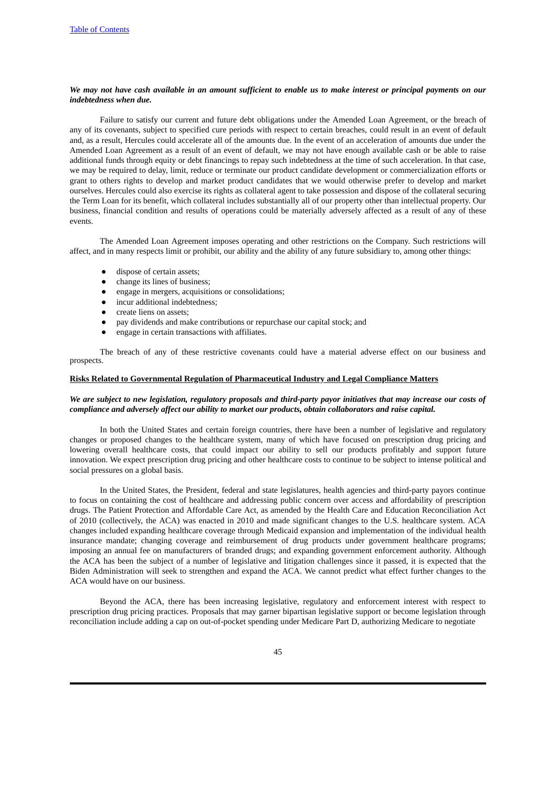# We may not have cash available in an amount sufficient to enable us to make interest or principal payments on our *indebtedness when due.*

Failure to satisfy our current and future debt obligations under the Amended Loan Agreement, or the breach of any of its covenants, subject to specified cure periods with respect to certain breaches, could result in an event of default and, as a result, Hercules could accelerate all of the amounts due. In the event of an acceleration of amounts due under the Amended Loan Agreement as a result of an event of default, we may not have enough available cash or be able to raise additional funds through equity or debt financings to repay such indebtedness at the time of such acceleration. In that case, we may be required to delay, limit, reduce or terminate our product candidate development or commercialization efforts or grant to others rights to develop and market product candidates that we would otherwise prefer to develop and market ourselves. Hercules could also exercise its rights as collateral agent to take possession and dispose of the collateral securing the Term Loan for its benefit, which collateral includes substantially all of our property other than intellectual property. Our business, financial condition and results of operations could be materially adversely affected as a result of any of these events.

The Amended Loan Agreement imposes operating and other restrictions on the Company. Such restrictions will affect, and in many respects limit or prohibit, our ability and the ability of any future subsidiary to, among other things:

- dispose of certain assets;
- change its lines of business;
- engage in mergers, acquisitions or consolidations;
- incur additional indebtedness;
- create liens on assets;
- pay dividends and make contributions or repurchase our capital stock; and
- engage in certain transactions with affiliates.

The breach of any of these restrictive covenants could have a material adverse effect on our business and prospects.

### **Risks Related to Governmental Regulation of Pharmaceutical Industry and Legal Compliance Matters**

# We are subject to new legislation, regulatory proposals and third-party payor initiatives that may increase our costs of *compliance and adversely affect our ability to market our products, obtain collaborators and raise capital.*

In both the United States and certain foreign countries, there have been a number of legislative and regulatory changes or proposed changes to the healthcare system, many of which have focused on prescription drug pricing and lowering overall healthcare costs, that could impact our ability to sell our products profitably and support future innovation. We expect prescription drug pricing and other healthcare costs to continue to be subject to intense political and social pressures on a global basis.

In the United States, the President, federal and state legislatures, health agencies and third-party payors continue to focus on containing the cost of healthcare and addressing public concern over access and affordability of prescription drugs. The Patient Protection and Affordable Care Act, as amended by the Health Care and Education Reconciliation Act of 2010 (collectively, the ACA) was enacted in 2010 and made significant changes to the U.S. healthcare system. ACA changes included expanding healthcare coverage through Medicaid expansion and implementation of the individual health insurance mandate; changing coverage and reimbursement of drug products under government healthcare programs; imposing an annual fee on manufacturers of branded drugs; and expanding government enforcement authority. Although the ACA has been the subject of a number of legislative and litigation challenges since it passed, it is expected that the Biden Administration will seek to strengthen and expand the ACA. We cannot predict what effect further changes to the ACA would have on our business.

Beyond the ACA, there has been increasing legislative, regulatory and enforcement interest with respect to prescription drug pricing practices. Proposals that may garner bipartisan legislative support or become legislation through reconciliation include adding a cap on out-of-pocket spending under Medicare Part D, authorizing Medicare to negotiate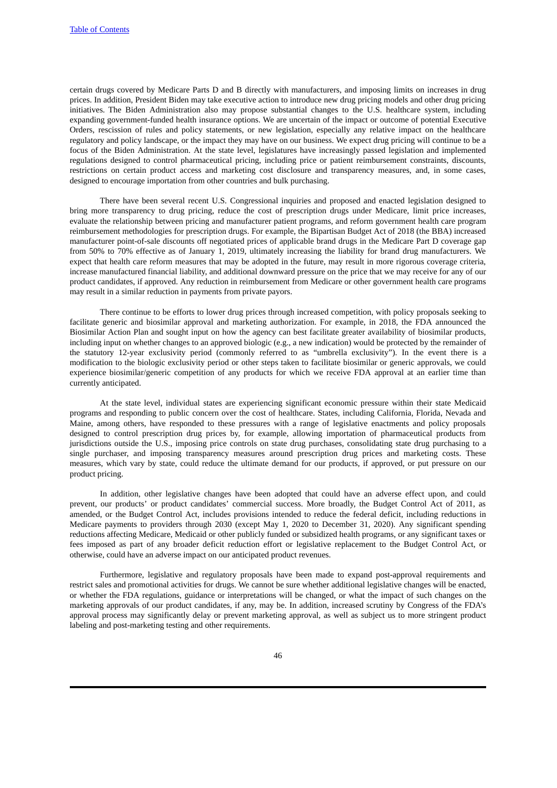certain drugs covered by Medicare Parts D and B directly with manufacturers, and imposing limits on increases in drug prices. In addition, President Biden may take executive action to introduce new drug pricing models and other drug pricing initiatives. The Biden Administration also may propose substantial changes to the U.S. healthcare system, including expanding government-funded health insurance options. We are uncertain of the impact or outcome of potential Executive Orders, rescission of rules and policy statements, or new legislation, especially any relative impact on the healthcare regulatory and policy landscape, or the impact they may have on our business. We expect drug pricing will continue to be a focus of the Biden Administration. At the state level, legislatures have increasingly passed legislation and implemented regulations designed to control pharmaceutical pricing, including price or patient reimbursement constraints, discounts, restrictions on certain product access and marketing cost disclosure and transparency measures, and, in some cases, designed to encourage importation from other countries and bulk purchasing.

There have been several recent U.S. Congressional inquiries and proposed and enacted legislation designed to bring more transparency to drug pricing, reduce the cost of prescription drugs under Medicare, limit price increases, evaluate the relationship between pricing and manufacturer patient programs, and reform government health care program reimbursement methodologies for prescription drugs. For example, the Bipartisan Budget Act of 2018 (the BBA) increased manufacturer point-of-sale discounts off negotiated prices of applicable brand drugs in the Medicare Part D coverage gap from 50% to 70% effective as of January 1, 2019, ultimately increasing the liability for brand drug manufacturers. We expect that health care reform measures that may be adopted in the future, may result in more rigorous coverage criteria, increase manufactured financial liability, and additional downward pressure on the price that we may receive for any of our product candidates, if approved. Any reduction in reimbursement from Medicare or other government health care programs may result in a similar reduction in payments from private payors.

There continue to be efforts to lower drug prices through increased competition, with policy proposals seeking to facilitate generic and biosimilar approval and marketing authorization. For example, in 2018, the FDA announced the Biosimilar Action Plan and sought input on how the agency can best facilitate greater availability of biosimilar products, including input on whether changes to an approved biologic (e.g., a new indication) would be protected by the remainder of the statutory 12-year exclusivity period (commonly referred to as "umbrella exclusivity"). In the event there is a modification to the biologic exclusivity period or other steps taken to facilitate biosimilar or generic approvals, we could experience biosimilar/generic competition of any products for which we receive FDA approval at an earlier time than currently anticipated.

At the state level, individual states are experiencing significant economic pressure within their state Medicaid programs and responding to public concern over the cost of healthcare. States, including California, Florida, Nevada and Maine, among others, have responded to these pressures with a range of legislative enactments and policy proposals designed to control prescription drug prices by, for example, allowing importation of pharmaceutical products from jurisdictions outside the U.S., imposing price controls on state drug purchases, consolidating state drug purchasing to a single purchaser, and imposing transparency measures around prescription drug prices and marketing costs. These measures, which vary by state, could reduce the ultimate demand for our products, if approved, or put pressure on our product pricing.

In addition, other legislative changes have been adopted that could have an adverse effect upon, and could prevent, our products' or product candidates' commercial success. More broadly, the Budget Control Act of 2011, as amended, or the Budget Control Act, includes provisions intended to reduce the federal deficit, including reductions in Medicare payments to providers through 2030 (except May 1, 2020 to December 31, 2020). Any significant spending reductions affecting Medicare, Medicaid or other publicly funded or subsidized health programs, or any significant taxes or fees imposed as part of any broader deficit reduction effort or legislative replacement to the Budget Control Act, or otherwise, could have an adverse impact on our anticipated product revenues.

Furthermore, legislative and regulatory proposals have been made to expand post-approval requirements and restrict sales and promotional activities for drugs. We cannot be sure whether additional legislative changes will be enacted, or whether the FDA regulations, guidance or interpretations will be changed, or what the impact of such changes on the marketing approvals of our product candidates, if any, may be. In addition, increased scrutiny by Congress of the FDA's approval process may significantly delay or prevent marketing approval, as well as subject us to more stringent product labeling and post-marketing testing and other requirements.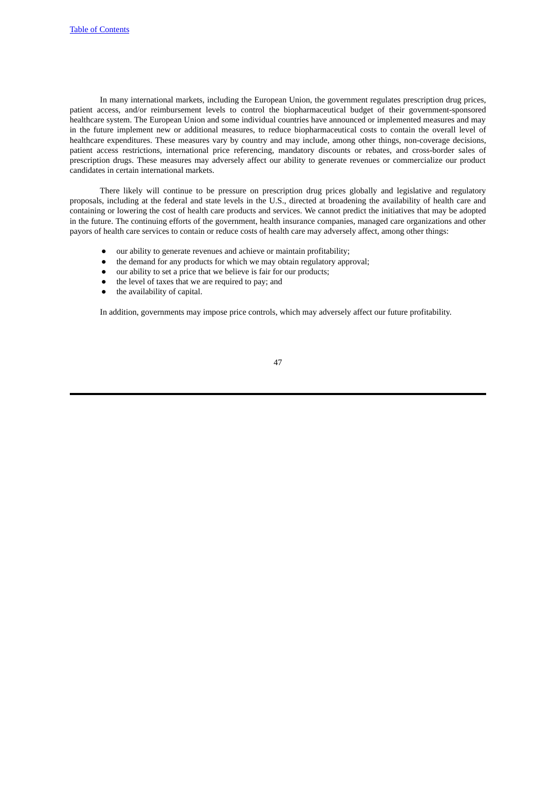In many international markets, including the European Union, the government regulates prescription drug prices, patient access, and/or reimbursement levels to control the biopharmaceutical budget of their government-sponsored healthcare system. The European Union and some individual countries have announced or implemented measures and may in the future implement new or additional measures, to reduce biopharmaceutical costs to contain the overall level of healthcare expenditures. These measures vary by country and may include, among other things, non-coverage decisions, patient access restrictions, international price referencing, mandatory discounts or rebates, and cross-border sales of prescription drugs. These measures may adversely affect our ability to generate revenues or commercialize our product candidates in certain international markets.

There likely will continue to be pressure on prescription drug prices globally and legislative and regulatory proposals, including at the federal and state levels in the U.S., directed at broadening the availability of health care and containing or lowering the cost of health care products and services. We cannot predict the initiatives that may be adopted in the future. The continuing efforts of the government, health insurance companies, managed care organizations and other payors of health care services to contain or reduce costs of health care may adversely affect, among other things:

- our ability to generate revenues and achieve or maintain profitability;
- the demand for any products for which we may obtain regulatory approval;
- our ability to set a price that we believe is fair for our products;
- the level of taxes that we are required to pay; and
- the availability of capital.

In addition, governments may impose price controls, which may adversely affect our future profitability.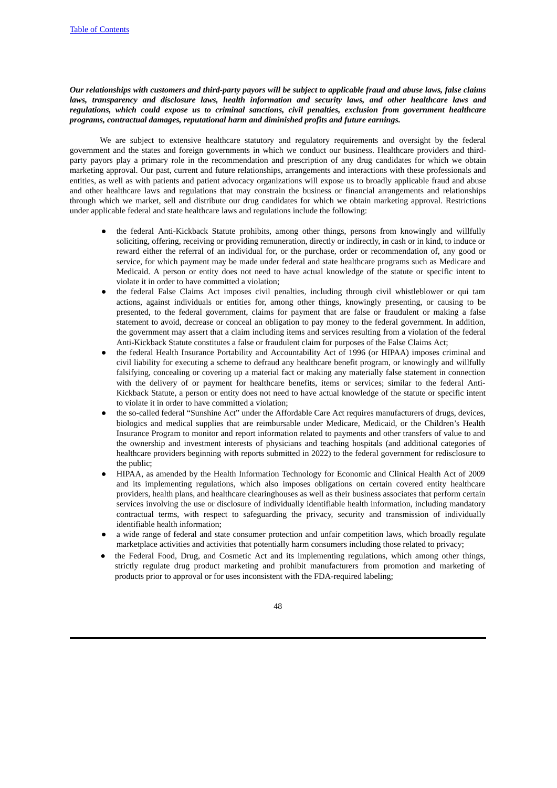Our relationships with customers and third-party payors will be subject to applicable fraud and abuse laws, false claims *laws, transparency and disclosure laws, health information and security laws, and other healthcare laws and regulations, which could expose us to criminal sanctions, civil penalties, exclusion from government healthcare programs, contractual damages, reputational harm and diminished profits and future earnings.*

We are subject to extensive healthcare statutory and regulatory requirements and oversight by the federal government and the states and foreign governments in which we conduct our business. Healthcare providers and thirdparty payors play a primary role in the recommendation and prescription of any drug candidates for which we obtain marketing approval. Our past, current and future relationships, arrangements and interactions with these professionals and entities, as well as with patients and patient advocacy organizations will expose us to broadly applicable fraud and abuse and other healthcare laws and regulations that may constrain the business or financial arrangements and relationships through which we market, sell and distribute our drug candidates for which we obtain marketing approval. Restrictions under applicable federal and state healthcare laws and regulations include the following:

- the federal Anti-Kickback Statute prohibits, among other things, persons from knowingly and willfully soliciting, offering, receiving or providing remuneration, directly or indirectly, in cash or in kind, to induce or reward either the referral of an individual for, or the purchase, order or recommendation of, any good or service, for which payment may be made under federal and state healthcare programs such as Medicare and Medicaid. A person or entity does not need to have actual knowledge of the statute or specific intent to violate it in order to have committed a violation;
- the federal False Claims Act imposes civil penalties, including through civil whistleblower or qui tam actions, against individuals or entities for, among other things, knowingly presenting, or causing to be presented, to the federal government, claims for payment that are false or fraudulent or making a false statement to avoid, decrease or conceal an obligation to pay money to the federal government. In addition, the government may assert that a claim including items and services resulting from a violation of the federal Anti-Kickback Statute constitutes a false or fraudulent claim for purposes of the False Claims Act;
- the federal Health Insurance Portability and Accountability Act of 1996 (or HIPAA) imposes criminal and civil liability for executing a scheme to defraud any healthcare benefit program, or knowingly and willfully falsifying, concealing or covering up a material fact or making any materially false statement in connection with the delivery of or payment for healthcare benefits, items or services; similar to the federal Anti-Kickback Statute, a person or entity does not need to have actual knowledge of the statute or specific intent to violate it in order to have committed a violation;
- the so-called federal "Sunshine Act" under the Affordable Care Act requires manufacturers of drugs, devices, biologics and medical supplies that are reimbursable under Medicare, Medicaid, or the Children's Health Insurance Program to monitor and report information related to payments and other transfers of value to and the ownership and investment interests of physicians and teaching hospitals (and additional categories of healthcare providers beginning with reports submitted in 2022) to the federal government for redisclosure to the public;
- HIPAA, as amended by the Health Information Technology for Economic and Clinical Health Act of 2009 and its implementing regulations, which also imposes obligations on certain covered entity healthcare providers, health plans, and healthcare clearinghouses as well as their business associates that perform certain services involving the use or disclosure of individually identifiable health information, including mandatory contractual terms, with respect to safeguarding the privacy, security and transmission of individually identifiable health information;
- a wide range of federal and state consumer protection and unfair competition laws, which broadly regulate marketplace activities and activities that potentially harm consumers including those related to privacy;
- the Federal Food, Drug, and Cosmetic Act and its implementing regulations, which among other things, strictly regulate drug product marketing and prohibit manufacturers from promotion and marketing of products prior to approval or for uses inconsistent with the FDA-required labeling;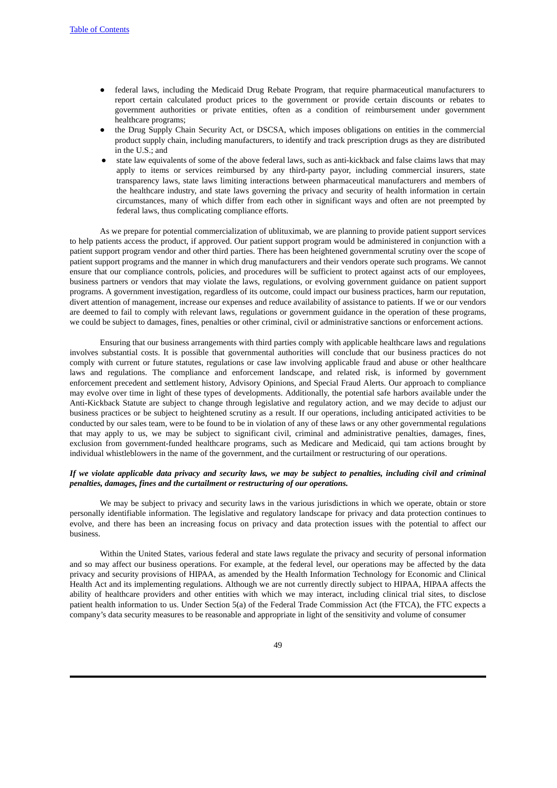- federal laws, including the Medicaid Drug Rebate Program, that require pharmaceutical manufacturers to report certain calculated product prices to the government or provide certain discounts or rebates to government authorities or private entities, often as a condition of reimbursement under government healthcare programs;
- the Drug Supply Chain Security Act, or DSCSA, which imposes obligations on entities in the commercial product supply chain, including manufacturers, to identify and track prescription drugs as they are distributed in the U.S.; and
- state law equivalents of some of the above federal laws, such as anti-kickback and false claims laws that may apply to items or services reimbursed by any third-party payor, including commercial insurers, state transparency laws, state laws limiting interactions between pharmaceutical manufacturers and members of the healthcare industry, and state laws governing the privacy and security of health information in certain circumstances, many of which differ from each other in significant ways and often are not preempted by federal laws, thus complicating compliance efforts.

As we prepare for potential commercialization of ublituximab, we are planning to provide patient support services to help patients access the product, if approved. Our patient support program would be administered in conjunction with a patient support program vendor and other third parties. There has been heightened governmental scrutiny over the scope of patient support programs and the manner in which drug manufacturers and their vendors operate such programs. We cannot ensure that our compliance controls, policies, and procedures will be sufficient to protect against acts of our employees, business partners or vendors that may violate the laws, regulations, or evolving government guidance on patient support programs. A government investigation, regardless of its outcome, could impact our business practices, harm our reputation, divert attention of management, increase our expenses and reduce availability of assistance to patients. If we or our vendors are deemed to fail to comply with relevant laws, regulations or government guidance in the operation of these programs, we could be subject to damages, fines, penalties or other criminal, civil or administrative sanctions or enforcement actions.

Ensuring that our business arrangements with third parties comply with applicable healthcare laws and regulations involves substantial costs. It is possible that governmental authorities will conclude that our business practices do not comply with current or future statutes, regulations or case law involving applicable fraud and abuse or other healthcare laws and regulations. The compliance and enforcement landscape, and related risk, is informed by government enforcement precedent and settlement history, Advisory Opinions, and Special Fraud Alerts. Our approach to compliance may evolve over time in light of these types of developments. Additionally, the potential safe harbors available under the Anti-Kickback Statute are subject to change through legislative and regulatory action, and we may decide to adjust our business practices or be subject to heightened scrutiny as a result. If our operations, including anticipated activities to be conducted by our sales team, were to be found to be in violation of any of these laws or any other governmental regulations that may apply to us, we may be subject to significant civil, criminal and administrative penalties, damages, fines, exclusion from government-funded healthcare programs, such as Medicare and Medicaid, qui tam actions brought by individual whistleblowers in the name of the government, and the curtailment or restructuring of our operations.

# If we violate applicable data privacy and security laws, we may be subject to penalties, including civil and criminal *penalties, damages, fines and the curtailment or restructuring of our operations.*

We may be subject to privacy and security laws in the various jurisdictions in which we operate, obtain or store personally identifiable information. The legislative and regulatory landscape for privacy and data protection continues to evolve, and there has been an increasing focus on privacy and data protection issues with the potential to affect our business.

Within the United States, various federal and state laws regulate the privacy and security of personal information and so may affect our business operations. For example, at the federal level, our operations may be affected by the data privacy and security provisions of HIPAA, as amended by the Health Information Technology for Economic and Clinical Health Act and its implementing regulations. Although we are not currently directly subject to HIPAA, HIPAA affects the ability of healthcare providers and other entities with which we may interact, including clinical trial sites, to disclose patient health information to us. Under Section 5(a) of the Federal Trade Commission Act (the FTCA), the FTC expects a company's data security measures to be reasonable and appropriate in light of the sensitivity and volume of consumer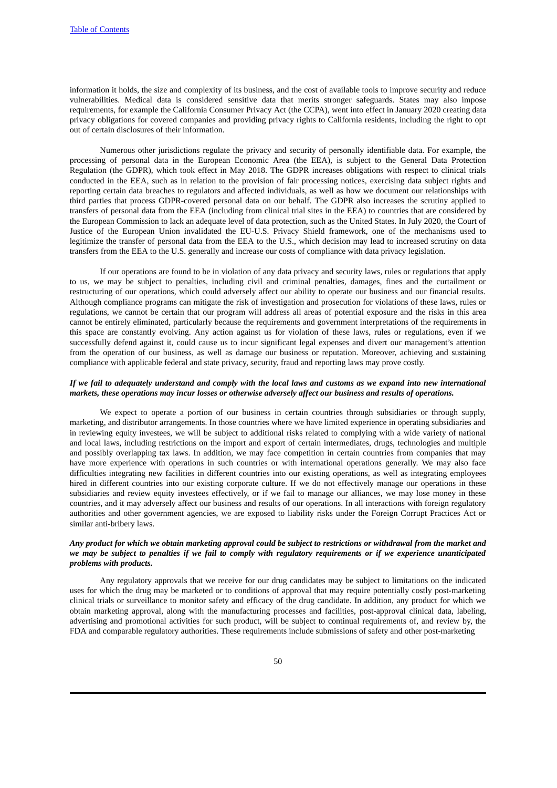information it holds, the size and complexity of its business, and the cost of available tools to improve security and reduce vulnerabilities. Medical data is considered sensitive data that merits stronger safeguards. States may also impose requirements, for example the California Consumer Privacy Act (the CCPA), went into effect in January 2020 creating data privacy obligations for covered companies and providing privacy rights to California residents, including the right to opt out of certain disclosures of their information.

Numerous other jurisdictions regulate the privacy and security of personally identifiable data. For example, the processing of personal data in the European Economic Area (the EEA), is subject to the General Data Protection Regulation (the GDPR), which took effect in May 2018. The GDPR increases obligations with respect to clinical trials conducted in the EEA, such as in relation to the provision of fair processing notices, exercising data subject rights and reporting certain data breaches to regulators and affected individuals, as well as how we document our relationships with third parties that process GDPR-covered personal data on our behalf. The GDPR also increases the scrutiny applied to transfers of personal data from the EEA (including from clinical trial sites in the EEA) to countries that are considered by the European Commission to lack an adequate level of data protection, such as the United States. In July 2020, the Court of Justice of the European Union invalidated the EU-U.S. Privacy Shield framework, one of the mechanisms used to legitimize the transfer of personal data from the EEA to the U.S., which decision may lead to increased scrutiny on data transfers from the EEA to the U.S. generally and increase our costs of compliance with data privacy legislation.

If our operations are found to be in violation of any data privacy and security laws, rules or regulations that apply to us, we may be subject to penalties, including civil and criminal penalties, damages, fines and the curtailment or restructuring of our operations, which could adversely affect our ability to operate our business and our financial results. Although compliance programs can mitigate the risk of investigation and prosecution for violations of these laws, rules or regulations, we cannot be certain that our program will address all areas of potential exposure and the risks in this area cannot be entirely eliminated, particularly because the requirements and government interpretations of the requirements in this space are constantly evolving. Any action against us for violation of these laws, rules or regulations, even if we successfully defend against it, could cause us to incur significant legal expenses and divert our management's attention from the operation of our business, as well as damage our business or reputation. Moreover, achieving and sustaining compliance with applicable federal and state privacy, security, fraud and reporting laws may prove costly.

# If we fail to adequately understand and comply with the local laws and customs as we expand into new international *markets, these operations may incur losses or otherwise adversely affect our business and results of operations.*

We expect to operate a portion of our business in certain countries through subsidiaries or through supply, marketing, and distributor arrangements. In those countries where we have limited experience in operating subsidiaries and in reviewing equity investees, we will be subject to additional risks related to complying with a wide variety of national and local laws, including restrictions on the import and export of certain intermediates, drugs, technologies and multiple and possibly overlapping tax laws. In addition, we may face competition in certain countries from companies that may have more experience with operations in such countries or with international operations generally. We may also face difficulties integrating new facilities in different countries into our existing operations, as well as integrating employees hired in different countries into our existing corporate culture. If we do not effectively manage our operations in these subsidiaries and review equity investees effectively, or if we fail to manage our alliances, we may lose money in these countries, and it may adversely affect our business and results of our operations. In all interactions with foreign regulatory authorities and other government agencies, we are exposed to liability risks under the Foreign Corrupt Practices Act or similar anti-bribery laws.

## Any product for which we obtain marketing approval could be subject to restrictions or withdrawal from the market and we may be subject to penalties if we fail to comply with regulatory requirements or if we experience unanticipated *problems with products.*

Any regulatory approvals that we receive for our drug candidates may be subject to limitations on the indicated uses for which the drug may be marketed or to conditions of approval that may require potentially costly post-marketing clinical trials or surveillance to monitor safety and efficacy of the drug candidate. In addition, any product for which we obtain marketing approval, along with the manufacturing processes and facilities, post-approval clinical data, labeling, advertising and promotional activities for such product, will be subject to continual requirements of, and review by, the FDA and comparable regulatory authorities. These requirements include submissions of safety and other post-marketing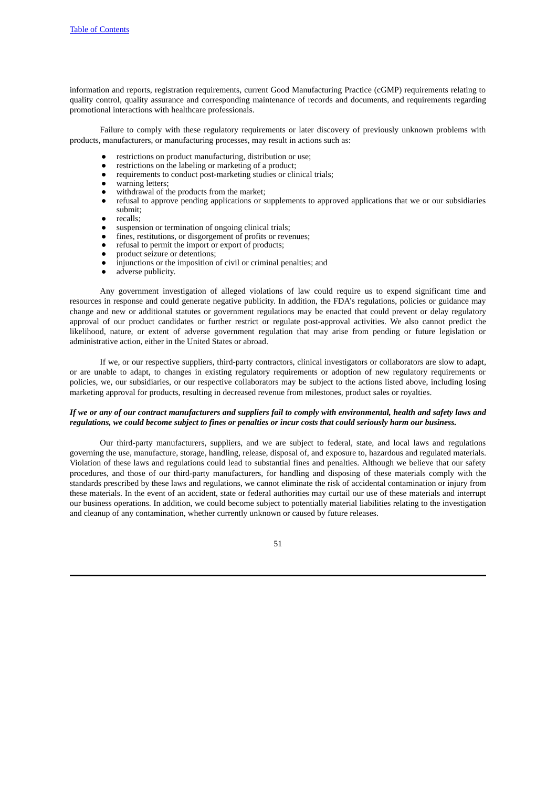information and reports, registration requirements, current Good Manufacturing Practice (cGMP) requirements relating to quality control, quality assurance and corresponding maintenance of records and documents, and requirements regarding promotional interactions with healthcare professionals.

Failure to comply with these regulatory requirements or later discovery of previously unknown problems with products, manufacturers, or manufacturing processes, may result in actions such as:

- restrictions on product manufacturing, distribution or use;
- restrictions on the labeling or marketing of a product;
- requirements to conduct post-marketing studies or clinical trials;
- warning letters;
- withdrawal of the products from the market;<br>• refusal to approve pending applications or s
- refusal to approve pending applications or supplements to approved applications that we or our subsidiaries submit;
- recalls:
- suspension or termination of ongoing clinical trials;
- fines, restitutions, or disgorgement of profits or revenues;
- refusal to permit the import or export of products;
- product seizure or detentions;
- injunctions or the imposition of civil or criminal penalties; and
- adverse publicity.

Any government investigation of alleged violations of law could require us to expend significant time and resources in response and could generate negative publicity. In addition, the FDA's regulations, policies or guidance may change and new or additional statutes or government regulations may be enacted that could prevent or delay regulatory approval of our product candidates or further restrict or regulate post-approval activities. We also cannot predict the likelihood, nature, or extent of adverse government regulation that may arise from pending or future legislation or administrative action, either in the United States or abroad.

If we, or our respective suppliers, third-party contractors, clinical investigators or collaborators are slow to adapt, or are unable to adapt, to changes in existing regulatory requirements or adoption of new regulatory requirements or policies, we, our subsidiaries, or our respective collaborators may be subject to the actions listed above, including losing marketing approval for products, resulting in decreased revenue from milestones, product sales or royalties.

### If we or any of our contract manufacturers and suppliers fail to comply with environmental, health and safety laws and regulations, we could become subject to fines or penalties or incur costs that could seriously harm our business.

Our third-party manufacturers, suppliers, and we are subject to federal, state, and local laws and regulations governing the use, manufacture, storage, handling, release, disposal of, and exposure to, hazardous and regulated materials. Violation of these laws and regulations could lead to substantial fines and penalties. Although we believe that our safety procedures, and those of our third-party manufacturers, for handling and disposing of these materials comply with the standards prescribed by these laws and regulations, we cannot eliminate the risk of accidental contamination or injury from these materials. In the event of an accident, state or federal authorities may curtail our use of these materials and interrupt our business operations. In addition, we could become subject to potentially material liabilities relating to the investigation and cleanup of any contamination, whether currently unknown or caused by future releases.

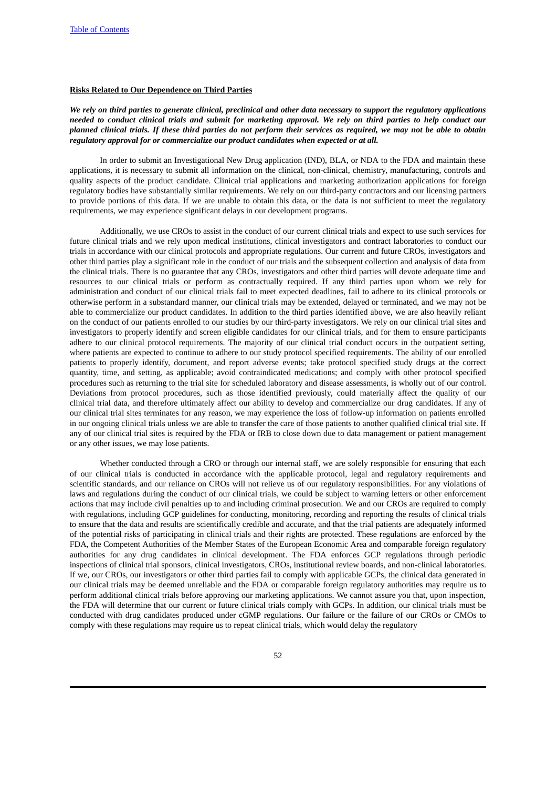# **Risks Related to Our Dependence on Third Parties**

# We rely on third parties to generate clinical, preclinical and other data necessary to support the regulatory applications needed to conduct clinical trials and submit for marketing approval. We rely on third parties to help conduct our planned clinical trials. If these third parties do not perform their services as required, we may not be able to obtain *regulatory approval for or commercialize our product candidates when expected or at all.*

In order to submit an Investigational New Drug application (IND), BLA, or NDA to the FDA and maintain these applications, it is necessary to submit all information on the clinical, non-clinical, chemistry, manufacturing, controls and quality aspects of the product candidate. Clinical trial applications and marketing authorization applications for foreign regulatory bodies have substantially similar requirements. We rely on our third-party contractors and our licensing partners to provide portions of this data. If we are unable to obtain this data, or the data is not sufficient to meet the regulatory requirements, we may experience significant delays in our development programs.

Additionally, we use CROs to assist in the conduct of our current clinical trials and expect to use such services for future clinical trials and we rely upon medical institutions, clinical investigators and contract laboratories to conduct our trials in accordance with our clinical protocols and appropriate regulations. Our current and future CROs, investigators and other third parties play a significant role in the conduct of our trials and the subsequent collection and analysis of data from the clinical trials. There is no guarantee that any CROs, investigators and other third parties will devote adequate time and resources to our clinical trials or perform as contractually required. If any third parties upon whom we rely for administration and conduct of our clinical trials fail to meet expected deadlines, fail to adhere to its clinical protocols or otherwise perform in a substandard manner, our clinical trials may be extended, delayed or terminated, and we may not be able to commercialize our product candidates. In addition to the third parties identified above, we are also heavily reliant on the conduct of our patients enrolled to our studies by our third-party investigators. We rely on our clinical trial sites and investigators to properly identify and screen eligible candidates for our clinical trials, and for them to ensure participants adhere to our clinical protocol requirements. The majority of our clinical trial conduct occurs in the outpatient setting, where patients are expected to continue to adhere to our study protocol specified requirements. The ability of our enrolled patients to properly identify, document, and report adverse events; take protocol specified study drugs at the correct quantity, time, and setting, as applicable; avoid contraindicated medications; and comply with other protocol specified procedures such as returning to the trial site for scheduled laboratory and disease assessments, is wholly out of our control. Deviations from protocol procedures, such as those identified previously, could materially affect the quality of our clinical trial data, and therefore ultimately affect our ability to develop and commercialize our drug candidates. If any of our clinical trial sites terminates for any reason, we may experience the loss of follow-up information on patients enrolled in our ongoing clinical trials unless we are able to transfer the care of those patients to another qualified clinical trial site. If any of our clinical trial sites is required by the FDA or IRB to close down due to data management or patient management or any other issues, we may lose patients.

Whether conducted through a CRO or through our internal staff, we are solely responsible for ensuring that each of our clinical trials is conducted in accordance with the applicable protocol, legal and regulatory requirements and scientific standards, and our reliance on CROs will not relieve us of our regulatory responsibilities. For any violations of laws and regulations during the conduct of our clinical trials, we could be subject to warning letters or other enforcement actions that may include civil penalties up to and including criminal prosecution. We and our CROs are required to comply with regulations, including GCP guidelines for conducting, monitoring, recording and reporting the results of clinical trials to ensure that the data and results are scientifically credible and accurate, and that the trial patients are adequately informed of the potential risks of participating in clinical trials and their rights are protected. These regulations are enforced by the FDA, the Competent Authorities of the Member States of the European Economic Area and comparable foreign regulatory authorities for any drug candidates in clinical development. The FDA enforces GCP regulations through periodic inspections of clinical trial sponsors, clinical investigators, CROs, institutional review boards, and non-clinical laboratories. If we, our CROs, our investigators or other third parties fail to comply with applicable GCPs, the clinical data generated in our clinical trials may be deemed unreliable and the FDA or comparable foreign regulatory authorities may require us to perform additional clinical trials before approving our marketing applications. We cannot assure you that, upon inspection, the FDA will determine that our current or future clinical trials comply with GCPs. In addition, our clinical trials must be conducted with drug candidates produced under cGMP regulations. Our failure or the failure of our CROs or CMOs to comply with these regulations may require us to repeat clinical trials, which would delay the regulatory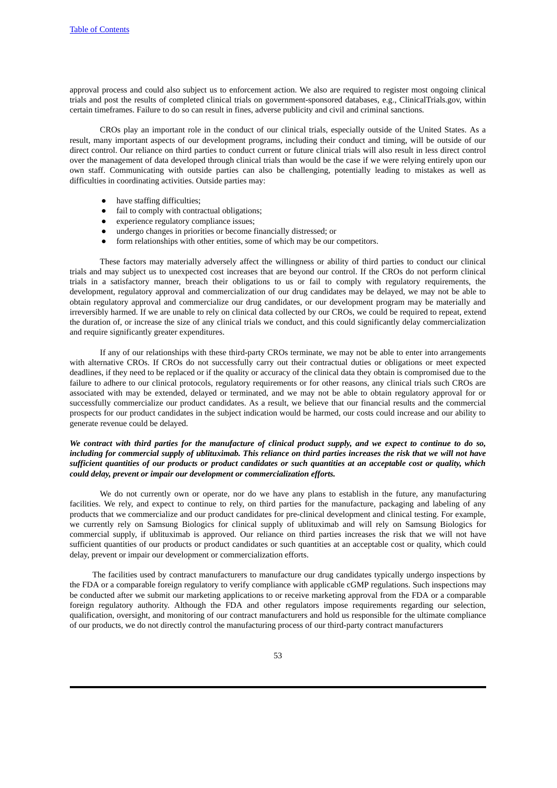approval process and could also subject us to enforcement action. We also are required to register most ongoing clinical trials and post the results of completed clinical trials on government-sponsored databases, e.g., ClinicalTrials.gov, within certain timeframes. Failure to do so can result in fines, adverse publicity and civil and criminal sanctions.

CROs play an important role in the conduct of our clinical trials, especially outside of the United States. As a result, many important aspects of our development programs, including their conduct and timing, will be outside of our direct control. Our reliance on third parties to conduct current or future clinical trials will also result in less direct control over the management of data developed through clinical trials than would be the case if we were relying entirely upon our own staff. Communicating with outside parties can also be challenging, potentially leading to mistakes as well as difficulties in coordinating activities. Outside parties may:

- have staffing difficulties;
- fail to comply with contractual obligations;
- experience regulatory compliance issues;
- undergo changes in priorities or become financially distressed; or
- form relationships with other entities, some of which may be our competitors.

These factors may materially adversely affect the willingness or ability of third parties to conduct our clinical trials and may subject us to unexpected cost increases that are beyond our control. If the CROs do not perform clinical trials in a satisfactory manner, breach their obligations to us or fail to comply with regulatory requirements, the development, regulatory approval and commercialization of our drug candidates may be delayed, we may not be able to obtain regulatory approval and commercialize our drug candidates, or our development program may be materially and irreversibly harmed. If we are unable to rely on clinical data collected by our CROs, we could be required to repeat, extend the duration of, or increase the size of any clinical trials we conduct, and this could significantly delay commercialization and require significantly greater expenditures.

If any of our relationships with these third-party CROs terminate, we may not be able to enter into arrangements with alternative CROs. If CROs do not successfully carry out their contractual duties or obligations or meet expected deadlines, if they need to be replaced or if the quality or accuracy of the clinical data they obtain is compromised due to the failure to adhere to our clinical protocols, regulatory requirements or for other reasons, any clinical trials such CROs are associated with may be extended, delayed or terminated, and we may not be able to obtain regulatory approval for or successfully commercialize our product candidates. As a result, we believe that our financial results and the commercial prospects for our product candidates in the subject indication would be harmed, our costs could increase and our ability to generate revenue could be delayed.

# We contract with third parties for the manufacture of clinical product supply, and we expect to continue to do so, including for commercial supply of ublituximab. This reliance on third parties increases the risk that we will not have sufficient quantities of our products or product candidates or such quantities at an acceptable cost or quality, which *could delay, prevent or impair our development or commercialization efforts.*

We do not currently own or operate, nor do we have any plans to establish in the future, any manufacturing facilities. We rely, and expect to continue to rely, on third parties for the manufacture, packaging and labeling of any products that we commercialize and our product candidates for pre-clinical development and clinical testing. For example, we currently rely on Samsung Biologics for clinical supply of ublituximab and will rely on Samsung Biologics for commercial supply, if ublituximab is approved. Our reliance on third parties increases the risk that we will not have sufficient quantities of our products or product candidates or such quantities at an acceptable cost or quality, which could delay, prevent or impair our development or commercialization efforts.

The facilities used by contract manufacturers to manufacture our drug candidates typically undergo inspections by the FDA or a comparable foreign regulatory to verify compliance with applicable cGMP regulations. Such inspections may be conducted after we submit our marketing applications to or receive marketing approval from the FDA or a comparable foreign regulatory authority. Although the FDA and other regulators impose requirements regarding our selection, qualification, oversight, and monitoring of our contract manufacturers and hold us responsible for the ultimate compliance of our products, we do not directly control the manufacturing process of our third-party contract manufacturers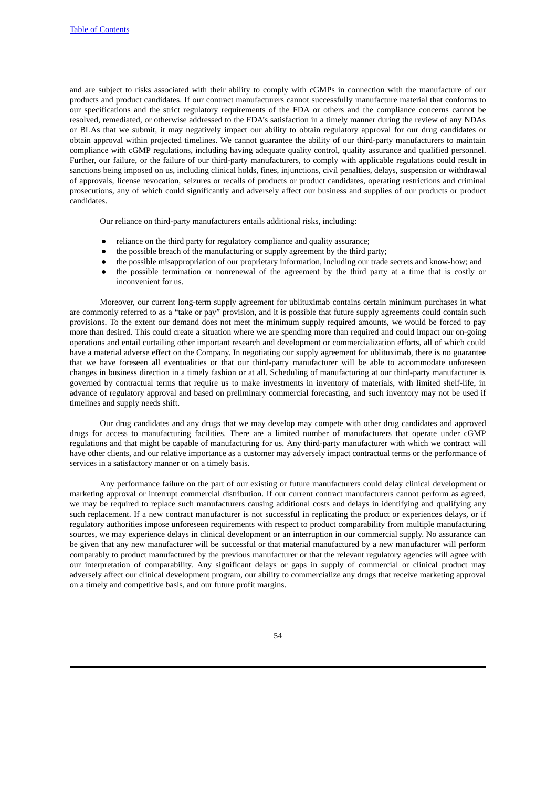and are subject to risks associated with their ability to comply with cGMPs in connection with the manufacture of our products and product candidates. If our contract manufacturers cannot successfully manufacture material that conforms to our specifications and the strict regulatory requirements of the FDA or others and the compliance concerns cannot be resolved, remediated, or otherwise addressed to the FDA's satisfaction in a timely manner during the review of any NDAs or BLAs that we submit, it may negatively impact our ability to obtain regulatory approval for our drug candidates or obtain approval within projected timelines. We cannot guarantee the ability of our third-party manufacturers to maintain compliance with cGMP regulations, including having adequate quality control, quality assurance and qualified personnel. Further, our failure, or the failure of our third-party manufacturers, to comply with applicable regulations could result in sanctions being imposed on us, including clinical holds, fines, injunctions, civil penalties, delays, suspension or withdrawal of approvals, license revocation, seizures or recalls of products or product candidates, operating restrictions and criminal prosecutions, any of which could significantly and adversely affect our business and supplies of our products or product candidates.

Our reliance on third-party manufacturers entails additional risks, including:

- reliance on the third party for regulatory compliance and quality assurance;
- the possible breach of the manufacturing or supply agreement by the third party;
- the possible misappropriation of our proprietary information, including our trade secrets and know-how; and
- the possible termination or nonrenewal of the agreement by the third party at a time that is costly or inconvenient for us.

Moreover, our current long-term supply agreement for ublituximab contains certain minimum purchases in what are commonly referred to as a "take or pay" provision, and it is possible that future supply agreements could contain such provisions. To the extent our demand does not meet the minimum supply required amounts, we would be forced to pay more than desired. This could create a situation where we are spending more than required and could impact our on-going operations and entail curtailing other important research and development or commercialization efforts, all of which could have a material adverse effect on the Company. In negotiating our supply agreement for ublituximab, there is no guarantee that we have foreseen all eventualities or that our third-party manufacturer will be able to accommodate unforeseen changes in business direction in a timely fashion or at all. Scheduling of manufacturing at our third-party manufacturer is governed by contractual terms that require us to make investments in inventory of materials, with limited shelf-life, in advance of regulatory approval and based on preliminary commercial forecasting, and such inventory may not be used if timelines and supply needs shift.

Our drug candidates and any drugs that we may develop may compete with other drug candidates and approved drugs for access to manufacturing facilities. There are a limited number of manufacturers that operate under cGMP regulations and that might be capable of manufacturing for us. Any third-party manufacturer with which we contract will have other clients, and our relative importance as a customer may adversely impact contractual terms or the performance of services in a satisfactory manner or on a timely basis.

Any performance failure on the part of our existing or future manufacturers could delay clinical development or marketing approval or interrupt commercial distribution. If our current contract manufacturers cannot perform as agreed, we may be required to replace such manufacturers causing additional costs and delays in identifying and qualifying any such replacement. If a new contract manufacturer is not successful in replicating the product or experiences delays, or if regulatory authorities impose unforeseen requirements with respect to product comparability from multiple manufacturing sources, we may experience delays in clinical development or an interruption in our commercial supply. No assurance can be given that any new manufacturer will be successful or that material manufactured by a new manufacturer will perform comparably to product manufactured by the previous manufacturer or that the relevant regulatory agencies will agree with our interpretation of comparability. Any significant delays or gaps in supply of commercial or clinical product may adversely affect our clinical development program, our ability to commercialize any drugs that receive marketing approval on a timely and competitive basis, and our future profit margins.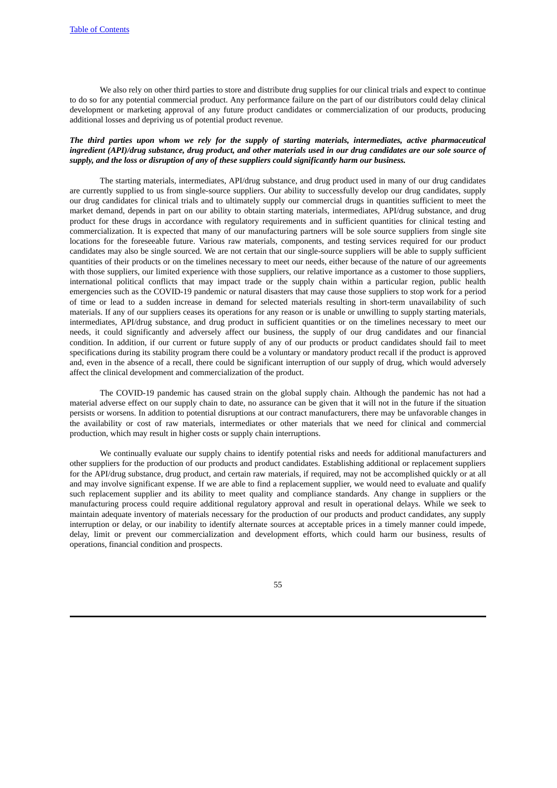We also rely on other third parties to store and distribute drug supplies for our clinical trials and expect to continue to do so for any potential commercial product. Any performance failure on the part of our distributors could delay clinical development or marketing approval of any future product candidates or commercialization of our products, producing additional losses and depriving us of potential product revenue.

# *The third parties upon whom we rely for the supply of starting materials, intermediates, active pharmaceutical* ingredient (API)/drug substance, drug product, and other materials used in our drug candidates are our sole source of *supply, and the loss or disruption of any of these suppliers could significantly harm our business.*

The starting materials, intermediates, API/drug substance, and drug product used in many of our drug candidates are currently supplied to us from single-source suppliers. Our ability to successfully develop our drug candidates, supply our drug candidates for clinical trials and to ultimately supply our commercial drugs in quantities sufficient to meet the market demand, depends in part on our ability to obtain starting materials, intermediates, API/drug substance, and drug product for these drugs in accordance with regulatory requirements and in sufficient quantities for clinical testing and commercialization. It is expected that many of our manufacturing partners will be sole source suppliers from single site locations for the foreseeable future. Various raw materials, components, and testing services required for our product candidates may also be single sourced. We are not certain that our single-source suppliers will be able to supply sufficient quantities of their products or on the timelines necessary to meet our needs, either because of the nature of our agreements with those suppliers, our limited experience with those suppliers, our relative importance as a customer to those suppliers, international political conflicts that may impact trade or the supply chain within a particular region, public health emergencies such as the COVID-19 pandemic or natural disasters that may cause those suppliers to stop work for a period of time or lead to a sudden increase in demand for selected materials resulting in short-term unavailability of such materials. If any of our suppliers ceases its operations for any reason or is unable or unwilling to supply starting materials, intermediates, API/drug substance, and drug product in sufficient quantities or on the timelines necessary to meet our needs, it could significantly and adversely affect our business, the supply of our drug candidates and our financial condition. In addition, if our current or future supply of any of our products or product candidates should fail to meet specifications during its stability program there could be a voluntary or mandatory product recall if the product is approved and, even in the absence of a recall, there could be significant interruption of our supply of drug, which would adversely affect the clinical development and commercialization of the product.

The COVID-19 pandemic has caused strain on the global supply chain. Although the pandemic has not had a material adverse effect on our supply chain to date, no assurance can be given that it will not in the future if the situation persists or worsens. In addition to potential disruptions at our contract manufacturers, there may be unfavorable changes in the availability or cost of raw materials, intermediates or other materials that we need for clinical and commercial production, which may result in higher costs or supply chain interruptions.

We continually evaluate our supply chains to identify potential risks and needs for additional manufacturers and other suppliers for the production of our products and product candidates. Establishing additional or replacement suppliers for the API/drug substance, drug product, and certain raw materials, if required, may not be accomplished quickly or at all and may involve significant expense. If we are able to find a replacement supplier, we would need to evaluate and qualify such replacement supplier and its ability to meet quality and compliance standards. Any change in suppliers or the manufacturing process could require additional regulatory approval and result in operational delays. While we seek to maintain adequate inventory of materials necessary for the production of our products and product candidates, any supply interruption or delay, or our inability to identify alternate sources at acceptable prices in a timely manner could impede, delay, limit or prevent our commercialization and development efforts, which could harm our business, results of operations, financial condition and prospects.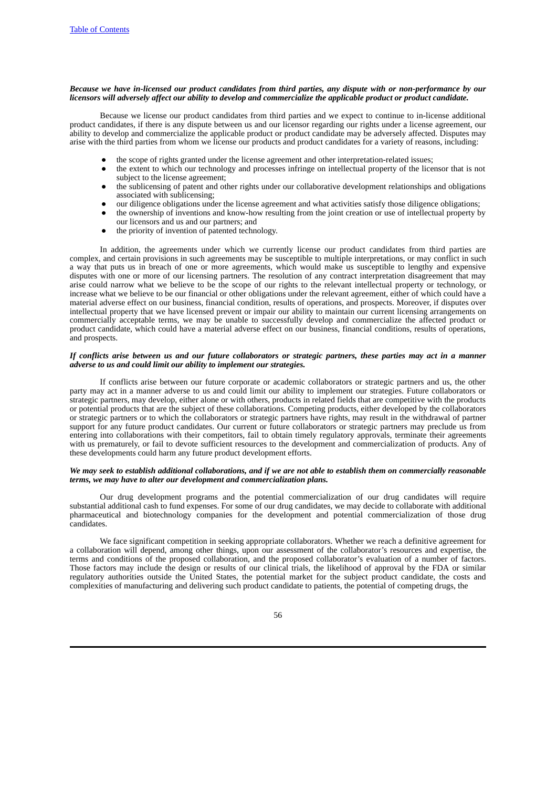### Because we have in-licensed our product candidates from third parties, any dispute with or non-performance by our licensors will adversely affect our ability to develop and commercialize the applicable product or product candidate.

Because we license our product candidates from third parties and we expect to continue to in-license additional product candidates, if there is any dispute between us and our licensor regarding our rights under a license agreement, our ability to develop and commercialize the applicable product or product candidate may be adversely affected. Disputes may arise with the third parties from whom we license our products and product candidates for a variety of reasons, including:

- the scope of rights granted under the license agreement and other interpretation-related issues;
- the extent to which our technology and processes infringe on intellectual property of the licensor that is not subject to the license agreement;
- the sublicensing of patent and other rights under our collaborative development relationships and obligations associated with sublicensing;
- our diligence obligations under the license agreement and what activities satisfy those diligence obligations;
- the ownership of inventions and know-how resulting from the joint creation or use of intellectual property by our licensors and us and our partners; and
- the priority of invention of patented technology.

In addition, the agreements under which we currently license our product candidates from third parties are complex, and certain provisions in such agreements may be susceptible to multiple interpretations, or may conflict in such a way that puts us in breach of one or more agreements, which would make us susceptible to lengthy and expensive disputes with one or more of our licensing partners. The resolution of any contract interpretation disagreement that may arise could narrow what we believe to be the scope of our rights to the relevant intellectual property or technology, or increase what we believe to be our financial or other obligations under the relevant agreement, either of which could have a material adverse effect on our business, financial condition, results of operations, and prospects. Moreover, if disputes over intellectual property that we have licensed prevent or impair our ability to maintain our current licensing arrangements on commercially acceptable terms, we may be unable to successfully develop and commercialize the affected product or product candidate, which could have a material adverse effect on our business, financial conditions, results of operations, and prospects.

#### If conflicts arise between us and our future collaborators or strategic partners, these parties may act in a manner *adverse to us and could limit our ability to implement our strategies.*

If conflicts arise between our future corporate or academic collaborators or strategic partners and us, the other party may act in a manner adverse to us and could limit our ability to implement our strategies. Future collaborators or strategic partners, may develop, either alone or with others, products in related fields that are competitive with the products or potential products that are the subject of these collaborations. Competing products, either developed by the collaborators or strategic partners or to which the collaborators or strategic partners have rights, may result in the withdrawal of partner support for any future product candidates. Our current or future collaborators or strategic partners may preclude us from entering into collaborations with their competitors, fail to obtain timely regulatory approvals, terminate their agreements with us prematurely, or fail to devote sufficient resources to the development and commercialization of products. Any of these developments could harm any future product development efforts.

#### We may seek to establish additional collaborations, and if we are not able to establish them on commercially reasonable *terms, we may have to alter our development and commercialization plans.*

Our drug development programs and the potential commercialization of our drug candidates will require substantial additional cash to fund expenses. For some of our drug candidates, we may decide to collaborate with additional pharmaceutical and biotechnology companies for the development and potential commercialization of those drug candidates.

We face significant competition in seeking appropriate collaborators. Whether we reach a definitive agreement for a collaboration will depend, among other things, upon our assessment of the collaborator's resources and expertise, the terms and conditions of the proposed collaboration, and the proposed collaborator's evaluation of a number of factors. Those factors may include the design or results of our clinical trials, the likelihood of approval by the FDA or similar regulatory authorities outside the United States, the potential market for the subject product candidate, the costs and complexities of manufacturing and delivering such product candidate to patients, the potential of competing drugs, the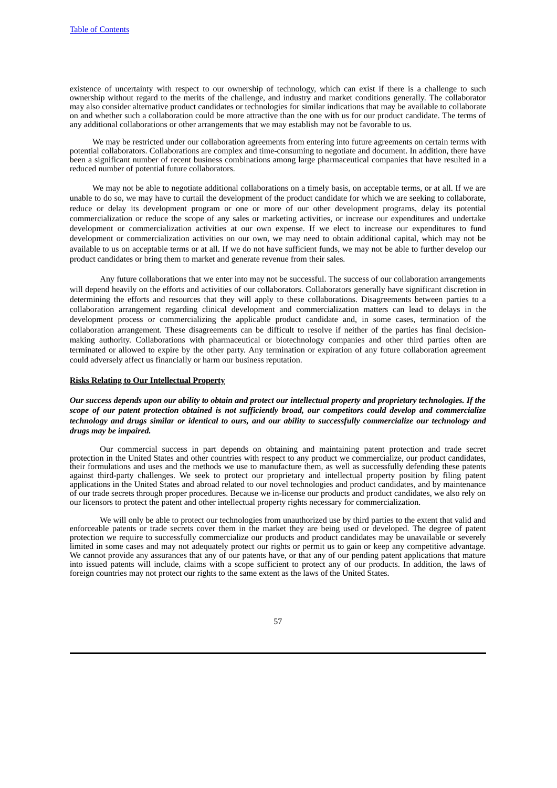existence of uncertainty with respect to our ownership of technology, which can exist if there is a challenge to such ownership without regard to the merits of the challenge, and industry and market conditions generally. The collaborator may also consider alternative product candidates or technologies for similar indications that may be available to collaborate on and whether such a collaboration could be more attractive than the one with us for our product candidate. The terms of any additional collaborations or other arrangements that we may establish may not be favorable to us.

We may be restricted under our collaboration agreements from entering into future agreements on certain terms with potential collaborators. Collaborations are complex and time-consuming to negotiate and document. In addition, there have been a significant number of recent business combinations among large pharmaceutical companies that have resulted in a reduced number of potential future collaborators.

We may not be able to negotiate additional collaborations on a timely basis, on acceptable terms, or at all. If we are unable to do so, we may have to curtail the development of the product candidate for which we are seeking to collaborate, reduce or delay its development program or one or more of our other development programs, delay its potential commercialization or reduce the scope of any sales or marketing activities, or increase our expenditures and undertake development or commercialization activities at our own expense. If we elect to increase our expenditures to fund development or commercialization activities on our own, we may need to obtain additional capital, which may not be available to us on acceptable terms or at all. If we do not have sufficient funds, we may not be able to further develop our product candidates or bring them to market and generate revenue from their sales.

Any future collaborations that we enter into may not be successful. The success of our collaboration arrangements will depend heavily on the efforts and activities of our collaborators. Collaborators generally have significant discretion in determining the efforts and resources that they will apply to these collaborations. Disagreements between parties to a collaboration arrangement regarding clinical development and commercialization matters can lead to delays in the development process or commercializing the applicable product candidate and, in some cases, termination of the collaboration arrangement. These disagreements can be difficult to resolve if neither of the parties has final decisionmaking authority. Collaborations with pharmaceutical or biotechnology companies and other third parties often are terminated or allowed to expire by the other party. Any termination or expiration of any future collaboration agreement could adversely affect us financially or harm our business reputation.

#### **Risks Relating to Our Intellectual Property**

Our success depends upon our ability to obtain and protect our intellectual property and proprietary technologies. If the scope of our patent protection obtained is not sufficiently broad, our competitors could develop and commercialize technology and drugs similar or identical to ours, and our ability to successfully commercialize our technology and *drugs may be impaired.*

Our commercial success in part depends on obtaining and maintaining patent protection and trade secret protection in the United States and other countries with respect to any product we commercialize, our product candidates, their formulations and uses and the methods we use to manufacture them, as well as successfully defending these patents against third-party challenges. We seek to protect our proprietary and intellectual property position by filing patent applications in the United States and abroad related to our novel technologies and product candidates, and by maintenance of our trade secrets through proper procedures. Because we in-license our products and product candidates, we also rely on our licensors to protect the patent and other intellectual property rights necessary for commercialization.

We will only be able to protect our technologies from unauthorized use by third parties to the extent that valid and enforceable patents or trade secrets cover them in the market they are being used or developed. The degree of patent protection we require to successfully commercialize our products and product candidates may be unavailable or severely limited in some cases and may not adequately protect our rights or permit us to gain or keep any competitive advantage. We cannot provide any assurances that any of our patents have, or that any of our pending patent applications that mature into issued patents will include, claims with a scope sufficient to protect any of our products. In addition, the laws of foreign countries may not protect our rights to the same extent as the laws of the United States.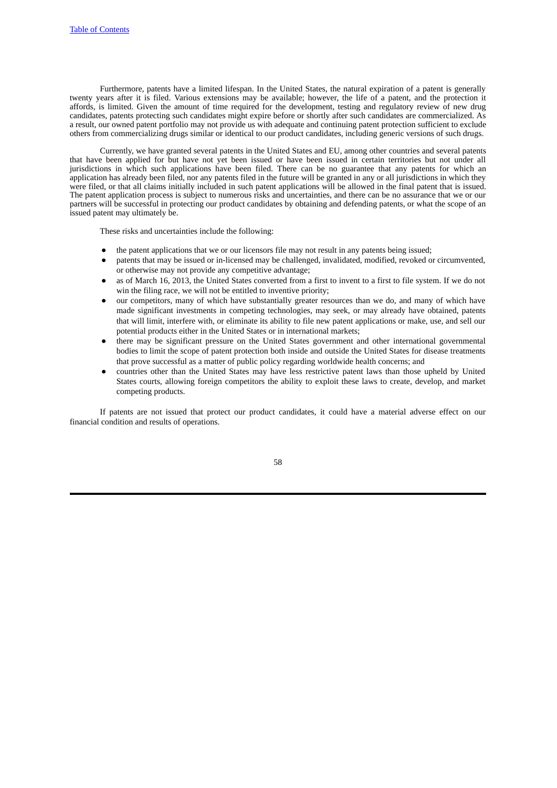Furthermore, patents have a limited lifespan. In the United States, the natural expiration of a patent is generally twenty years after it is filed. Various extensions may be available; however, the life of a patent, and the protection it affords, is limited. Given the amount of time required for the development, testing and regulatory review of new drug candidates, patents protecting such candidates might expire before or shortly after such candidates are commercialized. As a result, our owned patent portfolio may not provide us with adequate and continuing patent protection sufficient to exclude others from commercializing drugs similar or identical to our product candidates, including generic versions of such drugs.

Currently, we have granted several patents in the United States and EU, among other countries and several patents that have been applied for but have not yet been issued or have been issued in certain territories but not under all jurisdictions in which such applications have been filed. There can be no guarantee that any patents for which an application has already been filed, nor any patents filed in the future will be granted in any or all jurisdictions in which they were filed, or that all claims initially included in such patent applications will be allowed in the final patent that is issued. The patent application process is subject to numerous risks and uncertainties, and there can be no assurance that we or our partners will be successful in protecting our product candidates by obtaining and defending patents, or what the scope of an issued patent may ultimately be.

These risks and uncertainties include the following:

- the patent applications that we or our licensors file may not result in any patents being issued;
- patents that may be issued or in-licensed may be challenged, invalidated, modified, revoked or circumvented, or otherwise may not provide any competitive advantage;
- as of March 16, 2013, the United States converted from a first to invent to a first to file system. If we do not win the filing race, we will not be entitled to inventive priority;
- our competitors, many of which have substantially greater resources than we do, and many of which have made significant investments in competing technologies, may seek, or may already have obtained, patents that will limit, interfere with, or eliminate its ability to file new patent applications or make, use, and sell our potential products either in the United States or in international markets;
- there may be significant pressure on the United States government and other international governmental bodies to limit the scope of patent protection both inside and outside the United States for disease treatments that prove successful as a matter of public policy regarding worldwide health concerns; and
- countries other than the United States may have less restrictive patent laws than those upheld by United States courts, allowing foreign competitors the ability to exploit these laws to create, develop, and market competing products.

If patents are not issued that protect our product candidates, it could have a material adverse effect on our financial condition and results of operations.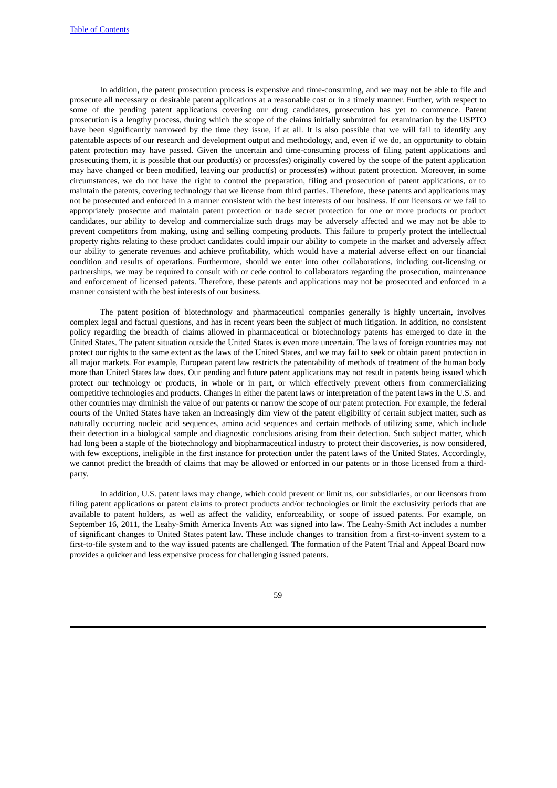In addition, the patent prosecution process is expensive and time-consuming, and we may not be able to file and prosecute all necessary or desirable patent applications at a reasonable cost or in a timely manner. Further, with respect to some of the pending patent applications covering our drug candidates, prosecution has yet to commence. Patent prosecution is a lengthy process, during which the scope of the claims initially submitted for examination by the USPTO have been significantly narrowed by the time they issue, if at all. It is also possible that we will fail to identify any patentable aspects of our research and development output and methodology, and, even if we do, an opportunity to obtain patent protection may have passed. Given the uncertain and time-consuming process of filing patent applications and prosecuting them, it is possible that our product(s) or process(es) originally covered by the scope of the patent application may have changed or been modified, leaving our product(s) or process(es) without patent protection. Moreover, in some circumstances, we do not have the right to control the preparation, filing and prosecution of patent applications, or to maintain the patents, covering technology that we license from third parties. Therefore, these patents and applications may not be prosecuted and enforced in a manner consistent with the best interests of our business. If our licensors or we fail to appropriately prosecute and maintain patent protection or trade secret protection for one or more products or product candidates, our ability to develop and commercialize such drugs may be adversely affected and we may not be able to prevent competitors from making, using and selling competing products. This failure to properly protect the intellectual property rights relating to these product candidates could impair our ability to compete in the market and adversely affect our ability to generate revenues and achieve profitability, which would have a material adverse effect on our financial condition and results of operations. Furthermore, should we enter into other collaborations, including out-licensing or partnerships, we may be required to consult with or cede control to collaborators regarding the prosecution, maintenance and enforcement of licensed patents. Therefore, these patents and applications may not be prosecuted and enforced in a manner consistent with the best interests of our business.

The patent position of biotechnology and pharmaceutical companies generally is highly uncertain, involves complex legal and factual questions, and has in recent years been the subject of much litigation. In addition, no consistent policy regarding the breadth of claims allowed in pharmaceutical or biotechnology patents has emerged to date in the United States. The patent situation outside the United States is even more uncertain. The laws of foreign countries may not protect our rights to the same extent as the laws of the United States, and we may fail to seek or obtain patent protection in all major markets. For example, European patent law restricts the patentability of methods of treatment of the human body more than United States law does. Our pending and future patent applications may not result in patents being issued which protect our technology or products, in whole or in part, or which effectively prevent others from commercializing competitive technologies and products. Changes in either the patent laws or interpretation of the patent laws in the U.S. and other countries may diminish the value of our patents or narrow the scope of our patent protection. For example, the federal courts of the United States have taken an increasingly dim view of the patent eligibility of certain subject matter, such as naturally occurring nucleic acid sequences, amino acid sequences and certain methods of utilizing same, which include their detection in a biological sample and diagnostic conclusions arising from their detection. Such subject matter, which had long been a staple of the biotechnology and biopharmaceutical industry to protect their discoveries, is now considered, with few exceptions, ineligible in the first instance for protection under the patent laws of the United States. Accordingly, we cannot predict the breadth of claims that may be allowed or enforced in our patents or in those licensed from a thirdparty.

In addition, U.S. patent laws may change, which could prevent or limit us, our subsidiaries, or our licensors from filing patent applications or patent claims to protect products and/or technologies or limit the exclusivity periods that are available to patent holders, as well as affect the validity, enforceability, or scope of issued patents. For example, on September 16, 2011, the Leahy-Smith America Invents Act was signed into law. The Leahy-Smith Act includes a number of significant changes to United States patent law. These include changes to transition from a first-to-invent system to a first-to-file system and to the way issued patents are challenged. The formation of the Patent Trial and Appeal Board now provides a quicker and less expensive process for challenging issued patents.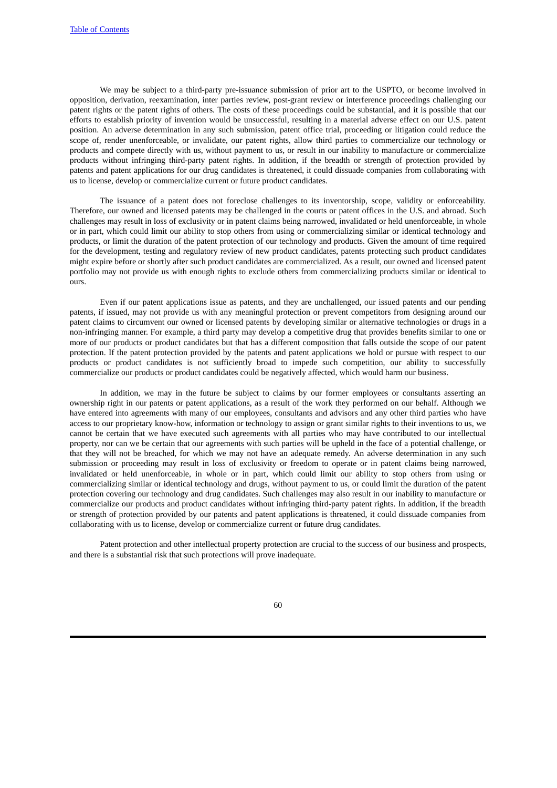We may be subject to a third-party pre-issuance submission of prior art to the USPTO, or become involved in opposition, derivation, reexamination, inter parties review, post-grant review or interference proceedings challenging our patent rights or the patent rights of others. The costs of these proceedings could be substantial, and it is possible that our efforts to establish priority of invention would be unsuccessful, resulting in a material adverse effect on our U.S. patent position. An adverse determination in any such submission, patent office trial, proceeding or litigation could reduce the scope of, render unenforceable, or invalidate, our patent rights, allow third parties to commercialize our technology or products and compete directly with us, without payment to us, or result in our inability to manufacture or commercialize products without infringing third-party patent rights. In addition, if the breadth or strength of protection provided by patents and patent applications for our drug candidates is threatened, it could dissuade companies from collaborating with us to license, develop or commercialize current or future product candidates.

The issuance of a patent does not foreclose challenges to its inventorship, scope, validity or enforceability. Therefore, our owned and licensed patents may be challenged in the courts or patent offices in the U.S. and abroad. Such challenges may result in loss of exclusivity or in patent claims being narrowed, invalidated or held unenforceable, in whole or in part, which could limit our ability to stop others from using or commercializing similar or identical technology and products, or limit the duration of the patent protection of our technology and products. Given the amount of time required for the development, testing and regulatory review of new product candidates, patents protecting such product candidates might expire before or shortly after such product candidates are commercialized. As a result, our owned and licensed patent portfolio may not provide us with enough rights to exclude others from commercializing products similar or identical to ours.

Even if our patent applications issue as patents, and they are unchallenged, our issued patents and our pending patents, if issued, may not provide us with any meaningful protection or prevent competitors from designing around our patent claims to circumvent our owned or licensed patents by developing similar or alternative technologies or drugs in a non-infringing manner. For example, a third party may develop a competitive drug that provides benefits similar to one or more of our products or product candidates but that has a different composition that falls outside the scope of our patent protection. If the patent protection provided by the patents and patent applications we hold or pursue with respect to our products or product candidates is not sufficiently broad to impede such competition, our ability to successfully commercialize our products or product candidates could be negatively affected, which would harm our business.

In addition, we may in the future be subject to claims by our former employees or consultants asserting an ownership right in our patents or patent applications, as a result of the work they performed on our behalf. Although we have entered into agreements with many of our employees, consultants and advisors and any other third parties who have access to our proprietary know-how, information or technology to assign or grant similar rights to their inventions to us, we cannot be certain that we have executed such agreements with all parties who may have contributed to our intellectual property, nor can we be certain that our agreements with such parties will be upheld in the face of a potential challenge, or that they will not be breached, for which we may not have an adequate remedy. An adverse determination in any such submission or proceeding may result in loss of exclusivity or freedom to operate or in patent claims being narrowed, invalidated or held unenforceable, in whole or in part, which could limit our ability to stop others from using or commercializing similar or identical technology and drugs, without payment to us, or could limit the duration of the patent protection covering our technology and drug candidates. Such challenges may also result in our inability to manufacture or commercialize our products and product candidates without infringing third-party patent rights. In addition, if the breadth or strength of protection provided by our patents and patent applications is threatened, it could dissuade companies from collaborating with us to license, develop or commercialize current or future drug candidates.

Patent protection and other intellectual property protection are crucial to the success of our business and prospects, and there is a substantial risk that such protections will prove inadequate.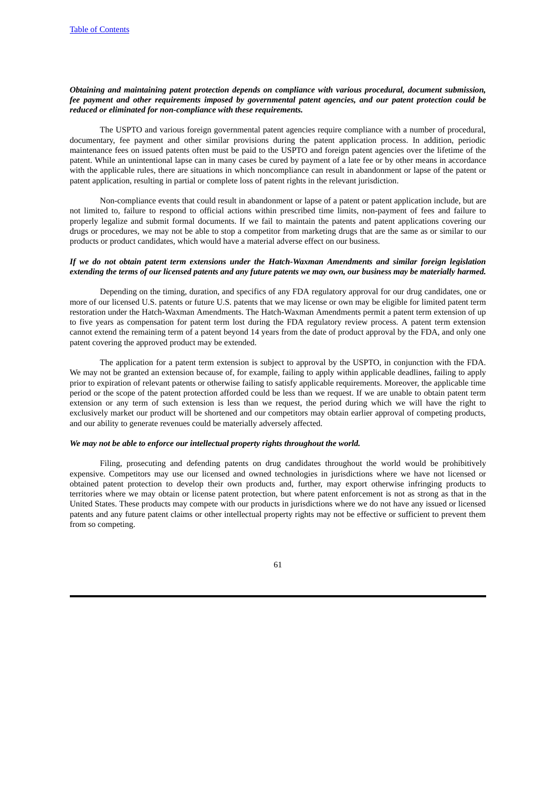# *Obtaining and maintaining patent protection depends on compliance with various procedural, document submission, fee payment and other requirements imposed by governmental patent agencies, and our patent protection could be reduced or eliminated for non-compliance with these requirements.*

The USPTO and various foreign governmental patent agencies require compliance with a number of procedural, documentary, fee payment and other similar provisions during the patent application process. In addition, periodic maintenance fees on issued patents often must be paid to the USPTO and foreign patent agencies over the lifetime of the patent. While an unintentional lapse can in many cases be cured by payment of a late fee or by other means in accordance with the applicable rules, there are situations in which noncompliance can result in abandonment or lapse of the patent or patent application, resulting in partial or complete loss of patent rights in the relevant jurisdiction.

Non-compliance events that could result in abandonment or lapse of a patent or patent application include, but are not limited to, failure to respond to official actions within prescribed time limits, non-payment of fees and failure to properly legalize and submit formal documents. If we fail to maintain the patents and patent applications covering our drugs or procedures, we may not be able to stop a competitor from marketing drugs that are the same as or similar to our products or product candidates, which would have a material adverse effect on our business.

### *If we do not obtain patent term extensions under the Hatch-Waxman Amendments and similar foreign legislation* extending the terms of our licensed patents and any future patents we may own, our business may be materially harmed.

Depending on the timing, duration, and specifics of any FDA regulatory approval for our drug candidates, one or more of our licensed U.S. patents or future U.S. patents that we may license or own may be eligible for limited patent term restoration under the Hatch-Waxman Amendments. The Hatch-Waxman Amendments permit a patent term extension of up to five years as compensation for patent term lost during the FDA regulatory review process. A patent term extension cannot extend the remaining term of a patent beyond 14 years from the date of product approval by the FDA, and only one patent covering the approved product may be extended.

The application for a patent term extension is subject to approval by the USPTO, in conjunction with the FDA. We may not be granted an extension because of, for example, failing to apply within applicable deadlines, failing to apply prior to expiration of relevant patents or otherwise failing to satisfy applicable requirements. Moreover, the applicable time period or the scope of the patent protection afforded could be less than we request. If we are unable to obtain patent term extension or any term of such extension is less than we request, the period during which we will have the right to exclusively market our product will be shortened and our competitors may obtain earlier approval of competing products, and our ability to generate revenues could be materially adversely affected.

### *We may not be able to enforce our intellectual property rights throughout the world.*

Filing, prosecuting and defending patents on drug candidates throughout the world would be prohibitively expensive. Competitors may use our licensed and owned technologies in jurisdictions where we have not licensed or obtained patent protection to develop their own products and, further, may export otherwise infringing products to territories where we may obtain or license patent protection, but where patent enforcement is not as strong as that in the United States. These products may compete with our products in jurisdictions where we do not have any issued or licensed patents and any future patent claims or other intellectual property rights may not be effective or sufficient to prevent them from so competing.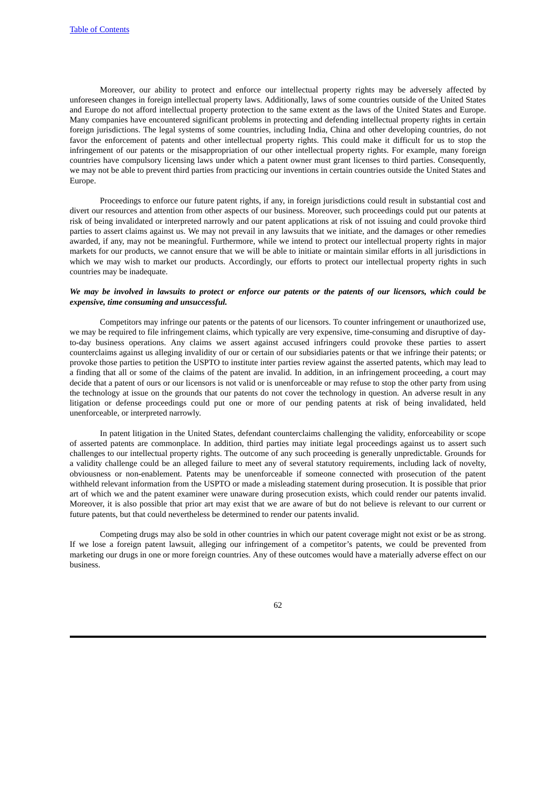Moreover, our ability to protect and enforce our intellectual property rights may be adversely affected by unforeseen changes in foreign intellectual property laws. Additionally, laws of some countries outside of the United States and Europe do not afford intellectual property protection to the same extent as the laws of the United States and Europe. Many companies have encountered significant problems in protecting and defending intellectual property rights in certain foreign jurisdictions. The legal systems of some countries, including India, China and other developing countries, do not favor the enforcement of patents and other intellectual property rights. This could make it difficult for us to stop the infringement of our patents or the misappropriation of our other intellectual property rights. For example, many foreign countries have compulsory licensing laws under which a patent owner must grant licenses to third parties. Consequently, we may not be able to prevent third parties from practicing our inventions in certain countries outside the United States and Europe.

Proceedings to enforce our future patent rights, if any, in foreign jurisdictions could result in substantial cost and divert our resources and attention from other aspects of our business. Moreover, such proceedings could put our patents at risk of being invalidated or interpreted narrowly and our patent applications at risk of not issuing and could provoke third parties to assert claims against us. We may not prevail in any lawsuits that we initiate, and the damages or other remedies awarded, if any, may not be meaningful. Furthermore, while we intend to protect our intellectual property rights in major markets for our products, we cannot ensure that we will be able to initiate or maintain similar efforts in all jurisdictions in which we may wish to market our products. Accordingly, our efforts to protect our intellectual property rights in such countries may be inadequate.

# We may be involved in lawsuits to protect or enforce our patents or the patents of our licensors, which could be *expensive, time consuming and unsuccessful.*

Competitors may infringe our patents or the patents of our licensors. To counter infringement or unauthorized use, we may be required to file infringement claims, which typically are very expensive, time-consuming and disruptive of dayto-day business operations. Any claims we assert against accused infringers could provoke these parties to assert counterclaims against us alleging invalidity of our or certain of our subsidiaries patents or that we infringe their patents; or provoke those parties to petition the USPTO to institute inter parties review against the asserted patents, which may lead to a finding that all or some of the claims of the patent are invalid. In addition, in an infringement proceeding, a court may decide that a patent of ours or our licensors is not valid or is unenforceable or may refuse to stop the other party from using the technology at issue on the grounds that our patents do not cover the technology in question. An adverse result in any litigation or defense proceedings could put one or more of our pending patents at risk of being invalidated, held unenforceable, or interpreted narrowly.

In patent litigation in the United States, defendant counterclaims challenging the validity, enforceability or scope of asserted patents are commonplace. In addition, third parties may initiate legal proceedings against us to assert such challenges to our intellectual property rights. The outcome of any such proceeding is generally unpredictable. Grounds for a validity challenge could be an alleged failure to meet any of several statutory requirements, including lack of novelty, obviousness or non-enablement. Patents may be unenforceable if someone connected with prosecution of the patent withheld relevant information from the USPTO or made a misleading statement during prosecution. It is possible that prior art of which we and the patent examiner were unaware during prosecution exists, which could render our patents invalid. Moreover, it is also possible that prior art may exist that we are aware of but do not believe is relevant to our current or future patents, but that could nevertheless be determined to render our patents invalid.

Competing drugs may also be sold in other countries in which our patent coverage might not exist or be as strong. If we lose a foreign patent lawsuit, alleging our infringement of a competitor's patents, we could be prevented from marketing our drugs in one or more foreign countries. Any of these outcomes would have a materially adverse effect on our business.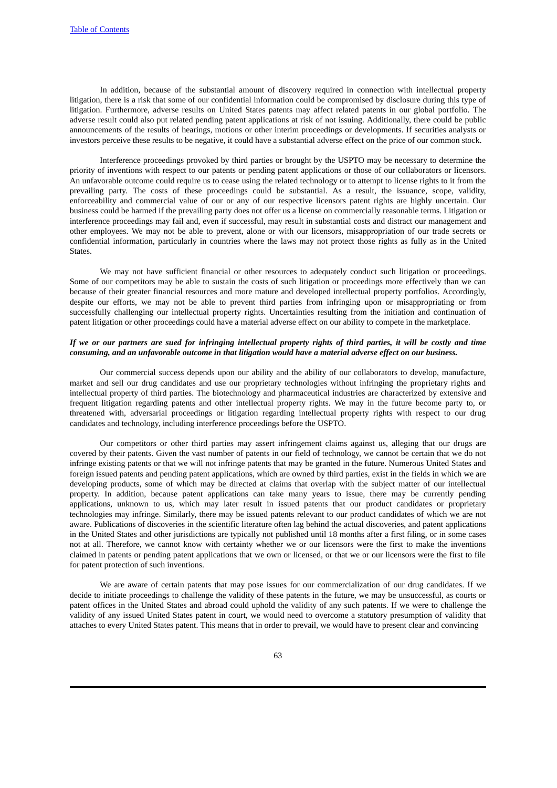In addition, because of the substantial amount of discovery required in connection with intellectual property litigation, there is a risk that some of our confidential information could be compromised by disclosure during this type of litigation. Furthermore, adverse results on United States patents may affect related patents in our global portfolio. The adverse result could also put related pending patent applications at risk of not issuing. Additionally, there could be public announcements of the results of hearings, motions or other interim proceedings or developments. If securities analysts or investors perceive these results to be negative, it could have a substantial adverse effect on the price of our common stock.

Interference proceedings provoked by third parties or brought by the USPTO may be necessary to determine the priority of inventions with respect to our patents or pending patent applications or those of our collaborators or licensors. An unfavorable outcome could require us to cease using the related technology or to attempt to license rights to it from the prevailing party. The costs of these proceedings could be substantial. As a result, the issuance, scope, validity, enforceability and commercial value of our or any of our respective licensors patent rights are highly uncertain. Our business could be harmed if the prevailing party does not offer us a license on commercially reasonable terms. Litigation or interference proceedings may fail and, even if successful, may result in substantial costs and distract our management and other employees. We may not be able to prevent, alone or with our licensors, misappropriation of our trade secrets or confidential information, particularly in countries where the laws may not protect those rights as fully as in the United States.

We may not have sufficient financial or other resources to adequately conduct such litigation or proceedings. Some of our competitors may be able to sustain the costs of such litigation or proceedings more effectively than we can because of their greater financial resources and more mature and developed intellectual property portfolios. Accordingly, despite our efforts, we may not be able to prevent third parties from infringing upon or misappropriating or from successfully challenging our intellectual property rights. Uncertainties resulting from the initiation and continuation of patent litigation or other proceedings could have a material adverse effect on our ability to compete in the marketplace.

# If we or our partners are sued for infringing intellectual property rights of third parties, it will be costly and time consuming, and an unfavorable outcome in that litigation would have a material adverse effect on our business.

Our commercial success depends upon our ability and the ability of our collaborators to develop, manufacture, market and sell our drug candidates and use our proprietary technologies without infringing the proprietary rights and intellectual property of third parties. The biotechnology and pharmaceutical industries are characterized by extensive and frequent litigation regarding patents and other intellectual property rights. We may in the future become party to, or threatened with, adversarial proceedings or litigation regarding intellectual property rights with respect to our drug candidates and technology, including interference proceedings before the USPTO.

Our competitors or other third parties may assert infringement claims against us, alleging that our drugs are covered by their patents. Given the vast number of patents in our field of technology, we cannot be certain that we do not infringe existing patents or that we will not infringe patents that may be granted in the future. Numerous United States and foreign issued patents and pending patent applications, which are owned by third parties, exist in the fields in which we are developing products, some of which may be directed at claims that overlap with the subject matter of our intellectual property. In addition, because patent applications can take many years to issue, there may be currently pending applications, unknown to us, which may later result in issued patents that our product candidates or proprietary technologies may infringe. Similarly, there may be issued patents relevant to our product candidates of which we are not aware. Publications of discoveries in the scientific literature often lag behind the actual discoveries, and patent applications in the United States and other jurisdictions are typically not published until 18 months after a first filing, or in some cases not at all. Therefore, we cannot know with certainty whether we or our licensors were the first to make the inventions claimed in patents or pending patent applications that we own or licensed, or that we or our licensors were the first to file for patent protection of such inventions.

We are aware of certain patents that may pose issues for our commercialization of our drug candidates. If we decide to initiate proceedings to challenge the validity of these patents in the future, we may be unsuccessful, as courts or patent offices in the United States and abroad could uphold the validity of any such patents. If we were to challenge the validity of any issued United States patent in court, we would need to overcome a statutory presumption of validity that attaches to every United States patent. This means that in order to prevail, we would have to present clear and convincing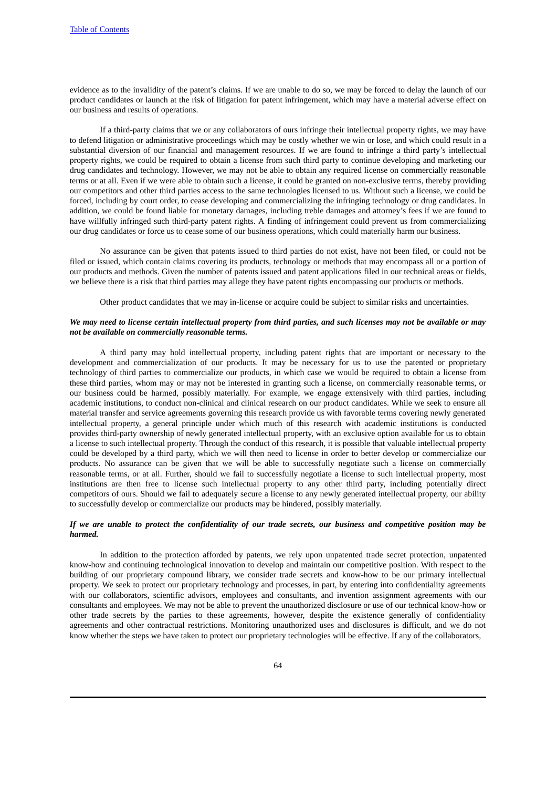evidence as to the invalidity of the patent's claims. If we are unable to do so, we may be forced to delay the launch of our product candidates or launch at the risk of litigation for patent infringement, which may have a material adverse effect on our business and results of operations.

If a third-party claims that we or any collaborators of ours infringe their intellectual property rights, we may have to defend litigation or administrative proceedings which may be costly whether we win or lose, and which could result in a substantial diversion of our financial and management resources. If we are found to infringe a third party's intellectual property rights, we could be required to obtain a license from such third party to continue developing and marketing our drug candidates and technology. However, we may not be able to obtain any required license on commercially reasonable terms or at all. Even if we were able to obtain such a license, it could be granted on non-exclusive terms, thereby providing our competitors and other third parties access to the same technologies licensed to us. Without such a license, we could be forced, including by court order, to cease developing and commercializing the infringing technology or drug candidates. In addition, we could be found liable for monetary damages, including treble damages and attorney's fees if we are found to have willfully infringed such third-party patent rights. A finding of infringement could prevent us from commercializing our drug candidates or force us to cease some of our business operations, which could materially harm our business.

No assurance can be given that patents issued to third parties do not exist, have not been filed, or could not be filed or issued, which contain claims covering its products, technology or methods that may encompass all or a portion of our products and methods. Given the number of patents issued and patent applications filed in our technical areas or fields, we believe there is a risk that third parties may allege they have patent rights encompassing our products or methods.

Other product candidates that we may in-license or acquire could be subject to similar risks and uncertainties.

# We may need to license certain intellectual property from third parties, and such licenses may not be available or may *not be available on commercially reasonable terms.*

A third party may hold intellectual property, including patent rights that are important or necessary to the development and commercialization of our products. It may be necessary for us to use the patented or proprietary technology of third parties to commercialize our products, in which case we would be required to obtain a license from these third parties, whom may or may not be interested in granting such a license, on commercially reasonable terms, or our business could be harmed, possibly materially. For example, we engage extensively with third parties, including academic institutions, to conduct non-clinical and clinical research on our product candidates. While we seek to ensure all material transfer and service agreements governing this research provide us with favorable terms covering newly generated intellectual property, a general principle under which much of this research with academic institutions is conducted provides third-party ownership of newly generated intellectual property, with an exclusive option available for us to obtain a license to such intellectual property. Through the conduct of this research, it is possible that valuable intellectual property could be developed by a third party, which we will then need to license in order to better develop or commercialize our products. No assurance can be given that we will be able to successfully negotiate such a license on commercially reasonable terms, or at all. Further, should we fail to successfully negotiate a license to such intellectual property, most institutions are then free to license such intellectual property to any other third party, including potentially direct competitors of ours. Should we fail to adequately secure a license to any newly generated intellectual property, our ability to successfully develop or commercialize our products may be hindered, possibly materially.

## If we are unable to protect the confidentiality of our trade secrets, our business and competitive position may be *harmed.*

In addition to the protection afforded by patents, we rely upon unpatented trade secret protection, unpatented know-how and continuing technological innovation to develop and maintain our competitive position. With respect to the building of our proprietary compound library, we consider trade secrets and know-how to be our primary intellectual property. We seek to protect our proprietary technology and processes, in part, by entering into confidentiality agreements with our collaborators, scientific advisors, employees and consultants, and invention assignment agreements with our consultants and employees. We may not be able to prevent the unauthorized disclosure or use of our technical know-how or other trade secrets by the parties to these agreements, however, despite the existence generally of confidentiality agreements and other contractual restrictions. Monitoring unauthorized uses and disclosures is difficult, and we do not know whether the steps we have taken to protect our proprietary technologies will be effective. If any of the collaborators,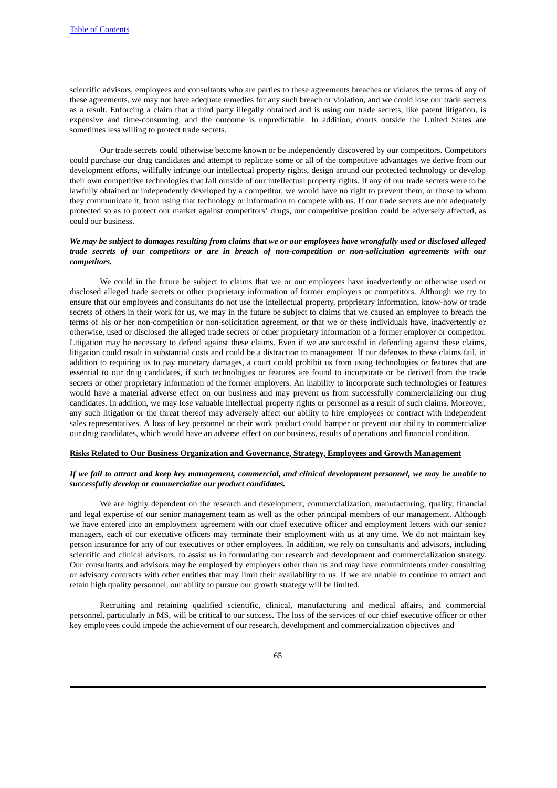scientific advisors, employees and consultants who are parties to these agreements breaches or violates the terms of any of these agreements, we may not have adequate remedies for any such breach or violation, and we could lose our trade secrets as a result. Enforcing a claim that a third party illegally obtained and is using our trade secrets, like patent litigation, is expensive and time-consuming, and the outcome is unpredictable. In addition, courts outside the United States are sometimes less willing to protect trade secrets.

Our trade secrets could otherwise become known or be independently discovered by our competitors. Competitors could purchase our drug candidates and attempt to replicate some or all of the competitive advantages we derive from our development efforts, willfully infringe our intellectual property rights, design around our protected technology or develop their own competitive technologies that fall outside of our intellectual property rights. If any of our trade secrets were to be lawfully obtained or independently developed by a competitor, we would have no right to prevent them, or those to whom they communicate it, from using that technology or information to compete with us. If our trade secrets are not adequately protected so as to protect our market against competitors' drugs, our competitive position could be adversely affected, as could our business.

# We may be subject to damages resulting from claims that we or our employees have wrongfully used or disclosed alleged *trade secrets of our competitors or are in breach of non-competition or non-solicitation agreements with our competitors.*

We could in the future be subject to claims that we or our employees have inadvertently or otherwise used or disclosed alleged trade secrets or other proprietary information of former employers or competitors. Although we try to ensure that our employees and consultants do not use the intellectual property, proprietary information, know-how or trade secrets of others in their work for us, we may in the future be subject to claims that we caused an employee to breach the terms of his or her non-competition or non-solicitation agreement, or that we or these individuals have, inadvertently or otherwise, used or disclosed the alleged trade secrets or other proprietary information of a former employer or competitor. Litigation may be necessary to defend against these claims. Even if we are successful in defending against these claims, litigation could result in substantial costs and could be a distraction to management. If our defenses to these claims fail, in addition to requiring us to pay monetary damages, a court could prohibit us from using technologies or features that are essential to our drug candidates, if such technologies or features are found to incorporate or be derived from the trade secrets or other proprietary information of the former employers. An inability to incorporate such technologies or features would have a material adverse effect on our business and may prevent us from successfully commercializing our drug candidates. In addition, we may lose valuable intellectual property rights or personnel as a result of such claims. Moreover, any such litigation or the threat thereof may adversely affect our ability to hire employees or contract with independent sales representatives. A loss of key personnel or their work product could hamper or prevent our ability to commercialize our drug candidates, which would have an adverse effect on our business, results of operations and financial condition.

### **Risks Related to Our Business Organization and Governance, Strategy, Employees and Growth Management**

### If we fail to attract and keep key management, commercial, and clinical development personnel, we may be unable to *successfully develop or commercialize our product candidates.*

We are highly dependent on the research and development, commercialization, manufacturing, quality, financial and legal expertise of our senior management team as well as the other principal members of our management. Although we have entered into an employment agreement with our chief executive officer and employment letters with our senior managers, each of our executive officers may terminate their employment with us at any time. We do not maintain key person insurance for any of our executives or other employees. In addition, we rely on consultants and advisors, including scientific and clinical advisors, to assist us in formulating our research and development and commercialization strategy. Our consultants and advisors may be employed by employers other than us and may have commitments under consulting or advisory contracts with other entities that may limit their availability to us. If we are unable to continue to attract and retain high quality personnel, our ability to pursue our growth strategy will be limited.

Recruiting and retaining qualified scientific, clinical, manufacturing and medical affairs, and commercial personnel, particularly in MS, will be critical to our success. The loss of the services of our chief executive officer or other key employees could impede the achievement of our research, development and commercialization objectives and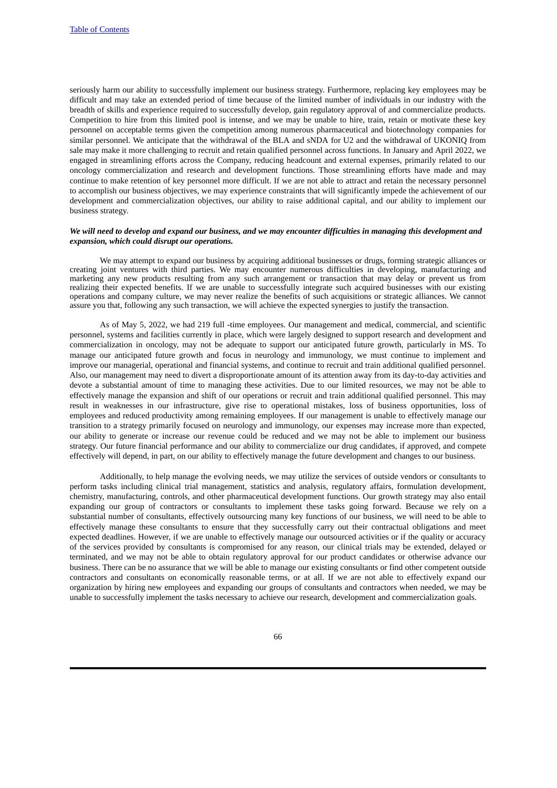seriously harm our ability to successfully implement our business strategy. Furthermore, replacing key employees may be difficult and may take an extended period of time because of the limited number of individuals in our industry with the breadth of skills and experience required to successfully develop, gain regulatory approval of and commercialize products. Competition to hire from this limited pool is intense, and we may be unable to hire, train, retain or motivate these key personnel on acceptable terms given the competition among numerous pharmaceutical and biotechnology companies for similar personnel. We anticipate that the withdrawal of the BLA and sNDA for U2 and the withdrawal of UKONIQ from sale may make it more challenging to recruit and retain qualified personnel across functions. In January and April 2022, we engaged in streamlining efforts across the Company, reducing headcount and external expenses, primarily related to our oncology commercialization and research and development functions. Those streamlining efforts have made and may continue to make retention of key personnel more difficult. If we are not able to attract and retain the necessary personnel to accomplish our business objectives, we may experience constraints that will significantly impede the achievement of our development and commercialization objectives, our ability to raise additional capital, and our ability to implement our business strategy.

# We will need to develop and expand our business, and we may encounter difficulties in managing this development and *expansion, which could disrupt our operations.*

We may attempt to expand our business by acquiring additional businesses or drugs, forming strategic alliances or creating joint ventures with third parties. We may encounter numerous difficulties in developing, manufacturing and marketing any new products resulting from any such arrangement or transaction that may delay or prevent us from realizing their expected benefits. If we are unable to successfully integrate such acquired businesses with our existing operations and company culture, we may never realize the benefits of such acquisitions or strategic alliances. We cannot assure you that, following any such transaction, we will achieve the expected synergies to justify the transaction.

As of May 5, 2022, we had 219 full -time employees. Our management and medical, commercial, and scientific personnel, systems and facilities currently in place, which were largely designed to support research and development and commercialization in oncology, may not be adequate to support our anticipated future growth, particularly in MS. To manage our anticipated future growth and focus in neurology and immunology, we must continue to implement and improve our managerial, operational and financial systems, and continue to recruit and train additional qualified personnel. Also, our management may need to divert a disproportionate amount of its attention away from its day-to-day activities and devote a substantial amount of time to managing these activities. Due to our limited resources, we may not be able to effectively manage the expansion and shift of our operations or recruit and train additional qualified personnel. This may result in weaknesses in our infrastructure, give rise to operational mistakes, loss of business opportunities, loss of employees and reduced productivity among remaining employees. If our management is unable to effectively manage our transition to a strategy primarily focused on neurology and immunology, our expenses may increase more than expected, our ability to generate or increase our revenue could be reduced and we may not be able to implement our business strategy. Our future financial performance and our ability to commercialize our drug candidates, if approved, and compete effectively will depend, in part, on our ability to effectively manage the future development and changes to our business.

Additionally, to help manage the evolving needs, we may utilize the services of outside vendors or consultants to perform tasks including clinical trial management, statistics and analysis, regulatory affairs, formulation development, chemistry, manufacturing, controls, and other pharmaceutical development functions. Our growth strategy may also entail expanding our group of contractors or consultants to implement these tasks going forward. Because we rely on a substantial number of consultants, effectively outsourcing many key functions of our business, we will need to be able to effectively manage these consultants to ensure that they successfully carry out their contractual obligations and meet expected deadlines. However, if we are unable to effectively manage our outsourced activities or if the quality or accuracy of the services provided by consultants is compromised for any reason, our clinical trials may be extended, delayed or terminated, and we may not be able to obtain regulatory approval for our product candidates or otherwise advance our business. There can be no assurance that we will be able to manage our existing consultants or find other competent outside contractors and consultants on economically reasonable terms, or at all. If we are not able to effectively expand our organization by hiring new employees and expanding our groups of consultants and contractors when needed, we may be unable to successfully implement the tasks necessary to achieve our research, development and commercialization goals.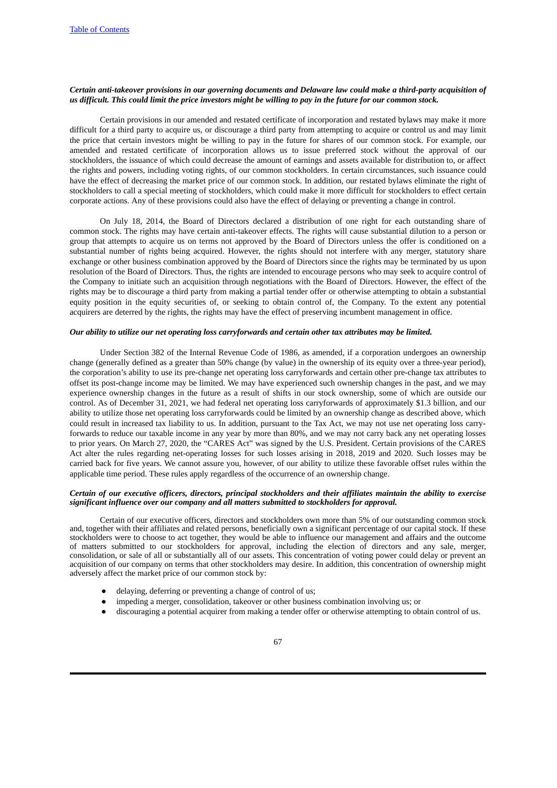# Certain anti-takeover provisions in our governing documents and Delaware law could make a third-party acquisition of us difficult. This could limit the price investors might be willing to pay in the future for our common stock.

Certain provisions in our amended and restated certificate of incorporation and restated bylaws may make it more difficult for a third party to acquire us, or discourage a third party from attempting to acquire or control us and may limit the price that certain investors might be willing to pay in the future for shares of our common stock. For example, our amended and restated certificate of incorporation allows us to issue preferred stock without the approval of our stockholders, the issuance of which could decrease the amount of earnings and assets available for distribution to, or affect the rights and powers, including voting rights, of our common stockholders. In certain circumstances, such issuance could have the effect of decreasing the market price of our common stock. In addition, our restated bylaws eliminate the right of stockholders to call a special meeting of stockholders, which could make it more difficult for stockholders to effect certain corporate actions. Any of these provisions could also have the effect of delaying or preventing a change in control.

On July 18, 2014, the Board of Directors declared a distribution of one right for each outstanding share of common stock. The rights may have certain anti-takeover effects. The rights will cause substantial dilution to a person or group that attempts to acquire us on terms not approved by the Board of Directors unless the offer is conditioned on a substantial number of rights being acquired. However, the rights should not interfere with any merger, statutory share exchange or other business combination approved by the Board of Directors since the rights may be terminated by us upon resolution of the Board of Directors. Thus, the rights are intended to encourage persons who may seek to acquire control of the Company to initiate such an acquisition through negotiations with the Board of Directors. However, the effect of the rights may be to discourage a third party from making a partial tender offer or otherwise attempting to obtain a substantial equity position in the equity securities of, or seeking to obtain control of, the Company. To the extent any potential acquirers are deterred by the rights, the rights may have the effect of preserving incumbent management in office.

#### Our ability to utilize our net operating loss carryforwards and certain other tax attributes may be limited.

Under Section 382 of the Internal Revenue Code of 1986, as amended, if a corporation undergoes an ownership change (generally defined as a greater than 50% change (by value) in the ownership of its equity over a three-year period), the corporation's ability to use its pre-change net operating loss carryforwards and certain other pre-change tax attributes to offset its post-change income may be limited. We may have experienced such ownership changes in the past, and we may experience ownership changes in the future as a result of shifts in our stock ownership, some of which are outside our control. As of December 31, 2021, we had federal net operating loss carryforwards of approximately \$1.3 billion, and our ability to utilize those net operating loss carryforwards could be limited by an ownership change as described above, which could result in increased tax liability to us. In addition, pursuant to the Tax Act, we may not use net operating loss carryforwards to reduce our taxable income in any year by more than 80%, and we may not carry back any net operating losses to prior years. On March 27, 2020, the "CARES Act" was signed by the U.S. President. Certain provisions of the CARES Act alter the rules regarding net-operating losses for such losses arising in 2018, 2019 and 2020. Such losses may be carried back for five years. We cannot assure you, however, of our ability to utilize these favorable offset rules within the applicable time period. These rules apply regardless of the occurrence of an ownership change.

### Certain of our executive officers, directors, principal stockholders and their affiliates maintain the ability to exercise *significant influence over our company and all matters submitted to stockholders for approval.*

Certain of our executive officers, directors and stockholders own more than 5% of our outstanding common stock and, together with their affiliates and related persons, beneficially own a significant percentage of our capital stock. If these stockholders were to choose to act together, they would be able to influence our management and affairs and the outcome of matters submitted to our stockholders for approval, including the election of directors and any sale, merger, consolidation, or sale of all or substantially all of our assets. This concentration of voting power could delay or prevent an acquisition of our company on terms that other stockholders may desire. In addition, this concentration of ownership might adversely affect the market price of our common stock by:

- delaying, deferring or preventing a change of control of us;
- impeding a merger, consolidation, takeover or other business combination involving us; or
- discouraging a potential acquirer from making a tender offer or otherwise attempting to obtain control of us.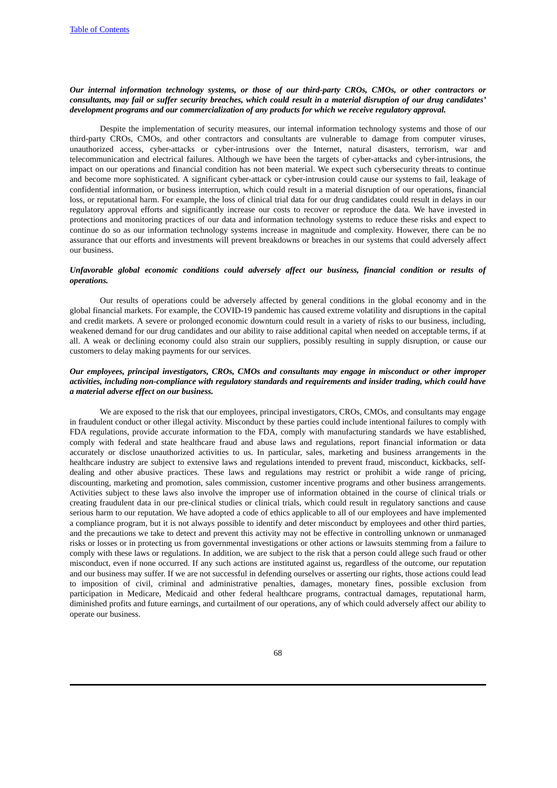# *Our internal information technology systems, or those of our third-party CROs, CMOs, or other contractors or* consultants, may fail or suffer security breaches, which could result in a material disruption of our drug candidates' *development programs and our commercialization of any products for which we receive regulatory approval.*

Despite the implementation of security measures, our internal information technology systems and those of our third-party CROs, CMOs, and other contractors and consultants are vulnerable to damage from computer viruses, unauthorized access, cyber-attacks or cyber-intrusions over the Internet, natural disasters, terrorism, war and telecommunication and electrical failures. Although we have been the targets of cyber-attacks and cyber-intrusions, the impact on our operations and financial condition has not been material. We expect such cybersecurity threats to continue and become more sophisticated. A significant cyber-attack or cyber-intrusion could cause our systems to fail, leakage of confidential information, or business interruption, which could result in a material disruption of our operations, financial loss, or reputational harm. For example, the loss of clinical trial data for our drug candidates could result in delays in our regulatory approval efforts and significantly increase our costs to recover or reproduce the data. We have invested in protections and monitoring practices of our data and information technology systems to reduce these risks and expect to continue do so as our information technology systems increase in magnitude and complexity. However, there can be no assurance that our efforts and investments will prevent breakdowns or breaches in our systems that could adversely affect our business.

# *Unfavorable global economic conditions could adversely affect our business, financial condition or results of operations.*

Our results of operations could be adversely affected by general conditions in the global economy and in the global financial markets. For example, the COVID-19 pandemic has caused extreme volatility and disruptions in the capital and credit markets. A severe or prolonged economic downturn could result in a variety of risks to our business, including, weakened demand for our drug candidates and our ability to raise additional capital when needed on acceptable terms, if at all. A weak or declining economy could also strain our suppliers, possibly resulting in supply disruption, or cause our customers to delay making payments for our services.

## *Our employees, principal investigators, CROs, CMOs and consultants may engage in misconduct or other improper activities, including non-compliance with regulatory standards and requirements and insider trading, which could have a material adverse effect on our business.*

We are exposed to the risk that our employees, principal investigators, CROs, CMOs, and consultants may engage in fraudulent conduct or other illegal activity. Misconduct by these parties could include intentional failures to comply with FDA regulations, provide accurate information to the FDA, comply with manufacturing standards we have established, comply with federal and state healthcare fraud and abuse laws and regulations, report financial information or data accurately or disclose unauthorized activities to us. In particular, sales, marketing and business arrangements in the healthcare industry are subject to extensive laws and regulations intended to prevent fraud, misconduct, kickbacks, selfdealing and other abusive practices. These laws and regulations may restrict or prohibit a wide range of pricing, discounting, marketing and promotion, sales commission, customer incentive programs and other business arrangements. Activities subject to these laws also involve the improper use of information obtained in the course of clinical trials or creating fraudulent data in our pre-clinical studies or clinical trials, which could result in regulatory sanctions and cause serious harm to our reputation. We have adopted a code of ethics applicable to all of our employees and have implemented a compliance program, but it is not always possible to identify and deter misconduct by employees and other third parties, and the precautions we take to detect and prevent this activity may not be effective in controlling unknown or unmanaged risks or losses or in protecting us from governmental investigations or other actions or lawsuits stemming from a failure to comply with these laws or regulations. In addition, we are subject to the risk that a person could allege such fraud or other misconduct, even if none occurred. If any such actions are instituted against us, regardless of the outcome, our reputation and our business may suffer. If we are not successful in defending ourselves or asserting our rights, those actions could lead to imposition of civil, criminal and administrative penalties, damages, monetary fines, possible exclusion from participation in Medicare, Medicaid and other federal healthcare programs, contractual damages, reputational harm, diminished profits and future earnings, and curtailment of our operations, any of which could adversely affect our ability to operate our business.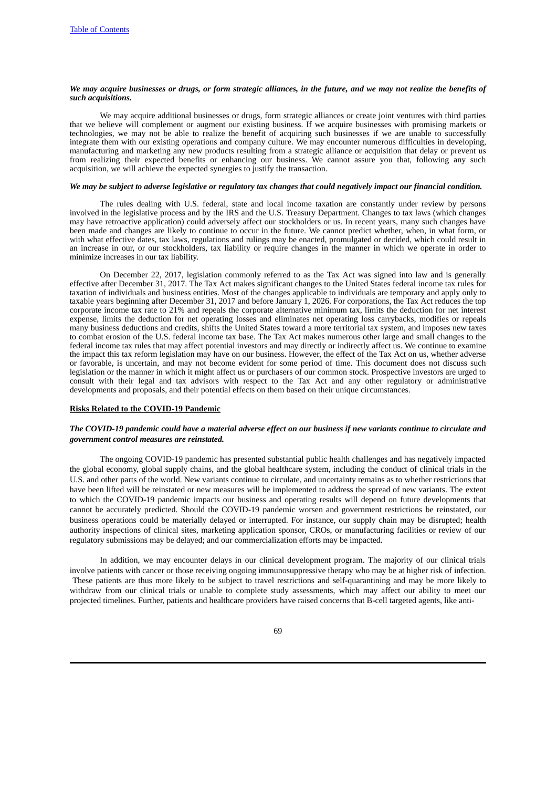### We may acquire businesses or drugs, or form strategic alliances, in the future, and we may not realize the benefits of *such acquisitions.*

We may acquire additional businesses or drugs, form strategic alliances or create joint ventures with third parties that we believe will complement or augment our existing business. If we acquire businesses with promising markets or technologies, we may not be able to realize the benefit of acquiring such businesses if we are unable to successfully integrate them with our existing operations and company culture. We may encounter numerous difficulties in developing, manufacturing and marketing any new products resulting from a strategic alliance or acquisition that delay or prevent us from realizing their expected benefits or enhancing our business. We cannot assure you that, following any such acquisition, we will achieve the expected synergies to justify the transaction.

### We may be subject to adverse legislative or regulatory tax changes that could negatively impact our financial condition.

The rules dealing with U.S. federal, state and local income taxation are constantly under review by persons involved in the legislative process and by the IRS and the U.S. Treasury Department. Changes to tax laws (which changes may have retroactive application) could adversely affect our stockholders or us. In recent years, many such changes have been made and changes are likely to continue to occur in the future. We cannot predict whether, when, in what form, or with what effective dates, tax laws, regulations and rulings may be enacted, promulgated or decided, which could result in an increase in our, or our stockholders, tax liability or require changes in the manner in which we operate in order to minimize increases in our tax liability.

On December 22, 2017, legislation commonly referred to as the Tax Act was signed into law and is generally effective after December 31, 2017. The Tax Act makes significant changes to the United States federal income tax rules for taxation of individuals and business entities. Most of the changes applicable to individuals are temporary and apply only to taxable years beginning after December 31, 2017 and before January 1, 2026. For corporations, the Tax Act reduces the top corporate income tax rate to 21% and repeals the corporate alternative minimum tax, limits the deduction for net interest expense, limits the deduction for net operating losses and eliminates net operating loss carrybacks, modifies or repeals many business deductions and credits, shifts the United States toward a more territorial tax system, and imposes new taxes to combat erosion of the U.S. federal income tax base. The Tax Act makes numerous other large and small changes to the federal income tax rules that may affect potential investors and may directly or indirectly affect us. We continue to examine the impact this tax reform legislation may have on our business. However, the effect of the Tax Act on us, whether adverse or favorable, is uncertain, and may not become evident for some period of time. This document does not discuss such legislation or the manner in which it might affect us or purchasers of our common stock. Prospective investors are urged to consult with their legal and tax advisors with respect to the Tax Act and any other regulatory or administrative developments and proposals, and their potential effects on them based on their unique circumstances.

#### **Risks Related to the COVID-19 Pandemic**

# The COVID-19 pandemic could have a material adverse effect on our business if new variants continue to circulate and *government control measures are reinstated.*

The ongoing COVID-19 pandemic has presented substantial public health challenges and has negatively impacted the global economy, global supply chains, and the global healthcare system, including the conduct of clinical trials in the U.S. and other parts of the world. New variants continue to circulate, and uncertainty remains as to whether restrictions that have been lifted will be reinstated or new measures will be implemented to address the spread of new variants. The extent to which the COVID-19 pandemic impacts our business and operating results will depend on future developments that cannot be accurately predicted. Should the COVID-19 pandemic worsen and government restrictions be reinstated, our business operations could be materially delayed or interrupted. For instance, our supply chain may be disrupted; health authority inspections of clinical sites, marketing application sponsor, CROs, or manufacturing facilities or review of our regulatory submissions may be delayed; and our commercialization efforts may be impacted.

In addition, we may encounter delays in our clinical development program. The majority of our clinical trials involve patients with cancer or those receiving ongoing immunosuppressive therapy who may be at higher risk of infection. These patients are thus more likely to be subject to travel restrictions and self-quarantining and may be more likely to withdraw from our clinical trials or unable to complete study assessments, which may affect our ability to meet our projected timelines. Further, patients and healthcare providers have raised concerns that B-cell targeted agents, like anti-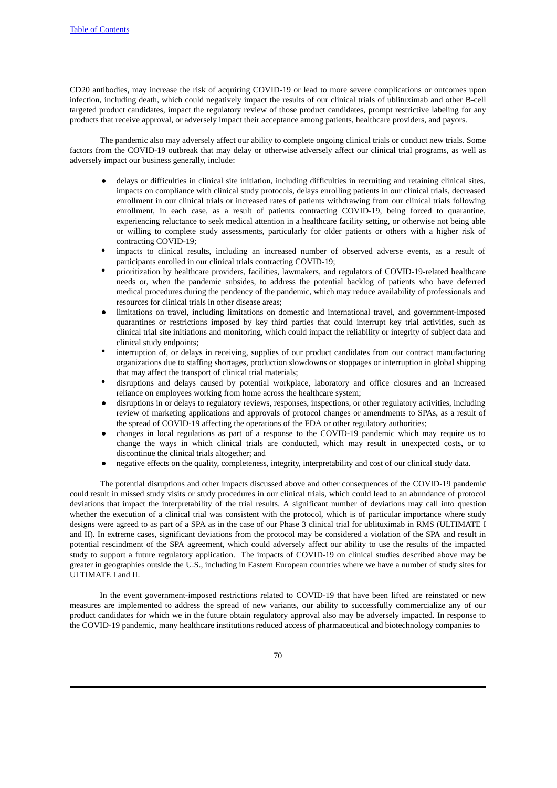CD20 antibodies, may increase the risk of acquiring COVID-19 or lead to more severe complications or outcomes upon infection, including death, which could negatively impact the results of our clinical trials of ublituximab and other B-cell targeted product candidates, impact the regulatory review of those product candidates, prompt restrictive labeling for any products that receive approval, or adversely impact their acceptance among patients, healthcare providers, and payors.

The pandemic also may adversely affect our ability to complete ongoing clinical trials or conduct new trials. Some factors from the COVID-19 outbreak that may delay or otherwise adversely affect our clinical trial programs, as well as adversely impact our business generally, include:

- delays or difficulties in clinical site initiation, including difficulties in recruiting and retaining clinical sites, impacts on compliance with clinical study protocols, delays enrolling patients in our clinical trials, decreased enrollment in our clinical trials or increased rates of patients withdrawing from our clinical trials following enrollment, in each case, as a result of patients contracting COVID-19, being forced to quarantine, experiencing reluctance to seek medical attention in a healthcare facility setting, or otherwise not being able or willing to complete study assessments, particularly for older patients or others with a higher risk of contracting COVID-19;
- impacts to clinical results, including an increased number of observed adverse events, as a result of participants enrolled in our clinical trials contracting COVID-19;
- prioritization by healthcare providers, facilities, lawmakers, and regulators of COVID-19-related healthcare needs or, when the pandemic subsides, to address the potential backlog of patients who have deferred medical procedures during the pendency of the pandemic, which may reduce availability of professionals and resources for clinical trials in other disease areas;
- limitations on travel, including limitations on domestic and international travel, and government-imposed quarantines or restrictions imposed by key third parties that could interrupt key trial activities, such as clinical trial site initiations and monitoring, which could impact the reliability or integrity of subject data and clinical study endpoints;
- interruption of, or delays in receiving, supplies of our product candidates from our contract manufacturing organizations due to staffing shortages, production slowdowns or stoppages or interruption in global shipping that may affect the transport of clinical trial materials;
- disruptions and delays caused by potential workplace, laboratory and office closures and an increased reliance on employees working from home across the healthcare system;
- disruptions in or delays to regulatory reviews, responses, inspections, or other regulatory activities, including review of marketing applications and approvals of protocol changes or amendments to SPAs, as a result of the spread of COVID-19 affecting the operations of the FDA or other regulatory authorities;
- changes in local regulations as part of a response to the COVID-19 pandemic which may require us to change the ways in which clinical trials are conducted, which may result in unexpected costs, or to discontinue the clinical trials altogether; and
- negative effects on the quality, completeness, integrity, interpretability and cost of our clinical study data.

The potential disruptions and other impacts discussed above and other consequences of the COVID-19 pandemic could result in missed study visits or study procedures in our clinical trials, which could lead to an abundance of protocol deviations that impact the interpretability of the trial results. A significant number of deviations may call into question whether the execution of a clinical trial was consistent with the protocol, which is of particular importance where study designs were agreed to as part of a SPA as in the case of our Phase 3 clinical trial for ublituximab in RMS (ULTIMATE I and II). In extreme cases, significant deviations from the protocol may be considered a violation of the SPA and result in potential rescindment of the SPA agreement, which could adversely affect our ability to use the results of the impacted study to support a future regulatory application. The impacts of COVID-19 on clinical studies described above may be greater in geographies outside the U.S., including in Eastern European countries where we have a number of study sites for ULTIMATE I and II.

In the event government-imposed restrictions related to COVID-19 that have been lifted are reinstated or new measures are implemented to address the spread of new variants, our ability to successfully commercialize any of our product candidates for which we in the future obtain regulatory approval also may be adversely impacted. In response to the COVID-19 pandemic, many healthcare institutions reduced access of pharmaceutical and biotechnology companies to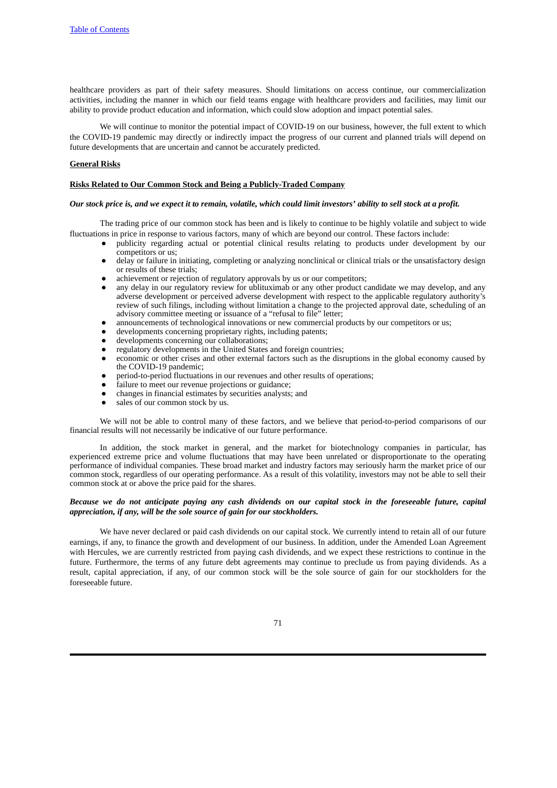healthcare providers as part of their safety measures. Should limitations on access continue, our commercialization activities, including the manner in which our field teams engage with healthcare providers and facilities, may limit our ability to provide product education and information, which could slow adoption and impact potential sales.

We will continue to monitor the potential impact of COVID-19 on our business, however, the full extent to which the COVID-19 pandemic may directly or indirectly impact the progress of our current and planned trials will depend on future developments that are uncertain and cannot be accurately predicted.

### **General Risks**

## **Risks Related to Our Common Stock and Being a Publicly-Traded Company**

#### Our stock price is, and we expect it to remain, volatile, which could limit investors' ability to sell stock at a profit.

The trading price of our common stock has been and is likely to continue to be highly volatile and subject to wide fluctuations in price in response to various factors, many of which are beyond our control. These factors include:

- publicity regarding actual or potential clinical results relating to products under development by our competitors or us;
- delay or failure in initiating, completing or analyzing nonclinical or clinical trials or the unsatisfactory design or results of these trials;
- achievement or rejection of regulatory approvals by us or our competitors;
- any delay in our regulatory review for ublituximab or any other product candidate we may develop, and any adverse development or perceived adverse development with respect to the applicable regulatory authority's review of such filings, including without limitation a change to the projected approval date, scheduling of an advisory committee meeting or issuance of a "refusal to file" letter;
- announcements of technological innovations or new commercial products by our competitors or us;
- developments concerning proprietary rights, including patents;
- developments concerning our collaborations;
- regulatory developments in the United States and foreign countries;
- economic or other crises and other external factors such as the disruptions in the global economy caused by the COVID-19 pandemic;
- period-to-period fluctuations in our revenues and other results of operations;
- failure to meet our revenue projections or guidance;
- changes in financial estimates by securities analysts; and
- sales of our common stock by us.

We will not be able to control many of these factors, and we believe that period-to-period comparisons of our financial results will not necessarily be indicative of our future performance.

In addition, the stock market in general, and the market for biotechnology companies in particular, has experienced extreme price and volume fluctuations that may have been unrelated or disproportionate to the operating performance of individual companies. These broad market and industry factors may seriously harm the market price of our common stock, regardless of our operating performance. As a result of this volatility, investors may not be able to sell their common stock at or above the price paid for the shares.

### Because we do not anticipate paying any cash dividends on our capital stock in the foreseeable future, capital *appreciation, if any, will be the sole source of gain for our stockholders.*

We have never declared or paid cash dividends on our capital stock. We currently intend to retain all of our future earnings, if any, to finance the growth and development of our business. In addition, under the Amended Loan Agreement with Hercules, we are currently restricted from paying cash dividends, and we expect these restrictions to continue in the future. Furthermore, the terms of any future debt agreements may continue to preclude us from paying dividends. As a result, capital appreciation, if any, of our common stock will be the sole source of gain for our stockholders for the foreseeable future.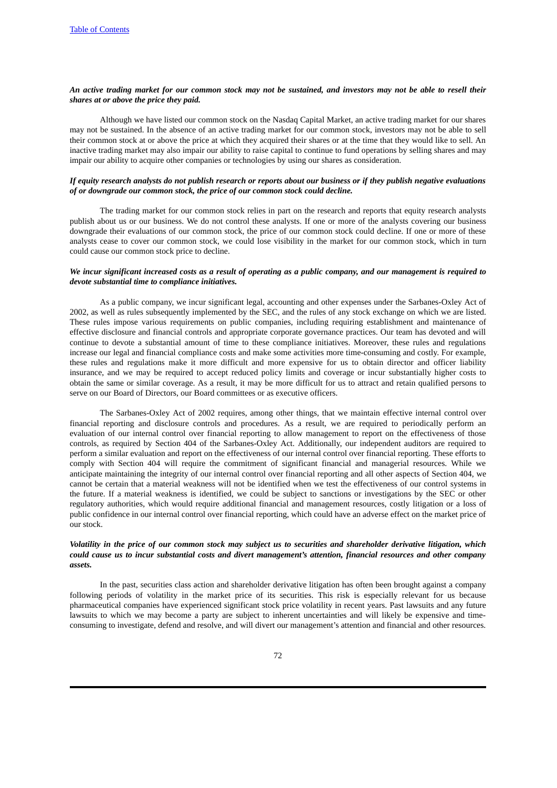# An active trading market for our common stock may not be sustained, and investors may not be able to resell their *shares at or above the price they paid.*

Although we have listed our common stock on the Nasdaq Capital Market, an active trading market for our shares may not be sustained. In the absence of an active trading market for our common stock, investors may not be able to sell their common stock at or above the price at which they acquired their shares or at the time that they would like to sell. An inactive trading market may also impair our ability to raise capital to continue to fund operations by selling shares and may impair our ability to acquire other companies or technologies by using our shares as consideration.

## If equity research analysts do not publish research or reports about our business or if they publish negative evaluations *of or downgrade our common stock, the price of our common stock could decline.*

The trading market for our common stock relies in part on the research and reports that equity research analysts publish about us or our business. We do not control these analysts. If one or more of the analysts covering our business downgrade their evaluations of our common stock, the price of our common stock could decline. If one or more of these analysts cease to cover our common stock, we could lose visibility in the market for our common stock, which in turn could cause our common stock price to decline.

# We incur significant increased costs as a result of operating as a public company, and our management is required to *devote substantial time to compliance initiatives.*

As a public company, we incur significant legal, accounting and other expenses under the Sarbanes-Oxley Act of 2002, as well as rules subsequently implemented by the SEC, and the rules of any stock exchange on which we are listed. These rules impose various requirements on public companies, including requiring establishment and maintenance of effective disclosure and financial controls and appropriate corporate governance practices. Our team has devoted and will continue to devote a substantial amount of time to these compliance initiatives. Moreover, these rules and regulations increase our legal and financial compliance costs and make some activities more time-consuming and costly. For example, these rules and regulations make it more difficult and more expensive for us to obtain director and officer liability insurance, and we may be required to accept reduced policy limits and coverage or incur substantially higher costs to obtain the same or similar coverage. As a result, it may be more difficult for us to attract and retain qualified persons to serve on our Board of Directors, our Board committees or as executive officers.

The Sarbanes-Oxley Act of 2002 requires, among other things, that we maintain effective internal control over financial reporting and disclosure controls and procedures. As a result, we are required to periodically perform an evaluation of our internal control over financial reporting to allow management to report on the effectiveness of those controls, as required by Section 404 of the Sarbanes-Oxley Act. Additionally, our independent auditors are required to perform a similar evaluation and report on the effectiveness of our internal control over financial reporting. These efforts to comply with Section 404 will require the commitment of significant financial and managerial resources. While we anticipate maintaining the integrity of our internal control over financial reporting and all other aspects of Section 404, we cannot be certain that a material weakness will not be identified when we test the effectiveness of our control systems in the future. If a material weakness is identified, we could be subject to sanctions or investigations by the SEC or other regulatory authorities, which would require additional financial and management resources, costly litigation or a loss of public confidence in our internal control over financial reporting, which could have an adverse effect on the market price of our stock.

### Volatility in the price of our common stock may subject us to securities and shareholder derivative litigation, which could cause us to incur substantial costs and divert management's attention, financial resources and other company *assets.*

In the past, securities class action and shareholder derivative litigation has often been brought against a company following periods of volatility in the market price of its securities. This risk is especially relevant for us because pharmaceutical companies have experienced significant stock price volatility in recent years. Past lawsuits and any future lawsuits to which we may become a party are subject to inherent uncertainties and will likely be expensive and timeconsuming to investigate, defend and resolve, and will divert our management's attention and financial and other resources.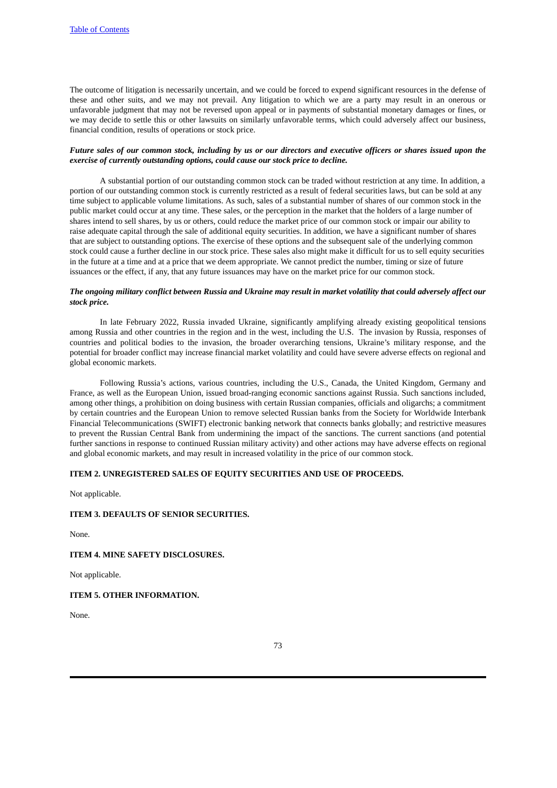The outcome of litigation is necessarily uncertain, and we could be forced to expend significant resources in the defense of these and other suits, and we may not prevail. Any litigation to which we are a party may result in an onerous or unfavorable judgment that may not be reversed upon appeal or in payments of substantial monetary damages or fines, or we may decide to settle this or other lawsuits on similarly unfavorable terms, which could adversely affect our business, financial condition, results of operations or stock price.

### Future sales of our common stock, including by us or our directors and executive officers or shares issued upon the *exercise of currently outstanding options, could cause our stock price to decline.*

A substantial portion of our outstanding common stock can be traded without restriction at any time. In addition, a portion of our outstanding common stock is currently restricted as a result of federal securities laws, but can be sold at any time subject to applicable volume limitations. As such, sales of a substantial number of shares of our common stock in the public market could occur at any time. These sales, or the perception in the market that the holders of a large number of shares intend to sell shares, by us or others, could reduce the market price of our common stock or impair our ability to raise adequate capital through the sale of additional equity securities. In addition, we have a significant number of shares that are subject to outstanding options. The exercise of these options and the subsequent sale of the underlying common stock could cause a further decline in our stock price. These sales also might make it difficult for us to sell equity securities in the future at a time and at a price that we deem appropriate. We cannot predict the number, timing or size of future issuances or the effect, if any, that any future issuances may have on the market price for our common stock.

### The ongoing military conflict between Russia and Ukraine may result in market volatility that could adversely affect our *stock price.*

In late February 2022, Russia invaded Ukraine, significantly amplifying already existing geopolitical tensions among Russia and other countries in the region and in the west, including the U.S. The invasion by Russia, responses of countries and political bodies to the invasion, the broader overarching tensions, Ukraine's military response, and the potential for broader conflict may increase financial market volatility and could have severe adverse effects on regional and global economic markets.

Following Russia's actions, various countries, including the U.S., Canada, the United Kingdom, Germany and France, as well as the European Union, issued broad-ranging economic sanctions against Russia. Such sanctions included, among other things, a prohibition on doing business with certain Russian companies, officials and oligarchs; a commitment by certain countries and the European Union to remove selected Russian banks from the Society for Worldwide Interbank Financial Telecommunications (SWIFT) electronic banking network that connects banks globally; and restrictive measures to prevent the Russian Central Bank from undermining the impact of the sanctions. The current sanctions (and potential further sanctions in response to continued Russian military activity) and other actions may have adverse effects on regional and global economic markets, and may result in increased volatility in the price of our common stock.

### **ITEM 2. UNREGISTERED SALES OF EQUITY SECURITIES AND USE OF PROCEEDS.**

Not applicable.

#### **ITEM 3. DEFAULTS OF SENIOR SECURITIES.**

None.

### **ITEM 4. MINE SAFETY DISCLOSURES.**

Not applicable.

### **ITEM 5. OTHER INFORMATION.**

None.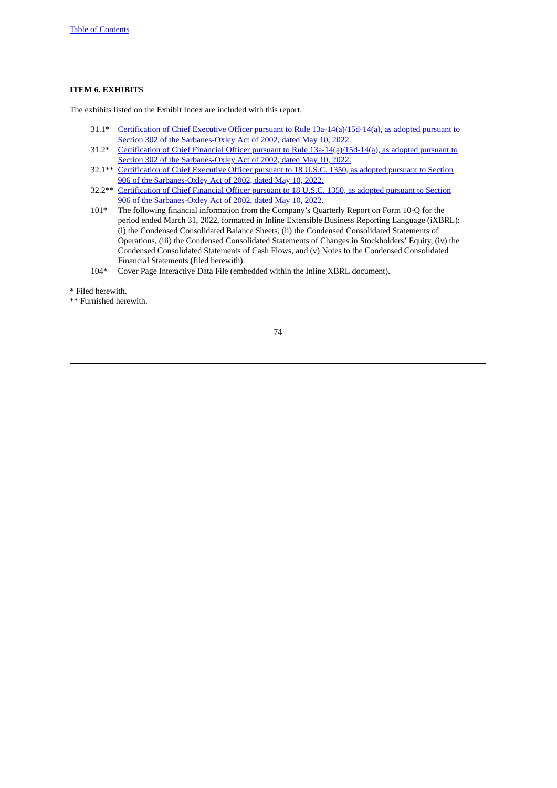# **ITEM 6. EXHIBITS**

The exhibits listed on the Exhibit Index are included with this report.

- 31.1\* Certification of Chief Executive Officer pursuant to Rule [13a-14\(a\)/15d-14\(a\),](#page-75-0) as adopted pursuant to Section 302 of the Sarbanes-Oxley Act of 2002, dated May 10, 2022.
- 31.2\* Certification of Chief Financial Officer pursuant to Rule [13a-14\(a\)/15d-14\(a\),](#page-76-0) as adopted pursuant to Section 302 of the Sarbanes-Oxley Act of 2002, dated May 10, 2022.
- 32.1\*\* Certification of Chief Executive Officer pursuant to 18 U.S.C. 1350, as adopted pursuant to Section 906 of the [Sarbanes-Oxley](#page-77-0) Act of 2002, dated May 10, 2022.
- 32.2\*\* Certification of Chief Financial Officer pursuant to 18 U.S.C. 1350, as adopted pursuant to Section 906 of the [Sarbanes-Oxley](#page-78-0) Act of 2002, dated May 10, 2022.
- 101\* The following financial information from the Company's Quarterly Report on Form 10-Q for the period ended March 31, 2022, formatted in Inline Extensible Business Reporting Language (iXBRL): (i) the Condensed Consolidated Balance Sheets, (ii) the Condensed Consolidated Statements of Operations, (iii) the Condensed Consolidated Statements of Changes in Stockholders' Equity, (iv) the Condensed Consolidated Statements of Cash Flows, and (v) Notes to the Condensed Consolidated Financial Statements (filed herewith).
- 104\* Cover Page Interactive Data File (embedded within the Inline XBRL document).

\* Filed herewith.

\*\* Furnished herewith.

74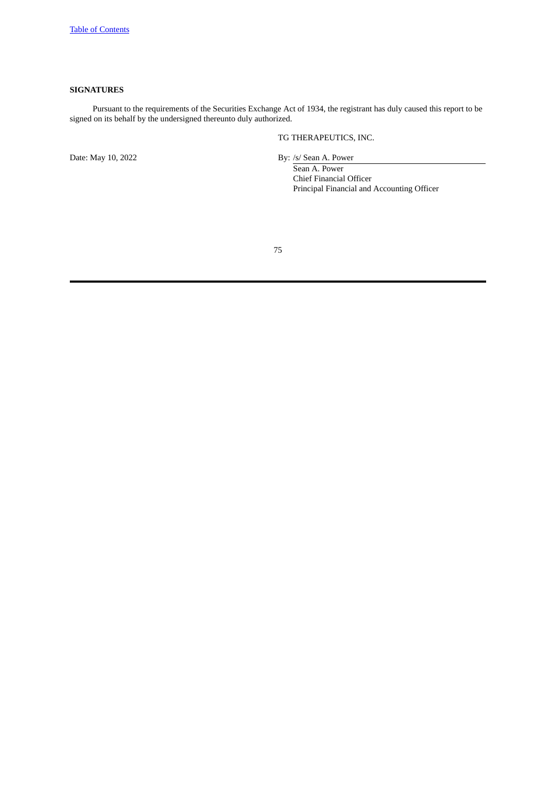# **SIGNATURES**

Pursuant to the requirements of the Securities Exchange Act of 1934, the registrant has duly caused this report to be signed on its behalf by the undersigned thereunto duly authorized.

TG THERAPEUTICS, INC.

Date: May 10, 2022 By: /s/ Sean A. Power

Sean A. Power Chief Financial Officer Principal Financial and Accounting Officer

75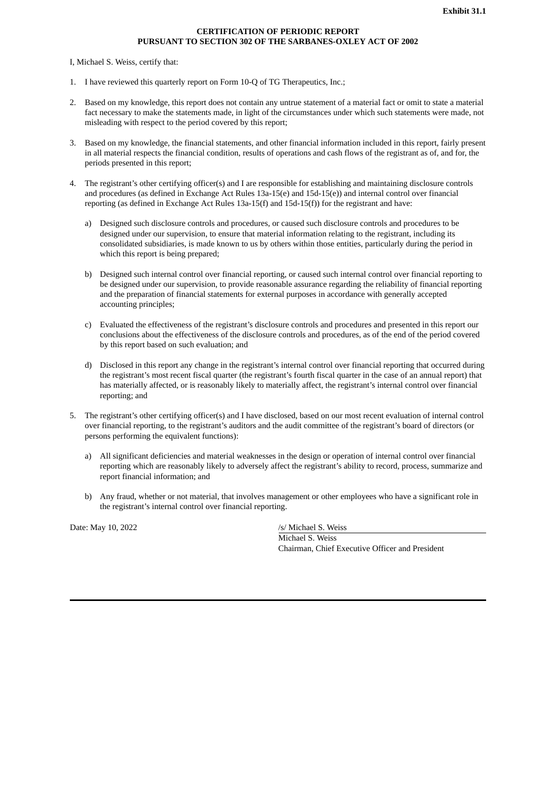### **CERTIFICATION OF PERIODIC REPORT PURSUANT TO SECTION 302 OF THE SARBANES-OXLEY ACT OF 2002**

<span id="page-75-0"></span>I, Michael S. Weiss, certify that:

- 1. I have reviewed this quarterly report on Form 10-Q of TG Therapeutics, Inc.;
- 2. Based on my knowledge, this report does not contain any untrue statement of a material fact or omit to state a material fact necessary to make the statements made, in light of the circumstances under which such statements were made, not misleading with respect to the period covered by this report;
- 3. Based on my knowledge, the financial statements, and other financial information included in this report, fairly present in all material respects the financial condition, results of operations and cash flows of the registrant as of, and for, the periods presented in this report;
- 4. The registrant's other certifying officer(s) and I are responsible for establishing and maintaining disclosure controls and procedures (as defined in Exchange Act Rules 13a-15(e) and 15d-15(e)) and internal control over financial reporting (as defined in Exchange Act Rules 13a-15(f) and 15d-15(f)) for the registrant and have:
	- a) Designed such disclosure controls and procedures, or caused such disclosure controls and procedures to be designed under our supervision, to ensure that material information relating to the registrant, including its consolidated subsidiaries, is made known to us by others within those entities, particularly during the period in which this report is being prepared;
	- b) Designed such internal control over financial reporting, or caused such internal control over financial reporting to be designed under our supervision, to provide reasonable assurance regarding the reliability of financial reporting and the preparation of financial statements for external purposes in accordance with generally accepted accounting principles;
	- c) Evaluated the effectiveness of the registrant's disclosure controls and procedures and presented in this report our conclusions about the effectiveness of the disclosure controls and procedures, as of the end of the period covered by this report based on such evaluation; and
	- d) Disclosed in this report any change in the registrant's internal control over financial reporting that occurred during the registrant's most recent fiscal quarter (the registrant's fourth fiscal quarter in the case of an annual report) that has materially affected, or is reasonably likely to materially affect, the registrant's internal control over financial reporting; and
- 5. The registrant's other certifying officer(s) and I have disclosed, based on our most recent evaluation of internal control over financial reporting, to the registrant's auditors and the audit committee of the registrant's board of directors (or persons performing the equivalent functions):
	- a) All significant deficiencies and material weaknesses in the design or operation of internal control over financial reporting which are reasonably likely to adversely affect the registrant's ability to record, process, summarize and report financial information; and
	- b) Any fraud, whether or not material, that involves management or other employees who have a significant role in the registrant's internal control over financial reporting.

Date: May 10, 2022 /s/ Michael S. Weiss

Michael S. Weiss Chairman, Chief Executive Officer and President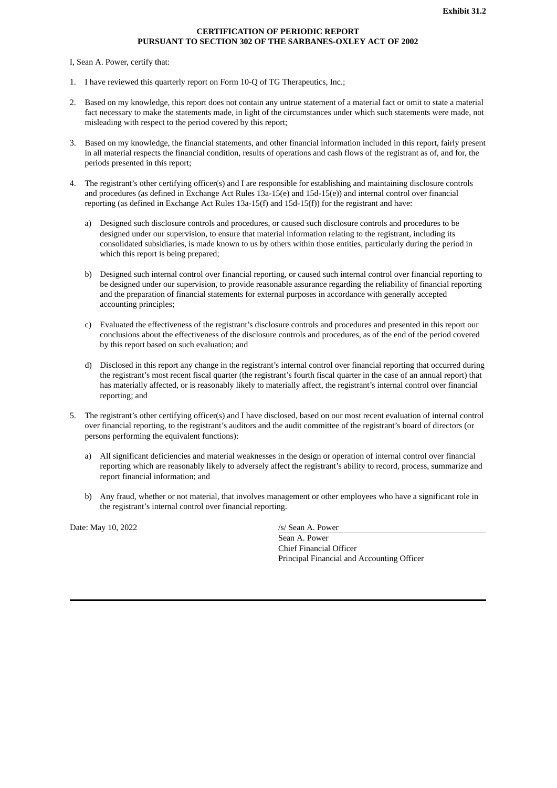### **CERTIFICATION OF PERIODIC REPORT PURSUANT TO SECTION 302 OF THE SARBANES-OXLEY ACT OF 2002**

- <span id="page-76-0"></span>I, Sean A. Power, certify that:
- 1. I have reviewed this quarterly report on Form 10-Q of TG Therapeutics, Inc.;
- 2. Based on my knowledge, this report does not contain any untrue statement of a material fact or omit to state a material fact necessary to make the statements made, in light of the circumstances under which such statements were made, not misleading with respect to the period covered by this report;
- 3. Based on my knowledge, the financial statements, and other financial information included in this report, fairly present in all material respects the financial condition, results of operations and cash flows of the registrant as of, and for, the periods presented in this report;
- 4. The registrant's other certifying officer(s) and I are responsible for establishing and maintaining disclosure controls and procedures (as defined in Exchange Act Rules 13a-15(e) and 15d-15(e)) and internal control over financial reporting (as defined in Exchange Act Rules 13a-15(f) and 15d-15(f)) for the registrant and have:
	- a) Designed such disclosure controls and procedures, or caused such disclosure controls and procedures to be designed under our supervision, to ensure that material information relating to the registrant, including its consolidated subsidiaries, is made known to us by others within those entities, particularly during the period in which this report is being prepared;
	- b) Designed such internal control over financial reporting, or caused such internal control over financial reporting to be designed under our supervision, to provide reasonable assurance regarding the reliability of financial reporting and the preparation of financial statements for external purposes in accordance with generally accepted accounting principles;
	- c) Evaluated the effectiveness of the registrant's disclosure controls and procedures and presented in this report our conclusions about the effectiveness of the disclosure controls and procedures, as of the end of the period covered by this report based on such evaluation; and
	- d) Disclosed in this report any change in the registrant's internal control over financial reporting that occurred during the registrant's most recent fiscal quarter (the registrant's fourth fiscal quarter in the case of an annual report) that has materially affected, or is reasonably likely to materially affect, the registrant's internal control over financial reporting; and
- 5. The registrant's other certifying officer(s) and I have disclosed, based on our most recent evaluation of internal control over financial reporting, to the registrant's auditors and the audit committee of the registrant's board of directors (or persons performing the equivalent functions):
	- a) All significant deficiencies and material weaknesses in the design or operation of internal control over financial reporting which are reasonably likely to adversely affect the registrant's ability to record, process, summarize and report financial information; and
	- b) Any fraud, whether or not material, that involves management or other employees who have a significant role in the registrant's internal control over financial reporting.

Date: May 10, 2022 /s/ Sean A. Power

Sean A. Power Chief Financial Officer Principal Financial and Accounting Officer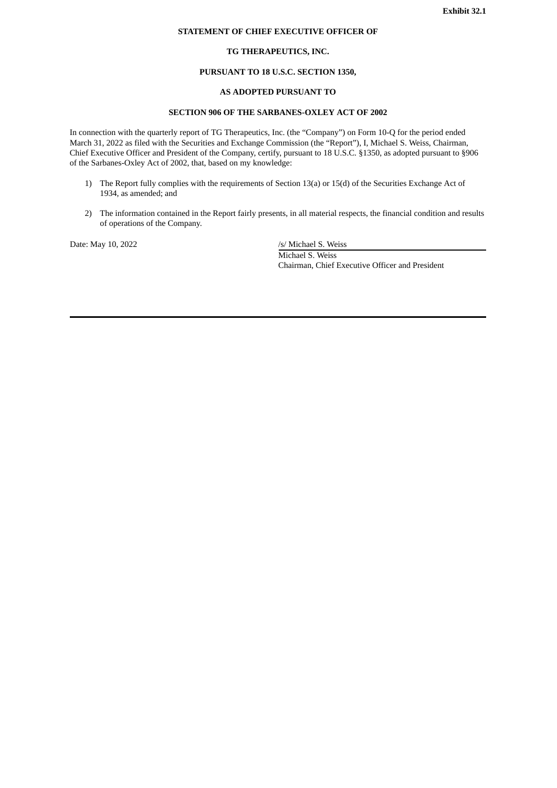**Exhibit 32.1**

#### **STATEMENT OF CHIEF EXECUTIVE OFFICER OF**

### **TG THERAPEUTICS, INC.**

# **PURSUANT TO 18 U.S.C. SECTION 1350,**

### **AS ADOPTED PURSUANT TO**

### **SECTION 906 OF THE SARBANES-OXLEY ACT OF 2002**

<span id="page-77-0"></span>In connection with the quarterly report of TG Therapeutics, Inc. (the "Company") on Form 10-Q for the period ended March 31, 2022 as filed with the Securities and Exchange Commission (the "Report"), I, Michael S. Weiss, Chairman, Chief Executive Officer and President of the Company, certify, pursuant to 18 U.S.C. §1350, as adopted pursuant to §906 of the Sarbanes-Oxley Act of 2002, that, based on my knowledge:

- 1) The Report fully complies with the requirements of Section 13(a) or 15(d) of the Securities Exchange Act of 1934, as amended; and
- 2) The information contained in the Report fairly presents, in all material respects, the financial condition and results of operations of the Company.

Date: May 10, 2022 /s/ Michael S. Weiss

Michael S. Weiss

Chairman, Chief Executive Officer and President